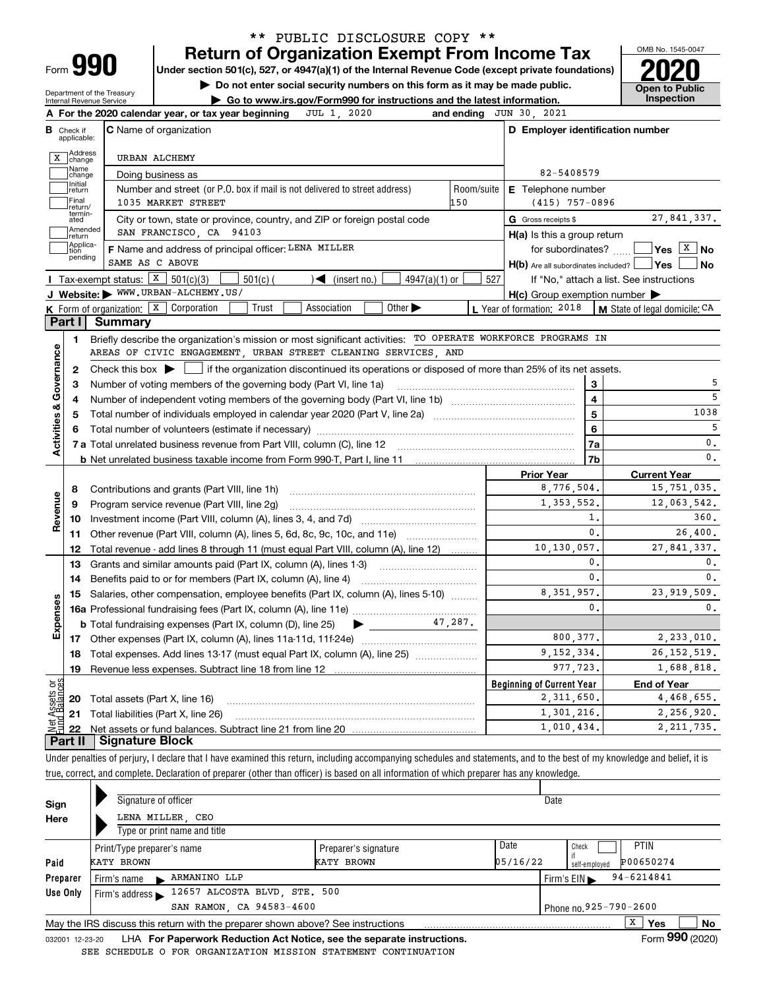| ∽orm |  |
|------|--|
|      |  |

### **Return of Organization Exempt From Income Tax** \*\* PUBLIC DISCLOSURE COPY \*\*

**Under section 501(c), 527, or 4947(a)(1) of the Internal Revenue Code (except private foundations) 2020**

**| Do not enter social security numbers on this form as it may be made public.**

Department of the Treasury Internal Revenue Service

**| Go to www.irs.gov/Form990 for instructions and the latest information. Inspection**



| В                              | Check if<br>applicable: | <b>C</b> Name of organization                                                                                                                                                                                                  |                         | D Employer identification number                    |                               |
|--------------------------------|-------------------------|--------------------------------------------------------------------------------------------------------------------------------------------------------------------------------------------------------------------------------|-------------------------|-----------------------------------------------------|-------------------------------|
|                                | X Address               | URBAN ALCHEMY                                                                                                                                                                                                                  |                         |                                                     |                               |
|                                | Name<br> change         | Doing business as                                                                                                                                                                                                              |                         | 82-5408579                                          |                               |
|                                | Initial<br>return       | Number and street (or P.O. box if mail is not delivered to street address)                                                                                                                                                     | Room/suite              | E Telephone number                                  |                               |
|                                | Final<br>return/        | 1035 MARKET STREET<br>150                                                                                                                                                                                                      |                         | $(415)$ 757-0896                                    |                               |
|                                | termin-<br>ated         | City or town, state or province, country, and ZIP or foreign postal code                                                                                                                                                       |                         | G Gross receipts \$                                 | 27,841,337.                   |
|                                | Amended<br> return      | SAN FRANCISCO, CA 94103                                                                                                                                                                                                        |                         | H(a) Is this a group return                         |                               |
|                                | Applica-<br>tion        | F Name and address of principal officer: LENA MILLER                                                                                                                                                                           |                         | for subordinates? $\Box$                            | $\sqrt{}$ Yes $\sqrt{X}$ No   |
|                                | pending                 | SAME AS C ABOVE                                                                                                                                                                                                                |                         | H(b) Are all subordinates included?   Yes           | l No                          |
|                                |                         | <b>I</b> Tax-exempt status: $\boxed{\textbf{X}}$ 501(c)(3)<br>$\blacktriangleleft$ (insert no.)<br>$4947(a)(1)$ or<br>$501(c)$ (                                                                                               | 527                     | If "No," attach a list. See instructions            |                               |
|                                |                         | J Website: WWW.URBAN-ALCHEMY.US/                                                                                                                                                                                               |                         | $H(c)$ Group exemption number $\blacktriangleright$ |                               |
|                                |                         | <b>K</b> Form of organization: $\boxed{\textbf{X}}$ Corporation<br>Trust<br>Other $\blacktriangleright$<br>Association                                                                                                         |                         | L Year of formation: 2018                           | M State of legal domicile: CA |
|                                |                         | Part I Summary                                                                                                                                                                                                                 |                         |                                                     |                               |
|                                | 1.                      | Briefly describe the organization's mission or most significant activities: TO OPERATE WORKFORCE PROGRAMS IN                                                                                                                   |                         |                                                     |                               |
|                                |                         | AREAS OF CIVIC ENGAGEMENT, URBAN STREET CLEANING SERVICES, AND                                                                                                                                                                 |                         |                                                     |                               |
|                                | 2                       | Check this box $\blacktriangleright$ $\Box$ if the organization discontinued its operations or disposed of more than 25% of its net assets.                                                                                    |                         |                                                     |                               |
|                                | З                       | Number of voting members of the governing body (Part VI, line 1a)                                                                                                                                                              |                         | 3                                                   | 5                             |
|                                | 4                       |                                                                                                                                                                                                                                | $\overline{\mathbf{4}}$ | 5                                                   |                               |
|                                | 5                       |                                                                                                                                                                                                                                | $\overline{5}$          | 1038                                                |                               |
|                                |                         | Total number of volunteers (estimate if necessary) manufacture content content content of volunteers (estimate if necessary) manufacture content content content of the content of the content of the content of the content o | $6\phantom{a}$          | 5                                                   |                               |
| Activities & Governance        |                         |                                                                                                                                                                                                                                |                         | 7a                                                  | $\mathbf{0}$ .                |
|                                |                         |                                                                                                                                                                                                                                |                         | 7 <sub>b</sub>                                      | $\mathbf{0}$ .                |
|                                |                         |                                                                                                                                                                                                                                |                         | <b>Prior Year</b>                                   | <b>Current Year</b>           |
|                                | 8                       |                                                                                                                                                                                                                                |                         | 8,776,504.                                          | 15,751,035.                   |
|                                | 9                       | Program service revenue (Part VIII, line 2g)                                                                                                                                                                                   |                         | 1,353,552.                                          | 12,063,542.                   |
| evenue                         | 10                      |                                                                                                                                                                                                                                |                         | 1.                                                  | 360.                          |
| œ                              | 11                      | Other revenue (Part VIII, column (A), lines 5, 6d, 8c, 9c, 10c, and 11e)                                                                                                                                                       |                         | $\mathsf{0}$ .                                      | 26,400.                       |
|                                | 12                      | Total revenue - add lines 8 through 11 (must equal Part VIII, column (A), line 12)                                                                                                                                             |                         | 10,130,057.                                         | 27,841,337.                   |
|                                | 13                      | Grants and similar amounts paid (Part IX, column (A), lines 1-3)                                                                                                                                                               |                         | 0.                                                  | 0.                            |
|                                | 14                      | Benefits paid to or for members (Part IX, column (A), line 4)                                                                                                                                                                  |                         | 0.                                                  | $\mathbf{0}$ .                |
|                                | 15                      | Salaries, other compensation, employee benefits (Part IX, column (A), lines 5-10)                                                                                                                                              |                         | 8, 351, 957.                                        | 23, 919, 509.                 |
|                                |                         |                                                                                                                                                                                                                                |                         | 0.                                                  | $\mathbf{0}$ .                |
| Expenses                       |                         |                                                                                                                                                                                                                                |                         |                                                     |                               |
|                                |                         |                                                                                                                                                                                                                                |                         | 800, 377.                                           | 2,233,010.                    |
|                                |                         | 18 Total expenses. Add lines 13-17 (must equal Part IX, column (A), line 25)                                                                                                                                                   |                         | 9, 152, 334.                                        | 26, 152, 519.                 |
|                                | 19                      | Revenue less expenses. Subtract line 18 from line 12                                                                                                                                                                           |                         | 977,723.                                            | 1,688,818.                    |
|                                |                         |                                                                                                                                                                                                                                |                         | <b>Beginning of Current Year</b>                    | <b>End of Year</b>            |
|                                | 20                      | Total assets (Part X, line 16)                                                                                                                                                                                                 |                         | 2,311,650.                                          | 4,468,655.                    |
|                                | 21                      | Total liabilities (Part X, line 26)                                                                                                                                                                                            |                         | 1,301,216.                                          | 2,256,920.                    |
| Net Assets or<br>Eund Balances | 22                      |                                                                                                                                                                                                                                |                         | 1,010,434.                                          | 2, 211, 735.                  |
|                                |                         | <b>Signature Block</b>                                                                                                                                                                                                         |                         |                                                     |                               |

true, correct, and complete. Declaration of preparer (other than officer) is based on all information of which preparer has any knowledge.

| Sign                     |            | Signature of officer                 |                                                                                 |                                                                                                                                                                                                                                   |          | Date |                              |    |  |  |
|--------------------------|------------|--------------------------------------|---------------------------------------------------------------------------------|-----------------------------------------------------------------------------------------------------------------------------------------------------------------------------------------------------------------------------------|----------|------|------------------------------|----|--|--|
| Here                     |            | LENA MILLER, CEO                     |                                                                                 |                                                                                                                                                                                                                                   |          |      |                              |    |  |  |
|                          |            |                                      | Type or print name and title                                                    |                                                                                                                                                                                                                                   |          |      |                              |    |  |  |
|                          |            | Print/Type preparer's name           |                                                                                 | Preparer's signature                                                                                                                                                                                                              | Date     |      | <b>PTIN</b><br>Check         |    |  |  |
| Paid                     | KATY BROWN |                                      |                                                                                 | KATY BROWN                                                                                                                                                                                                                        | 05/16/22 |      | P00650274<br>self-emploved   |    |  |  |
| Preparer                 |            | Firm's name                          | ARMANINO LLP                                                                    |                                                                                                                                                                                                                                   |          |      | $94 - 6214841$<br>Firm's EIN |    |  |  |
| Use Only                 |            | Firm's address $\blacktriangleright$ | 12657 ALCOSTA BLVD, STE. 500                                                    |                                                                                                                                                                                                                                   |          |      |                              |    |  |  |
| SAN RAMON, CA 94583-4600 |            |                                      |                                                                                 |                                                                                                                                                                                                                                   |          |      | Phone no.925-790-2600        |    |  |  |
|                          |            |                                      | May the IRS discuss this return with the preparer shown above? See instructions |                                                                                                                                                                                                                                   |          |      | x<br><b>Yes</b>              | No |  |  |
|                          |            |                                      |                                                                                 | $\mathbf{r}$ . The contract of the contract of the contract of the contract of the contract of the contract of the contract of the contract of the contract of the contract of the contract of the contract of the contract of th |          |      | $\sim$ 000 $\sim$            |    |  |  |

032001 12-23-20 LHA **For Paperwork Reduction Act Notice, see the separate instructions.** Form 990 (2020) SEE SCHEDULE O FOR ORGANIZATION MISSION STATEMENT CONTINUATION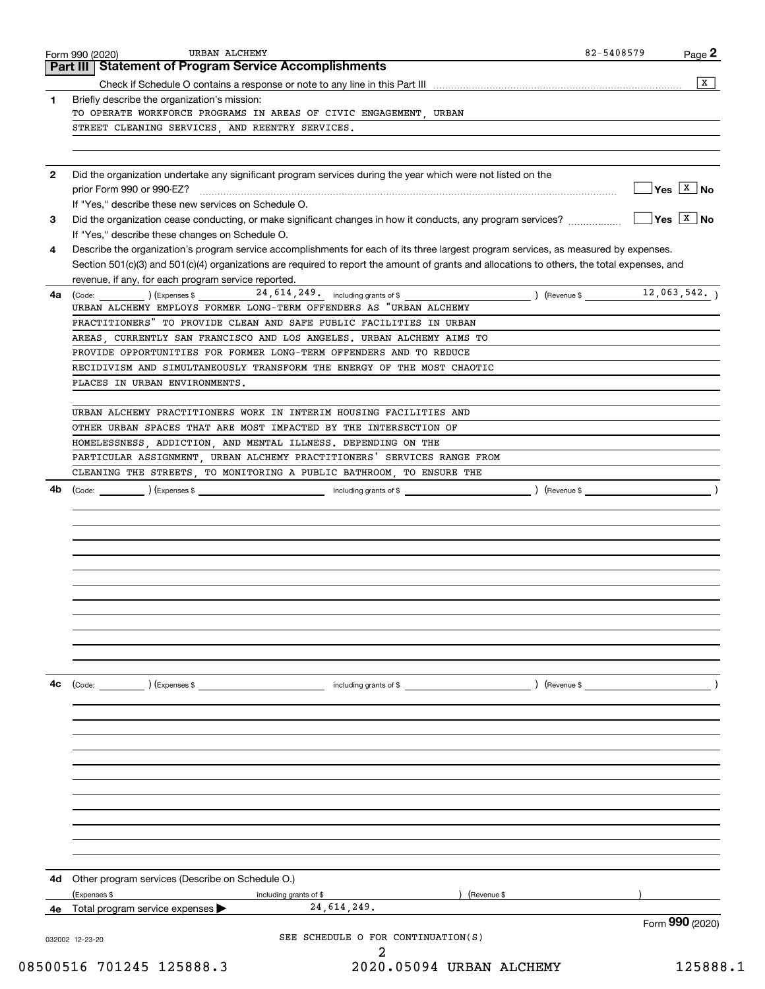|              | Part III   Statement of Program Service Accomplishments                                                                                      |                              |
|--------------|----------------------------------------------------------------------------------------------------------------------------------------------|------------------------------|
|              |                                                                                                                                              | X                            |
| 1            | Briefly describe the organization's mission:                                                                                                 |                              |
|              | TO OPERATE WORKFORCE PROGRAMS IN AREAS OF CIVIC ENGAGEMENT, URBAN                                                                            |                              |
|              | STREET CLEANING SERVICES, AND REENTRY SERVICES.                                                                                              |                              |
|              |                                                                                                                                              |                              |
| $\mathbf{2}$ | Did the organization undertake any significant program services during the year which were not listed on the                                 |                              |
|              |                                                                                                                                              | $\sqrt{Y}$ es $\sqrt{X}$ No  |
|              | If "Yes," describe these new services on Schedule O.                                                                                         |                              |
| 3            | Did the organization cease conducting, or make significant changes in how it conducts, any program services?                                 | $\sqrt{2}$ Yes $\sqrt{2}$ No |
|              | If "Yes," describe these changes on Schedule O.                                                                                              |                              |
| 4            | Describe the organization's program service accomplishments for each of its three largest program services, as measured by expenses.         |                              |
|              | Section 501(c)(3) and 501(c)(4) organizations are required to report the amount of grants and allocations to others, the total expenses, and |                              |
|              | revenue, if any, for each program service reported.                                                                                          |                              |
| 4a           | $(\text{Code:})$ (Cxpenses \$24, 614, 249, including grants of \$900, including grants of \$12, 063, 542,                                    |                              |
|              | URBAN ALCHEMY EMPLOYS FORMER LONG-TERM OFFENDERS AS "URBAN ALCHEMY                                                                           |                              |
|              | PRACTITIONERS" TO PROVIDE CLEAN AND SAFE PUBLIC FACILITIES IN URBAN                                                                          |                              |
|              | AREAS CURRENTLY SAN FRANCISCO AND LOS ANGELES. URBAN ALCHEMY AIMS TO<br>PROVIDE OPPORTUNITIES FOR FORMER LONG-TERM OFFENDERS AND TO REDUCE   |                              |
|              | RECIDIVISM AND SIMULTANEOUSLY TRANSFORM THE ENERGY OF THE MOST CHAOTIC                                                                       |                              |
|              | PLACES IN URBAN ENVIRONMENTS.                                                                                                                |                              |
|              |                                                                                                                                              |                              |
|              | URBAN ALCHEMY PRACTITIONERS WORK IN INTERIM HOUSING FACILITIES AND                                                                           |                              |
|              | OTHER URBAN SPACES THAT ARE MOST IMPACTED BY THE INTERSECTION OF                                                                             |                              |
|              | HOMELESSNESS, ADDICTION, AND MENTAL ILLNESS. DEPENDING ON THE                                                                                |                              |
|              | PARTICULAR ASSIGNMENT, URBAN ALCHEMY PRACTITIONERS' SERVICES RANGE FROM                                                                      |                              |
|              | CLEANING THE STREETS, TO MONITORING A PUBLIC BATHROOM, TO ENSURE THE                                                                         |                              |
| 4b           |                                                                                                                                              |                              |
|              |                                                                                                                                              |                              |
|              |                                                                                                                                              |                              |
|              |                                                                                                                                              |                              |
|              |                                                                                                                                              |                              |
|              |                                                                                                                                              |                              |
|              |                                                                                                                                              |                              |
|              |                                                                                                                                              |                              |
|              |                                                                                                                                              |                              |
|              |                                                                                                                                              |                              |
|              |                                                                                                                                              |                              |
|              |                                                                                                                                              |                              |
|              |                                                                                                                                              |                              |
|              |                                                                                                                                              |                              |
| 4c           | ) (Revenue \$<br>$\left(\text{Code:} \right)$ $\left(\text{Expenses $}\right)$<br>including grants of \$                                     |                              |
|              |                                                                                                                                              |                              |
|              |                                                                                                                                              |                              |
|              |                                                                                                                                              |                              |
|              |                                                                                                                                              |                              |
|              |                                                                                                                                              |                              |
|              |                                                                                                                                              |                              |
|              |                                                                                                                                              |                              |
|              |                                                                                                                                              |                              |
|              |                                                                                                                                              |                              |
|              |                                                                                                                                              |                              |
|              |                                                                                                                                              |                              |
| 4d           | Other program services (Describe on Schedule O.)                                                                                             |                              |
|              | (Expenses \$<br>) (Revenue \$<br>including grants of \$                                                                                      |                              |
| 4е           | 24, 614, 249.<br>Total program service expenses                                                                                              |                              |
|              |                                                                                                                                              | Form 990 (2020)              |
|              | SEE SCHEDULE O FOR CONTINUATION(S)<br>032002 12-23-20                                                                                        |                              |
|              | 2                                                                                                                                            |                              |
|              | 08500516 701245 125888.3<br>2020.05094 URBAN ALCHEMY                                                                                         | 125888.1                     |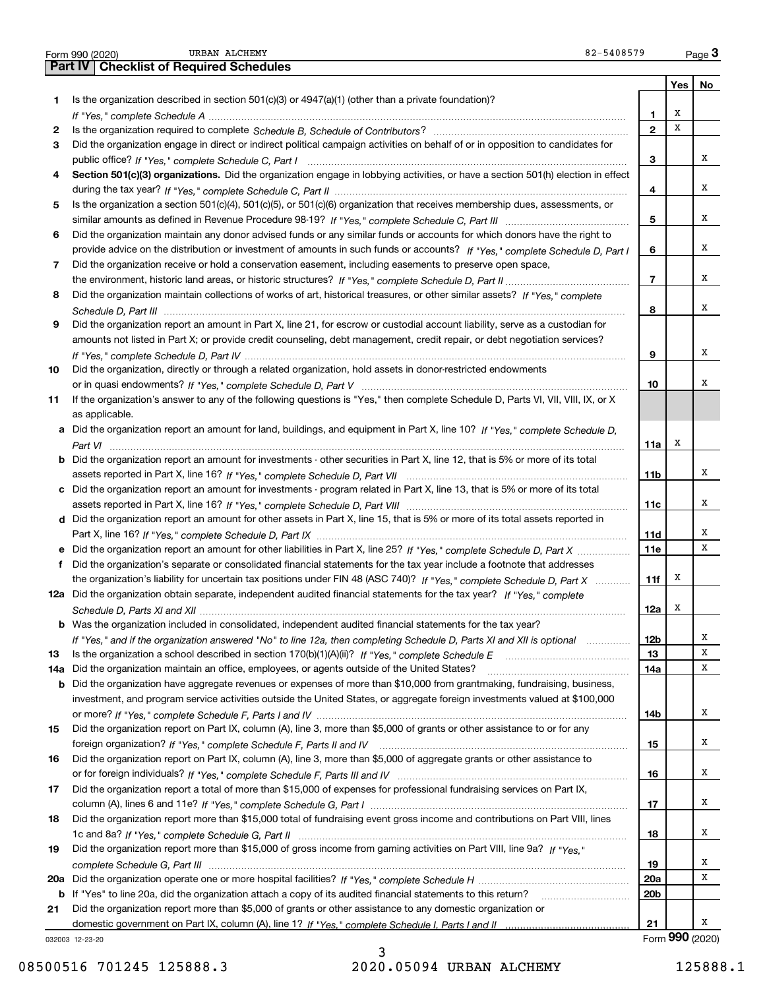|     | URBAN ALCHEMY<br>82-5408579<br>Form 990 (2020)                                                                                        |                 |     | Page $3$        |
|-----|---------------------------------------------------------------------------------------------------------------------------------------|-----------------|-----|-----------------|
|     | <b>Part IV   Checklist of Required Schedules</b>                                                                                      |                 |     |                 |
|     |                                                                                                                                       |                 | Yes | No              |
| 1   | Is the organization described in section $501(c)(3)$ or $4947(a)(1)$ (other than a private foundation)?                               |                 |     |                 |
|     |                                                                                                                                       | 1               | х   |                 |
| 2   |                                                                                                                                       | $\mathbf{2}$    | x   |                 |
| 3   | Did the organization engage in direct or indirect political campaign activities on behalf of or in opposition to candidates for       |                 |     |                 |
|     |                                                                                                                                       | 3               |     | x               |
| 4   | Section 501(c)(3) organizations. Did the organization engage in lobbying activities, or have a section 501(h) election in effect      |                 |     |                 |
|     |                                                                                                                                       | 4               |     | x               |
| 5   | Is the organization a section 501(c)(4), 501(c)(5), or 501(c)(6) organization that receives membership dues, assessments, or          |                 |     |                 |
|     |                                                                                                                                       | 5               |     | x               |
| 6   | Did the organization maintain any donor advised funds or any similar funds or accounts for which donors have the right to             |                 |     |                 |
|     | provide advice on the distribution or investment of amounts in such funds or accounts? If "Yes," complete Schedule D, Part I          | 6               |     | x               |
| 7   | Did the organization receive or hold a conservation easement, including easements to preserve open space,                             |                 |     |                 |
|     |                                                                                                                                       | $\overline{7}$  |     | x               |
| 8   | Did the organization maintain collections of works of art, historical treasures, or other similar assets? If "Yes," complete          |                 |     |                 |
|     |                                                                                                                                       | 8               |     | x               |
| 9   | Did the organization report an amount in Part X, line 21, for escrow or custodial account liability, serve as a custodian for         |                 |     |                 |
|     | amounts not listed in Part X; or provide credit counseling, debt management, credit repair, or debt negotiation services?             |                 |     |                 |
|     |                                                                                                                                       |                 |     | x               |
|     |                                                                                                                                       | 9               |     |                 |
| 10  | Did the organization, directly or through a related organization, hold assets in donor-restricted endowments                          |                 |     | x               |
|     |                                                                                                                                       | 10              |     |                 |
| 11  | If the organization's answer to any of the following questions is "Yes," then complete Schedule D, Parts VI, VII, VIII, IX, or X      |                 |     |                 |
|     | as applicable.                                                                                                                        |                 |     |                 |
|     | a Did the organization report an amount for land, buildings, and equipment in Part X, line 10? If "Yes," complete Schedule D.         |                 |     |                 |
|     |                                                                                                                                       | 11a             | х   |                 |
|     | <b>b</b> Did the organization report an amount for investments - other securities in Part X, line 12, that is 5% or more of its total |                 |     |                 |
|     |                                                                                                                                       | 11 <sub>b</sub> |     | x               |
|     | c Did the organization report an amount for investments - program related in Part X, line 13, that is 5% or more of its total         |                 |     |                 |
|     |                                                                                                                                       | 11c             |     | х               |
|     | d Did the organization report an amount for other assets in Part X, line 15, that is 5% or more of its total assets reported in       |                 |     |                 |
|     |                                                                                                                                       | 11d             |     | х               |
|     | e Did the organization report an amount for other liabilities in Part X, line 25? If "Yes," complete Schedule D, Part X               | 11e             |     | х               |
| f   | Did the organization's separate or consolidated financial statements for the tax year include a footnote that addresses               |                 |     |                 |
|     | the organization's liability for uncertain tax positions under FIN 48 (ASC 740)? If "Yes," complete Schedule D, Part X                | 11f             | x   |                 |
|     | 12a Did the organization obtain separate, independent audited financial statements for the tax year? If "Yes," complete               |                 |     |                 |
|     |                                                                                                                                       | 12a             | X   |                 |
|     | <b>b</b> Was the organization included in consolidated, independent audited financial statements for the tax year?                    |                 |     |                 |
|     | If "Yes," and if the organization answered "No" to line 12a, then completing Schedule D, Parts XI and XII is optional manum           | 12 <sub>b</sub> |     | x               |
| 13  |                                                                                                                                       | 13              |     | X               |
| 14a | Did the organization maintain an office, employees, or agents outside of the United States?                                           | 14a             |     | X               |
|     | <b>b</b> Did the organization have aggregate revenues or expenses of more than \$10,000 from grantmaking, fundraising, business,      |                 |     |                 |
|     | investment, and program service activities outside the United States, or aggregate foreign investments valued at \$100,000            |                 |     |                 |
|     |                                                                                                                                       | 14b             |     | X               |
| 15  | Did the organization report on Part IX, column (A), line 3, more than \$5,000 of grants or other assistance to or for any             |                 |     |                 |
|     |                                                                                                                                       | 15              |     | х               |
| 16  | Did the organization report on Part IX, column (A), line 3, more than \$5,000 of aggregate grants or other assistance to              |                 |     |                 |
|     |                                                                                                                                       | 16              |     | х               |
| 17  | Did the organization report a total of more than \$15,000 of expenses for professional fundraising services on Part IX,               |                 |     |                 |
|     |                                                                                                                                       | 17              |     | х               |
| 18  | Did the organization report more than \$15,000 total of fundraising event gross income and contributions on Part VIII, lines          |                 |     |                 |
|     |                                                                                                                                       | 18              |     | х               |
| 19  | Did the organization report more than \$15,000 of gross income from gaming activities on Part VIII, line 9a? If "Yes."                |                 |     |                 |
|     |                                                                                                                                       | 19              |     | х               |
|     |                                                                                                                                       | 20a             |     | X               |
|     | b If "Yes" to line 20a, did the organization attach a copy of its audited financial statements to this return?                        | 20 <sub>b</sub> |     |                 |
| 21  | Did the organization report more than \$5,000 of grants or other assistance to any domestic organization or                           |                 |     |                 |
|     |                                                                                                                                       | 21              |     | x               |
|     | 032003 12-23-20                                                                                                                       |                 |     | Form 990 (2020) |

032003 12-23-20

3 08500516 701245 125888.3 2020.05094 URBAN ALCHEMY 125888.1

URBAN ALCHEMY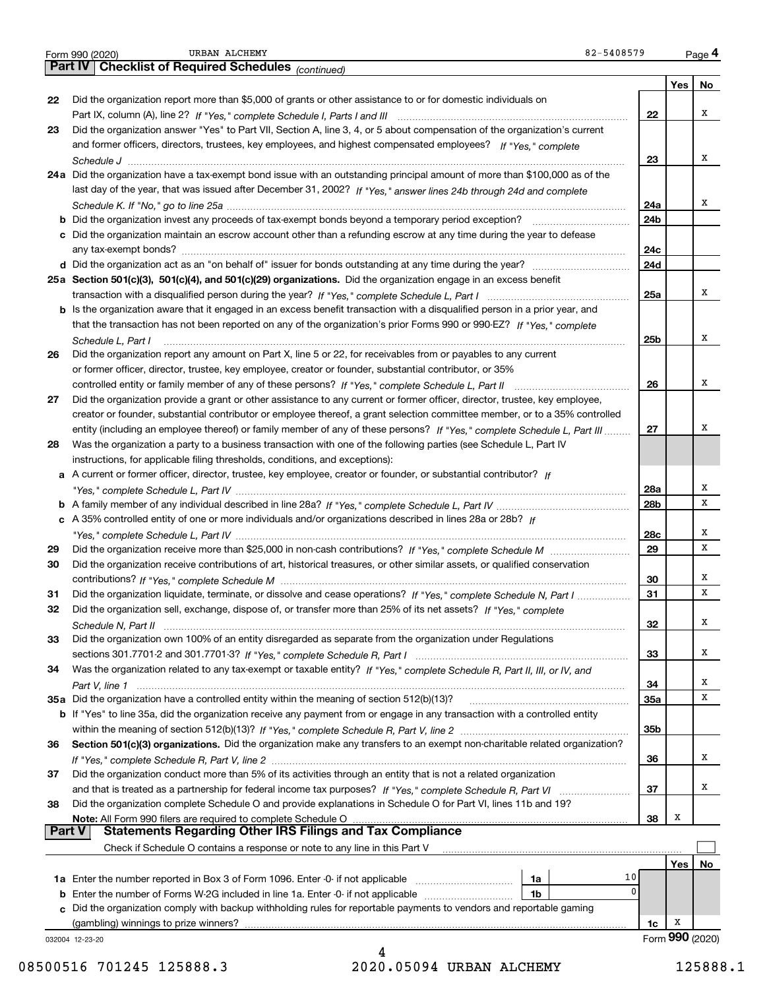|               | URBAN ALCHEMY<br>82-5408579<br>Form 990 (2020)                                                                                                    |                 |     | Page 4          |
|---------------|---------------------------------------------------------------------------------------------------------------------------------------------------|-----------------|-----|-----------------|
|               | Part IV   Checklist of Required Schedules (continued)                                                                                             |                 |     |                 |
|               |                                                                                                                                                   |                 | Yes | No              |
| 22            | Did the organization report more than \$5,000 of grants or other assistance to or for domestic individuals on                                     |                 |     |                 |
|               |                                                                                                                                                   | 22              |     | x               |
| 23            | Did the organization answer "Yes" to Part VII, Section A, line 3, 4, or 5 about compensation of the organization's current                        |                 |     |                 |
|               | and former officers, directors, trustees, key employees, and highest compensated employees? If "Yes," complete                                    |                 |     |                 |
|               |                                                                                                                                                   | 23              |     | x               |
|               | 24a Did the organization have a tax-exempt bond issue with an outstanding principal amount of more than \$100,000 as of the                       |                 |     |                 |
|               | last day of the year, that was issued after December 31, 2002? If "Yes," answer lines 24b through 24d and complete                                |                 |     |                 |
|               |                                                                                                                                                   | 24a             |     | x               |
|               |                                                                                                                                                   | 24b             |     |                 |
|               | c Did the organization maintain an escrow account other than a refunding escrow at any time during the year to defease                            |                 |     |                 |
|               |                                                                                                                                                   | 24c             |     |                 |
|               |                                                                                                                                                   | 24d             |     |                 |
|               | 25a Section 501(c)(3), 501(c)(4), and 501(c)(29) organizations. Did the organization engage in an excess benefit                                  | 25a             |     | x               |
|               | b Is the organization aware that it engaged in an excess benefit transaction with a disqualified person in a prior year, and                      |                 |     |                 |
|               | that the transaction has not been reported on any of the organization's prior Forms 990 or 990-EZ? If "Yes," complete                             |                 |     |                 |
|               | Schedule L, Part I                                                                                                                                | 25b             |     | x               |
| 26            | Did the organization report any amount on Part X, line 5 or 22, for receivables from or payables to any current                                   |                 |     |                 |
|               | or former officer, director, trustee, key employee, creator or founder, substantial contributor, or 35%                                           |                 |     |                 |
|               |                                                                                                                                                   | 26              |     | x               |
| 27            | Did the organization provide a grant or other assistance to any current or former officer, director, trustee, key employee,                       |                 |     |                 |
|               | creator or founder, substantial contributor or employee thereof, a grant selection committee member, or to a 35% controlled                       |                 |     |                 |
|               | entity (including an employee thereof) or family member of any of these persons? If "Yes," complete Schedule L, Part III                          | 27              |     | х               |
| 28            | Was the organization a party to a business transaction with one of the following parties (see Schedule L, Part IV                                 |                 |     |                 |
|               | instructions, for applicable filing thresholds, conditions, and exceptions):                                                                      |                 |     |                 |
|               | a A current or former officer, director, trustee, key employee, creator or founder, or substantial contributor? If                                |                 |     |                 |
|               |                                                                                                                                                   | 28a             |     | х               |
|               |                                                                                                                                                   | 28 <sub>b</sub> |     | x               |
|               | c A 35% controlled entity of one or more individuals and/or organizations described in lines 28a or 28b? If                                       |                 |     |                 |
|               |                                                                                                                                                   | 28c             |     | х               |
| 29            |                                                                                                                                                   | 29              |     | x               |
| 30            | Did the organization receive contributions of art, historical treasures, or other similar assets, or qualified conservation                       |                 |     |                 |
|               |                                                                                                                                                   | 30              |     | х               |
| 31            | Did the organization liquidate, terminate, or dissolve and cease operations? If "Yes," complete Schedule N, Part I                                | 31              |     | X               |
| 32            | Did the organization sell, exchange, dispose of, or transfer more than 25% of its net assets? If "Yes," complete                                  |                 |     |                 |
|               |                                                                                                                                                   | 32              |     | х               |
| 33            | Did the organization own 100% of an entity disregarded as separate from the organization under Regulations                                        |                 |     | х               |
| 34            | Was the organization related to any tax-exempt or taxable entity? If "Yes," complete Schedule R, Part II, III, or IV, and                         | 33              |     |                 |
|               |                                                                                                                                                   | 34              |     | х               |
|               | 35a Did the organization have a controlled entity within the meaning of section 512(b)(13)?                                                       | 35a             |     | x               |
|               | b If "Yes" to line 35a, did the organization receive any payment from or engage in any transaction with a controlled entity                       |                 |     |                 |
|               |                                                                                                                                                   | 35b             |     |                 |
| 36            | Section 501(c)(3) organizations. Did the organization make any transfers to an exempt non-charitable related organization?                        |                 |     |                 |
|               |                                                                                                                                                   | 36              |     | x               |
| 37            | Did the organization conduct more than 5% of its activities through an entity that is not a related organization                                  |                 |     |                 |
|               | and that is treated as a partnership for federal income tax purposes? If "Yes," complete Schedule R, Part VI                                      | 37              |     | х               |
| 38            | Did the organization complete Schedule O and provide explanations in Schedule O for Part VI, lines 11b and 19?                                    |                 |     |                 |
|               | Note: All Form 990 filers are required to complete Schedule O                                                                                     | 38              | X   |                 |
| <b>Part V</b> | <u>s and some of all required to complete Schedule On an announcement compliance</u><br>Statements Regarding Other IRS Filings and Tax Compliance |                 |     |                 |
|               | Check if Schedule O contains a response or note to any line in this Part V                                                                        |                 |     |                 |
|               |                                                                                                                                                   |                 | Yes | No              |
|               | 10<br>1a                                                                                                                                          |                 |     |                 |
|               | 0<br>1 <sub>b</sub>                                                                                                                               |                 |     |                 |
|               | c Did the organization comply with backup withholding rules for reportable payments to vendors and reportable gaming                              |                 |     |                 |
|               | (gambling) winnings to prize winners?                                                                                                             | 1c              | х   |                 |
|               | 032004 12-23-20                                                                                                                                   |                 |     | Form 990 (2020) |
|               | Δ                                                                                                                                                 |                 |     |                 |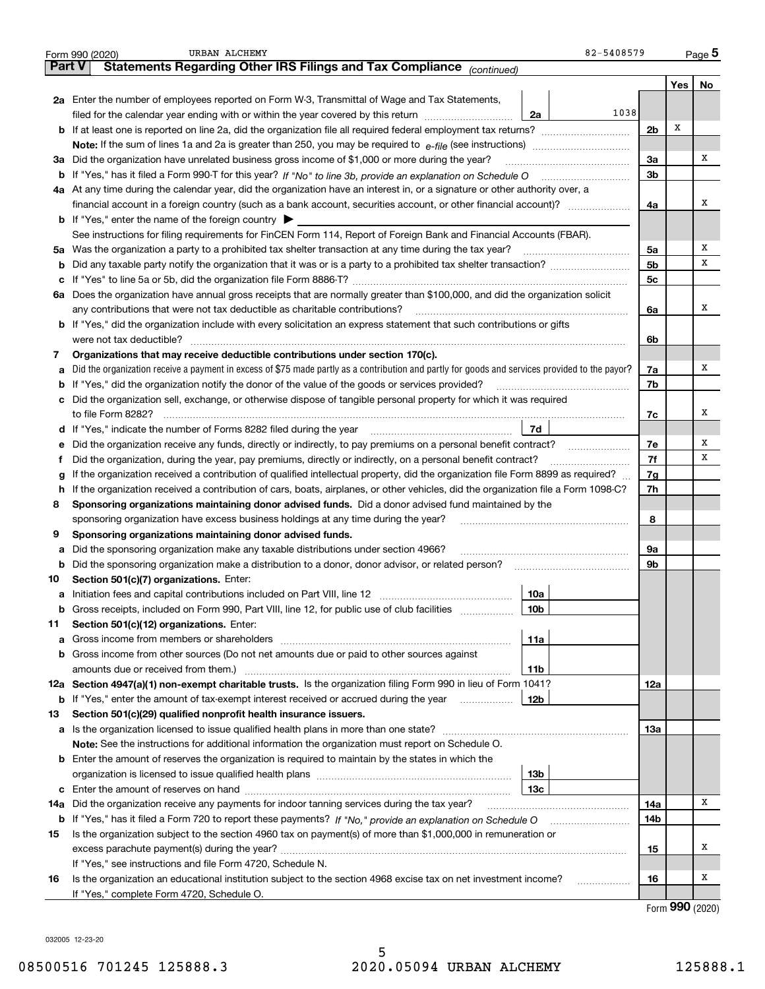|               | 82-5408579<br>URBAN ALCHEMY<br>Form 990 (2020)                                                                                                  |                |     | Page 5  |
|---------------|-------------------------------------------------------------------------------------------------------------------------------------------------|----------------|-----|---------|
| <b>Part V</b> | Statements Regarding Other IRS Filings and Tax Compliance (continued)                                                                           |                |     |         |
|               |                                                                                                                                                 |                | Yes | No      |
|               | 2a Enter the number of employees reported on Form W-3, Transmittal of Wage and Tax Statements,                                                  |                |     |         |
|               | 1038<br>filed for the calendar year ending with or within the year covered by this return<br>2a                                                 |                |     |         |
|               | <b>b</b> If at least one is reported on line 2a, did the organization file all required federal employment tax returns?                         | 2 <sub>b</sub> | х   |         |
|               |                                                                                                                                                 |                |     |         |
| За            | Did the organization have unrelated business gross income of \$1,000 or more during the year?                                                   | 3a             |     | х       |
|               |                                                                                                                                                 | 3b             |     |         |
|               | 4a At any time during the calendar year, did the organization have an interest in, or a signature or other authority over, a                    |                |     |         |
|               | financial account in a foreign country (such as a bank account, securities account, or other financial account)?                                | 4a             |     | х       |
|               | <b>b</b> If "Yes," enter the name of the foreign country $\blacktriangleright$                                                                  |                |     |         |
|               | See instructions for filing requirements for FinCEN Form 114, Report of Foreign Bank and Financial Accounts (FBAR).                             |                |     |         |
|               | 5a Was the organization a party to a prohibited tax shelter transaction at any time during the tax year?                                        | 5a             |     | х       |
| b             |                                                                                                                                                 | 5b             |     | х       |
| c             |                                                                                                                                                 | 5c             |     |         |
|               | 6a Does the organization have annual gross receipts that are normally greater than \$100,000, and did the organization solicit                  |                |     |         |
|               |                                                                                                                                                 | 6a             |     | x       |
|               | <b>b</b> If "Yes," did the organization include with every solicitation an express statement that such contributions or gifts                   |                |     |         |
|               | were not tax deductible?                                                                                                                        | 6b             |     |         |
| 7             | Organizations that may receive deductible contributions under section 170(c).                                                                   |                |     |         |
| a             | Did the organization receive a payment in excess of \$75 made partly as a contribution and partly for goods and services provided to the payor? | 7a             |     | x       |
|               | <b>b</b> If "Yes," did the organization notify the donor of the value of the goods or services provided?                                        | 7b             |     |         |
|               | c Did the organization sell, exchange, or otherwise dispose of tangible personal property for which it was required                             |                |     |         |
|               |                                                                                                                                                 | 7c             |     | x       |
|               | 7d                                                                                                                                              |                |     |         |
| е             | Did the organization receive any funds, directly or indirectly, to pay premiums on a personal benefit contract?                                 | 7e             |     | Х       |
| f             | Did the organization, during the year, pay premiums, directly or indirectly, on a personal benefit contract?                                    | 7f             |     | х       |
| g             | If the organization received a contribution of qualified intellectual property, did the organization file Form 8899 as required?                | 7g             |     |         |
| h.            | If the organization received a contribution of cars, boats, airplanes, or other vehicles, did the organization file a Form 1098-C?              | 7h             |     |         |
| 8             | Sponsoring organizations maintaining donor advised funds. Did a donor advised fund maintained by the                                            |                |     |         |
|               | sponsoring organization have excess business holdings at any time during the year?                                                              | 8              |     |         |
| 9             | Sponsoring organizations maintaining donor advised funds.                                                                                       |                |     |         |
| a             | Did the sponsoring organization make any taxable distributions under section 4966?                                                              | 9a             |     |         |
| b             | Did the sponsoring organization make a distribution to a donor, donor advisor, or related person?                                               | 9b             |     |         |
| 10            | Section 501(c)(7) organizations. Enter:                                                                                                         |                |     |         |
|               | 10a                                                                                                                                             |                |     |         |
|               | 10 <sub>b</sub><br>Gross receipts, included on Form 990, Part VIII, line 12, for public use of club facilities                                  |                |     |         |
| 11            | Section 501(c)(12) organizations. Enter:                                                                                                        |                |     |         |
|               | <b>a</b> Gross income from members or shareholders<br>11a                                                                                       |                |     |         |
|               | <b>b</b> Gross income from other sources (Do not net amounts due or paid to other sources against                                               |                |     |         |
|               | 11b                                                                                                                                             |                |     |         |
|               | 12a Section 4947(a)(1) non-exempt charitable trusts. Is the organization filing Form 990 in lieu of Form 1041?                                  | 12a            |     |         |
|               | 12b<br><b>b</b> If "Yes," enter the amount of tax-exempt interest received or accrued during the year                                           |                |     |         |
| 13            | Section 501(c)(29) qualified nonprofit health insurance issuers.                                                                                |                |     |         |
| a             | Is the organization licensed to issue qualified health plans in more than one state?                                                            | 13а            |     |         |
|               | Note: See the instructions for additional information the organization must report on Schedule O.                                               |                |     |         |
|               | <b>b</b> Enter the amount of reserves the organization is required to maintain by the states in which the                                       |                |     |         |
|               | 13b                                                                                                                                             |                |     |         |
|               | 13с                                                                                                                                             |                |     |         |
| 14a           | Did the organization receive any payments for indoor tanning services during the tax year?                                                      | 14a            |     | x       |
|               | <b>b</b> If "Yes," has it filed a Form 720 to report these payments? If "No," provide an explanation on Schedule O                              | 14b            |     |         |
| 15            | Is the organization subject to the section 4960 tax on payment(s) of more than \$1,000,000 in remuneration or                                   |                |     |         |
|               |                                                                                                                                                 | 15             |     | x       |
|               | If "Yes," see instructions and file Form 4720, Schedule N.                                                                                      |                |     |         |
| 16            | Is the organization an educational institution subject to the section 4968 excise tax on net investment income?                                 | 16             |     | х       |
|               | If "Yes," complete Form 4720, Schedule O.                                                                                                       |                |     | റററ കാര |
|               |                                                                                                                                                 |                |     |         |

Form (2020) **990**

032005 12-23-20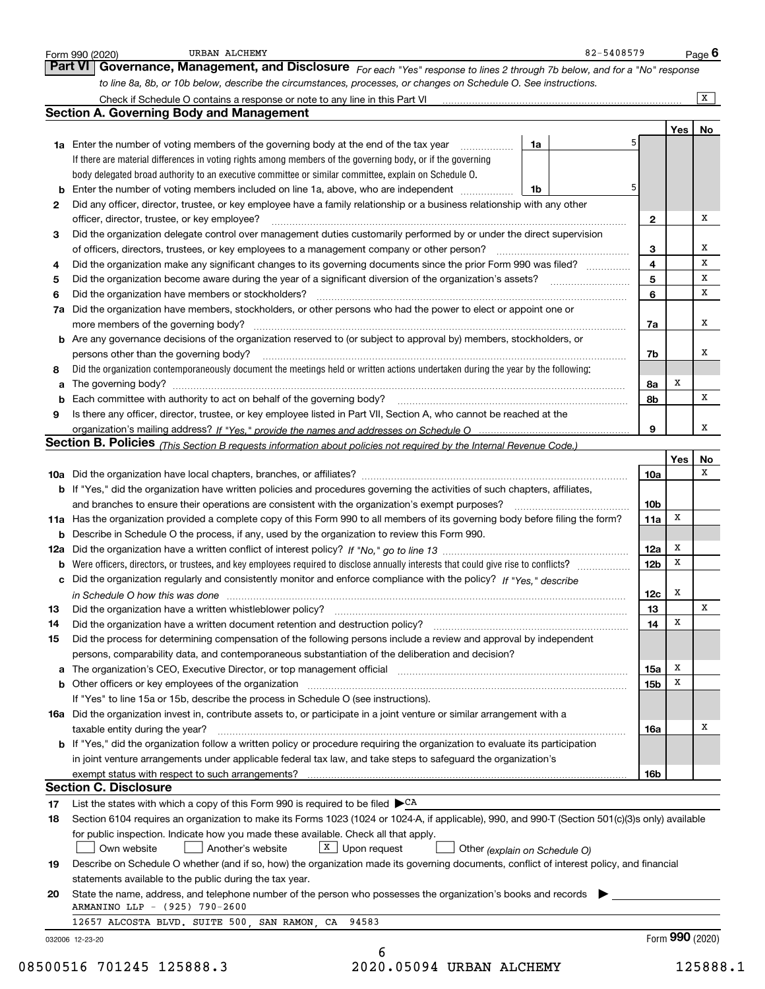|    | to line 8a, 8b, or 10b below, describe the circumstances, processes, or changes on Schedule O. See instructions.                                                                                                                                                                                                                                                             |                 |     |    |
|----|------------------------------------------------------------------------------------------------------------------------------------------------------------------------------------------------------------------------------------------------------------------------------------------------------------------------------------------------------------------------------|-----------------|-----|----|
|    |                                                                                                                                                                                                                                                                                                                                                                              |                 |     | X  |
|    | <b>Section A. Governing Body and Management</b>                                                                                                                                                                                                                                                                                                                              |                 |     |    |
|    |                                                                                                                                                                                                                                                                                                                                                                              |                 | Yes | No |
|    | 1a Enter the number of voting members of the governing body at the end of the tax year<br>1a                                                                                                                                                                                                                                                                                 |                 |     |    |
|    | If there are material differences in voting rights among members of the governing body, or if the governing                                                                                                                                                                                                                                                                  |                 |     |    |
|    | body delegated broad authority to an executive committee or similar committee, explain on Schedule O.                                                                                                                                                                                                                                                                        |                 |     |    |
|    | 5<br><b>b</b> Enter the number of voting members included on line 1a, above, who are independent<br>1b                                                                                                                                                                                                                                                                       |                 |     |    |
| 2  | Did any officer, director, trustee, or key employee have a family relationship or a business relationship with any other                                                                                                                                                                                                                                                     |                 |     |    |
|    | officer, director, trustee, or key employee?                                                                                                                                                                                                                                                                                                                                 | $\mathbf{2}$    |     | x  |
| 3  | Did the organization delegate control over management duties customarily performed by or under the direct supervision                                                                                                                                                                                                                                                        |                 |     |    |
|    | of officers, directors, trustees, or key employees to a management company or other person?                                                                                                                                                                                                                                                                                  | 3               |     | х  |
| 4  | Did the organization make any significant changes to its governing documents since the prior Form 990 was filed?                                                                                                                                                                                                                                                             | 4               |     | х  |
| 5  |                                                                                                                                                                                                                                                                                                                                                                              | 5               |     | х  |
| 6  | Did the organization have members or stockholders?                                                                                                                                                                                                                                                                                                                           | 6               |     | x  |
|    | 7a Did the organization have members, stockholders, or other persons who had the power to elect or appoint one or                                                                                                                                                                                                                                                            |                 |     |    |
|    | more members of the governing body?<br>$\begin{bmatrix} \begin{bmatrix} 0 & 0 & 0 \\ 0 & 0 & 0 \\ 0 & 0 & 0 \\ 0 & 0 & 0 \\ 0 & 0 & 0 \\ 0 & 0 & 0 \\ 0 & 0 & 0 & 0 \\ 0 & 0 & 0 & 0 \\ 0 & 0 & 0 & 0 \\ 0 & 0 & 0 & 0 & 0 \\ 0 & 0 & 0 & 0 & 0 \\ 0 & 0 & 0 & 0 & 0 \\ 0 & 0 & 0 & 0 & 0 & 0 \\ 0 & 0 & 0 & 0 & 0 & 0 \\ 0 & 0 & 0 & 0 & 0 & 0 & 0 \\ 0 & 0 & 0 & 0 & 0 & $ | 7a              |     | x  |
|    | b Are any governance decisions of the organization reserved to (or subject to approval by) members, stockholders, or                                                                                                                                                                                                                                                         |                 |     |    |
|    | persons other than the governing body?                                                                                                                                                                                                                                                                                                                                       | 7b              |     | х  |
| 8  | Did the organization contemporaneously document the meetings held or written actions undertaken during the year by the following:                                                                                                                                                                                                                                            |                 |     |    |
| a  |                                                                                                                                                                                                                                                                                                                                                                              | 8а              | х   |    |
|    |                                                                                                                                                                                                                                                                                                                                                                              | 8b              |     | X  |
| 9  | Is there any officer, director, trustee, or key employee listed in Part VII, Section A, who cannot be reached at the                                                                                                                                                                                                                                                         |                 |     |    |
|    |                                                                                                                                                                                                                                                                                                                                                                              | 9               |     | X  |
|    | Section B. Policies (This Section B requests information about policies not required by the Internal Revenue Code.)                                                                                                                                                                                                                                                          |                 |     |    |
|    |                                                                                                                                                                                                                                                                                                                                                                              |                 | Yes | No |
|    |                                                                                                                                                                                                                                                                                                                                                                              | 10a             |     | х  |
|    | <b>b</b> If "Yes," did the organization have written policies and procedures governing the activities of such chapters, affiliates,                                                                                                                                                                                                                                          |                 |     |    |
|    | and branches to ensure their operations are consistent with the organization's exempt purposes?                                                                                                                                                                                                                                                                              | 10 <sub>b</sub> |     |    |
|    | 11a Has the organization provided a complete copy of this Form 990 to all members of its governing body before filing the form?                                                                                                                                                                                                                                              | 11a             | х   |    |
|    | <b>b</b> Describe in Schedule O the process, if any, used by the organization to review this Form 990.                                                                                                                                                                                                                                                                       |                 |     |    |
|    |                                                                                                                                                                                                                                                                                                                                                                              | 12a             | x   |    |
|    |                                                                                                                                                                                                                                                                                                                                                                              | 12 <sub>b</sub> | x   |    |
|    | <b>b</b> Were officers, directors, or trustees, and key employees required to disclose annually interests that could give rise to conflicts?                                                                                                                                                                                                                                 |                 |     |    |
|    | c Did the organization regularly and consistently monitor and enforce compliance with the policy? If "Yes," describe                                                                                                                                                                                                                                                         |                 | x   |    |
|    | in Schedule O how this was done manufactured and continuum control of the state of the state of the state of t                                                                                                                                                                                                                                                               | 12c             |     | х  |
| 13 | Did the organization have a written whistleblower policy?                                                                                                                                                                                                                                                                                                                    | 13              |     |    |
| 14 | Did the organization have a written document retention and destruction policy?                                                                                                                                                                                                                                                                                               | 14              | х   |    |
| 15 | Did the process for determining compensation of the following persons include a review and approval by independent                                                                                                                                                                                                                                                           |                 |     |    |
|    | persons, comparability data, and contemporaneous substantiation of the deliberation and decision?                                                                                                                                                                                                                                                                            |                 |     |    |
|    |                                                                                                                                                                                                                                                                                                                                                                              | 15a             | х   |    |
|    |                                                                                                                                                                                                                                                                                                                                                                              | 15b             | x   |    |
|    | If "Yes" to line 15a or 15b, describe the process in Schedule O (see instructions).                                                                                                                                                                                                                                                                                          |                 |     |    |
|    | 16a Did the organization invest in, contribute assets to, or participate in a joint venture or similar arrangement with a                                                                                                                                                                                                                                                    |                 |     |    |
|    | taxable entity during the year?                                                                                                                                                                                                                                                                                                                                              | 16a             |     | х  |
|    | <b>b</b> If "Yes," did the organization follow a written policy or procedure requiring the organization to evaluate its participation                                                                                                                                                                                                                                        |                 |     |    |
|    | in joint venture arrangements under applicable federal tax law, and take steps to safequard the organization's                                                                                                                                                                                                                                                               |                 |     |    |
|    |                                                                                                                                                                                                                                                                                                                                                                              | 16b             |     |    |
|    | <b>Section C. Disclosure</b>                                                                                                                                                                                                                                                                                                                                                 |                 |     |    |
|    | List the states with which a copy of this Form 990 is required to be filed $\blacktriangleright$ CA                                                                                                                                                                                                                                                                          |                 |     |    |
|    |                                                                                                                                                                                                                                                                                                                                                                              |                 |     |    |
| 18 | Section 6104 requires an organization to make its Forms 1023 (1024 or 1024-A, if applicable), 990, and 990-T (Section 501(c)(3)s only) available                                                                                                                                                                                                                             |                 |     |    |
| 17 | for public inspection. Indicate how you made these available. Check all that apply.                                                                                                                                                                                                                                                                                          |                 |     |    |
|    | $X$ Upon request<br>Another's website<br>Own website<br>Other (explain on Schedule O)                                                                                                                                                                                                                                                                                        |                 |     |    |
| 19 | Describe on Schedule O whether (and if so, how) the organization made its governing documents, conflict of interest policy, and financial                                                                                                                                                                                                                                    |                 |     |    |
|    | statements available to the public during the tax year.                                                                                                                                                                                                                                                                                                                      |                 |     |    |
| 20 | State the name, address, and telephone number of the person who possesses the organization's books and records                                                                                                                                                                                                                                                               |                 |     |    |
|    | ARMANINO LLP - (925) 790-2600                                                                                                                                                                                                                                                                                                                                                |                 |     |    |
|    | 12657 ALCOSTA BLVD. SUITE 500, SAN RAMON, CA 94583                                                                                                                                                                                                                                                                                                                           |                 |     |    |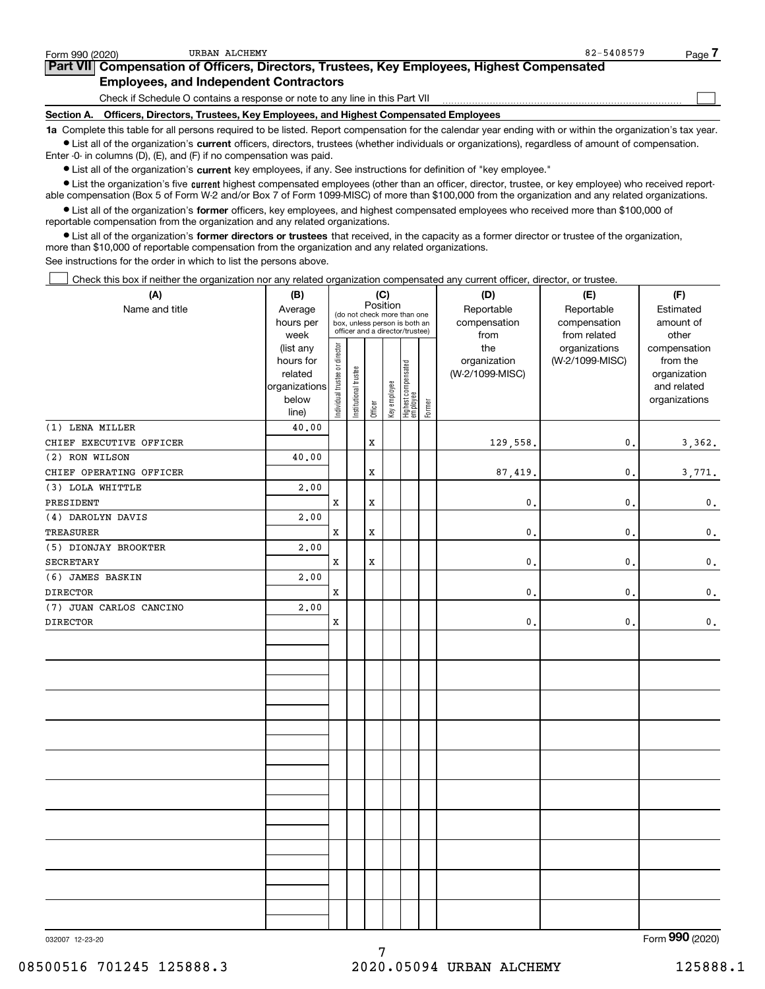| Form 990 (2020)   | URBAN ALCHEMY                                                                                     | 82-5408579                                                                                                                                                 | Page |
|-------------------|---------------------------------------------------------------------------------------------------|------------------------------------------------------------------------------------------------------------------------------------------------------------|------|
|                   | <b>Part VII</b> Compensation of Officers, Directors, Trustees, Key Employees, Highest Compensated |                                                                                                                                                            |      |
|                   | <b>Employees, and Independent Contractors</b>                                                     |                                                                                                                                                            |      |
|                   | Check if Schedule O contains a response or note to any line in this Part VII                      |                                                                                                                                                            |      |
| <b>Section A.</b> | Officers, Directors, Trustees, Key Employees, and Highest Compensated Employees                   |                                                                                                                                                            |      |
|                   |                                                                                                   | 1a Complete this table for all persons required to be listed. Report compensation for the calendar year ending with or within the organization's tax year. |      |

**•** List all of the organization's current officers, directors, trustees (whether individuals or organizations), regardless of amount of compensation. Enter -0- in columns (D), (E), and (F) if no compensation was paid.

 $\bullet$  List all of the organization's  $\,$ current key employees, if any. See instructions for definition of "key employee."

**•** List the organization's five current highest compensated employees (other than an officer, director, trustee, or key employee) who received reportable compensation (Box 5 of Form W-2 and/or Box 7 of Form 1099-MISC) of more than \$100,000 from the organization and any related organizations.

**•** List all of the organization's former officers, key employees, and highest compensated employees who received more than \$100,000 of reportable compensation from the organization and any related organizations.

**former directors or trustees**  ¥ List all of the organization's that received, in the capacity as a former director or trustee of the organization, more than \$10,000 of reportable compensation from the organization and any related organizations.

See instructions for the order in which to list the persons above.

Check this box if neither the organization nor any related organization compensated any current officer, director, or trustee.  $\mathcal{L}^{\text{max}}$ 

| (A)                     | (B)               |                                |                       |         | (C)          |                                                                  |        | (D)                  | (E)                          | (F)                |
|-------------------------|-------------------|--------------------------------|-----------------------|---------|--------------|------------------------------------------------------------------|--------|----------------------|------------------------------|--------------------|
| Name and title          | Average           |                                |                       |         | Position     | (do not check more than one                                      |        | Reportable           | Reportable                   | Estimated          |
|                         | hours per<br>week |                                |                       |         |              | box, unless person is both an<br>officer and a director/trustee) |        | compensation<br>from | compensation<br>from related | amount of<br>other |
|                         | (list any         |                                |                       |         |              |                                                                  |        | the                  | organizations                | compensation       |
|                         | hours for         |                                |                       |         |              |                                                                  |        | organization         | (W-2/1099-MISC)              | from the           |
|                         | related           |                                |                       |         |              |                                                                  |        | (W-2/1099-MISC)      |                              | organization       |
|                         | organizations     |                                |                       |         |              |                                                                  |        |                      |                              | and related        |
|                         | below<br>line)    | Individual trustee or director | Institutional trustee | Officer | Key employee | Highest compensated<br>  employee                                | Former |                      |                              | organizations      |
| (1) LENA MILLER         | 40.00             |                                |                       |         |              |                                                                  |        |                      |                              |                    |
| CHIEF EXECUTIVE OFFICER |                   |                                |                       | X       |              |                                                                  |        | 129,558.             | $\mathfrak o$ .              | 3,362.             |
| (2) RON WILSON          | 40.00             |                                |                       |         |              |                                                                  |        |                      |                              |                    |
| CHIEF OPERATING OFFICER |                   |                                |                       | X       |              |                                                                  |        | 87, 419.             | $\mathfrak{o}$ .             | 3,771.             |
| (3) LOLA WHITTLE        | 2,00              |                                |                       |         |              |                                                                  |        |                      |                              |                    |
| PRESIDENT               |                   | X                              |                       | X       |              |                                                                  |        | $\mathbf{0}$ .       | $\mathfrak{o}$ .             | $\mathbf 0$ .      |
| (4) DAROLYN DAVIS       | 2,00              |                                |                       |         |              |                                                                  |        |                      |                              |                    |
| TREASURER               |                   | $\mathbf x$                    |                       | X       |              |                                                                  |        | 0.                   | 0.                           | $\mathbf 0$ .      |
| (5) DIONJAY BROOKTER    | 2,00              |                                |                       |         |              |                                                                  |        |                      |                              |                    |
| <b>SECRETARY</b>        |                   | $\mathbf x$                    |                       | X       |              |                                                                  |        | $\mathbf{0}$ .       | $\mathfrak o$ .              | $\mathbf 0$ .      |
| (6) JAMES BASKIN        | 2,00              |                                |                       |         |              |                                                                  |        |                      |                              |                    |
| <b>DIRECTOR</b>         |                   | $\mathbf x$                    |                       |         |              |                                                                  |        | $\mathbf{0}$ .       | $\mathfrak{o}$ .             | $\mathbf 0$ .      |
| (7) JUAN CARLOS CANCINO | 2,00              |                                |                       |         |              |                                                                  |        |                      |                              |                    |
| <b>DIRECTOR</b>         |                   | X                              |                       |         |              |                                                                  |        | 0.                   | 0.                           | $\mathbf 0$ .      |
|                         |                   |                                |                       |         |              |                                                                  |        |                      |                              |                    |
|                         |                   |                                |                       |         |              |                                                                  |        |                      |                              |                    |
|                         |                   |                                |                       |         |              |                                                                  |        |                      |                              |                    |
|                         |                   |                                |                       |         |              |                                                                  |        |                      |                              |                    |
|                         |                   |                                |                       |         |              |                                                                  |        |                      |                              |                    |
|                         |                   |                                |                       |         |              |                                                                  |        |                      |                              |                    |
|                         |                   |                                |                       |         |              |                                                                  |        |                      |                              |                    |
|                         |                   |                                |                       |         |              |                                                                  |        |                      |                              |                    |
|                         |                   |                                |                       |         |              |                                                                  |        |                      |                              |                    |
|                         |                   |                                |                       |         |              |                                                                  |        |                      |                              |                    |
|                         |                   |                                |                       |         |              |                                                                  |        |                      |                              |                    |
|                         |                   |                                |                       |         |              |                                                                  |        |                      |                              |                    |
|                         |                   |                                |                       |         |              |                                                                  |        |                      |                              |                    |
|                         |                   |                                |                       |         |              |                                                                  |        |                      |                              |                    |
|                         |                   |                                |                       |         |              |                                                                  |        |                      |                              |                    |
|                         |                   |                                |                       |         |              |                                                                  |        |                      |                              |                    |
|                         |                   |                                |                       |         |              |                                                                  |        |                      |                              |                    |
|                         |                   |                                |                       |         |              |                                                                  |        |                      |                              |                    |
|                         |                   |                                |                       |         |              |                                                                  |        |                      |                              |                    |

032007 12-23-20

Form (2020) **990**

7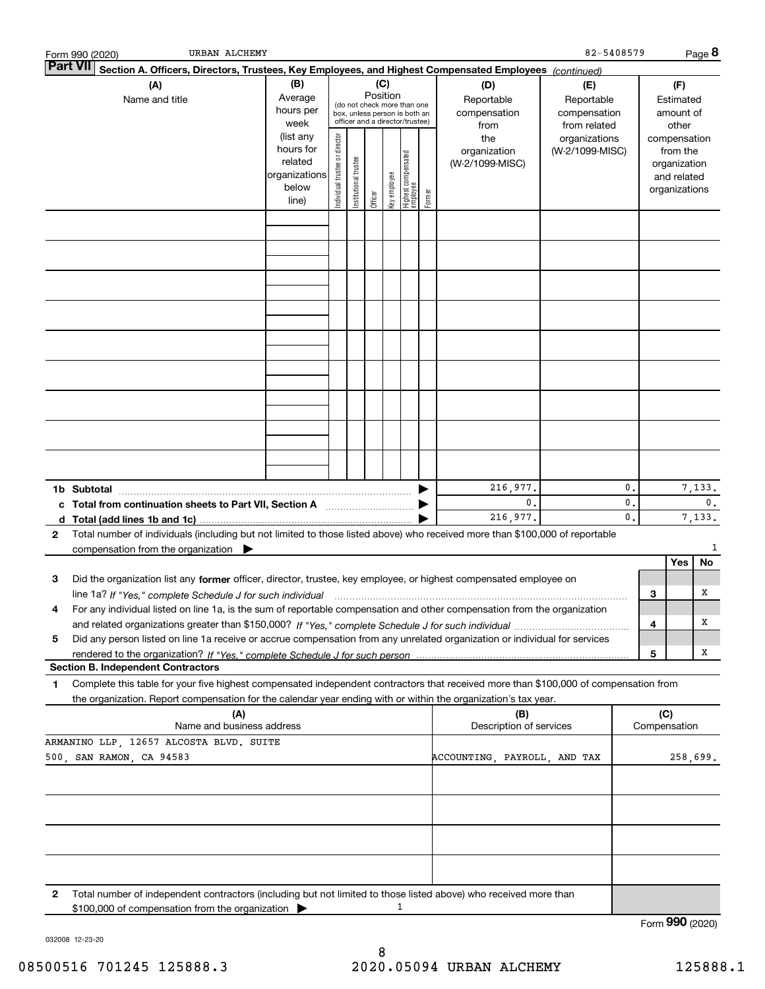|                 | URBAN ALCHEMY<br>Form 990 (2020)                                                                                                     |                                                                                                                                                                                                        |                                |                       |         |              |                                 |        |                                        |                                                   | 82-5408579 |     |                                                                          | Page 8       |
|-----------------|--------------------------------------------------------------------------------------------------------------------------------------|--------------------------------------------------------------------------------------------------------------------------------------------------------------------------------------------------------|--------------------------------|-----------------------|---------|--------------|---------------------------------|--------|----------------------------------------|---------------------------------------------------|------------|-----|--------------------------------------------------------------------------|--------------|
| <b>Part VII</b> | Section A. Officers, Directors, Trustees, Key Employees, and Highest Compensated Employees (continued)                               |                                                                                                                                                                                                        |                                |                       |         |              |                                 |        |                                        |                                                   |            |     |                                                                          |              |
|                 | (A)<br>Name and title                                                                                                                | (B)<br>(C)<br>(D)<br>Position<br>Average<br>Reportable<br>(do not check more than one<br>hours per<br>compensation<br>box, unless person is both an<br>officer and a director/trustee)<br>week<br>from |                                |                       |         |              |                                 |        |                                        | (E)<br>Reportable<br>compensation<br>from related |            |     | (F)<br>Estimated<br>amount of<br>other                                   |              |
|                 |                                                                                                                                      | (list any<br>hours for<br>related<br>organizations<br>below<br>line)                                                                                                                                   | Individual trustee or director | Institutional trustee | Officer | Key employee | Highest compensated<br>employee | Former | the<br>organization<br>(W-2/1099-MISC) | organizations<br>(W-2/1099-MISC)                  |            |     | compensation<br>from the<br>organization<br>and related<br>organizations |              |
|                 |                                                                                                                                      |                                                                                                                                                                                                        |                                |                       |         |              |                                 |        |                                        |                                                   |            |     |                                                                          |              |
|                 |                                                                                                                                      |                                                                                                                                                                                                        |                                |                       |         |              |                                 |        |                                        |                                                   |            |     |                                                                          |              |
|                 |                                                                                                                                      |                                                                                                                                                                                                        |                                |                       |         |              |                                 |        |                                        |                                                   |            |     |                                                                          |              |
|                 |                                                                                                                                      |                                                                                                                                                                                                        |                                |                       |         |              |                                 |        |                                        |                                                   |            |     |                                                                          |              |
|                 |                                                                                                                                      |                                                                                                                                                                                                        |                                |                       |         |              |                                 |        |                                        |                                                   |            |     |                                                                          |              |
|                 |                                                                                                                                      |                                                                                                                                                                                                        |                                |                       |         |              |                                 |        |                                        |                                                   |            |     |                                                                          |              |
|                 |                                                                                                                                      |                                                                                                                                                                                                        |                                |                       |         |              |                                 |        |                                        |                                                   |            |     |                                                                          |              |
|                 |                                                                                                                                      |                                                                                                                                                                                                        |                                |                       |         |              |                                 |        |                                        |                                                   |            |     |                                                                          |              |
|                 | 1b Subtotal                                                                                                                          |                                                                                                                                                                                                        |                                |                       |         |              |                                 |        | 216,977.<br>$\mathbf 0$ .              |                                                   | 0.<br>0.   |     |                                                                          | 7,133.<br>0. |
| d               |                                                                                                                                      |                                                                                                                                                                                                        |                                |                       |         |              |                                 |        | 216,977.                               |                                                   | 0.         |     |                                                                          | 7,133.       |
| 2               | Total number of individuals (including but not limited to those listed above) who received more than \$100,000 of reportable         |                                                                                                                                                                                                        |                                |                       |         |              |                                 |        |                                        |                                                   |            |     |                                                                          |              |
|                 | compensation from the organization $\qquad \qquad$                                                                                   |                                                                                                                                                                                                        |                                |                       |         |              |                                 |        |                                        |                                                   |            |     |                                                                          | 1            |
| З               | Did the organization list any former officer, director, trustee, key employee, or highest compensated employee on                    |                                                                                                                                                                                                        |                                |                       |         |              |                                 |        |                                        |                                                   |            |     | Yes                                                                      | No           |
|                 |                                                                                                                                      |                                                                                                                                                                                                        |                                |                       |         |              |                                 |        |                                        |                                                   |            | 3   |                                                                          | х            |
|                 | For any individual listed on line 1a, is the sum of reportable compensation and other compensation from the organization             |                                                                                                                                                                                                        |                                |                       |         |              |                                 |        |                                        |                                                   |            |     |                                                                          |              |
|                 |                                                                                                                                      |                                                                                                                                                                                                        |                                |                       |         |              |                                 |        |                                        |                                                   |            | 4   |                                                                          | х            |
| 5               | Did any person listed on line 1a receive or accrue compensation from any unrelated organization or individual for services           |                                                                                                                                                                                                        |                                |                       |         |              |                                 |        |                                        |                                                   |            |     |                                                                          | х            |
|                 | <b>Section B. Independent Contractors</b>                                                                                            |                                                                                                                                                                                                        |                                |                       |         |              |                                 |        |                                        |                                                   |            | 5   |                                                                          |              |
| 1               | Complete this table for your five highest compensated independent contractors that received more than \$100,000 of compensation from |                                                                                                                                                                                                        |                                |                       |         |              |                                 |        |                                        |                                                   |            |     |                                                                          |              |
|                 | the organization. Report compensation for the calendar year ending with or within the organization's tax year.                       |                                                                                                                                                                                                        |                                |                       |         |              |                                 |        |                                        |                                                   |            |     |                                                                          |              |
|                 | (A)<br>Name and business address                                                                                                     |                                                                                                                                                                                                        |                                |                       |         |              |                                 |        | (B)<br>Description of services         |                                                   |            | (C) | Compensation                                                             |              |
|                 | ARMANINO LLP, 12657 ALCOSTA BLVD. SUITE                                                                                              |                                                                                                                                                                                                        |                                |                       |         |              |                                 |        |                                        |                                                   |            |     |                                                                          |              |
|                 | 500, SAN RAMON, CA 94583                                                                                                             |                                                                                                                                                                                                        |                                |                       |         |              |                                 |        | ACCOUNTING PAYROLL AND TAX             |                                                   |            |     | 258,699.                                                                 |              |
|                 |                                                                                                                                      |                                                                                                                                                                                                        |                                |                       |         |              |                                 |        |                                        |                                                   |            |     |                                                                          |              |
|                 |                                                                                                                                      |                                                                                                                                                                                                        |                                |                       |         |              |                                 |        |                                        |                                                   |            |     |                                                                          |              |
|                 |                                                                                                                                      |                                                                                                                                                                                                        |                                |                       |         |              |                                 |        |                                        |                                                   |            |     |                                                                          |              |
| 2               | Total number of independent contractors (including but not limited to those listed above) who received more than                     |                                                                                                                                                                                                        |                                |                       |         |              |                                 |        |                                        |                                                   |            |     |                                                                          |              |
|                 | \$100,000 of compensation from the organization                                                                                      |                                                                                                                                                                                                        |                                |                       |         |              | 1                               |        |                                        |                                                   |            |     |                                                                          |              |
|                 |                                                                                                                                      |                                                                                                                                                                                                        |                                |                       |         |              |                                 |        |                                        |                                                   |            |     | Form 990 (2020)                                                          |              |

032008 12-23-20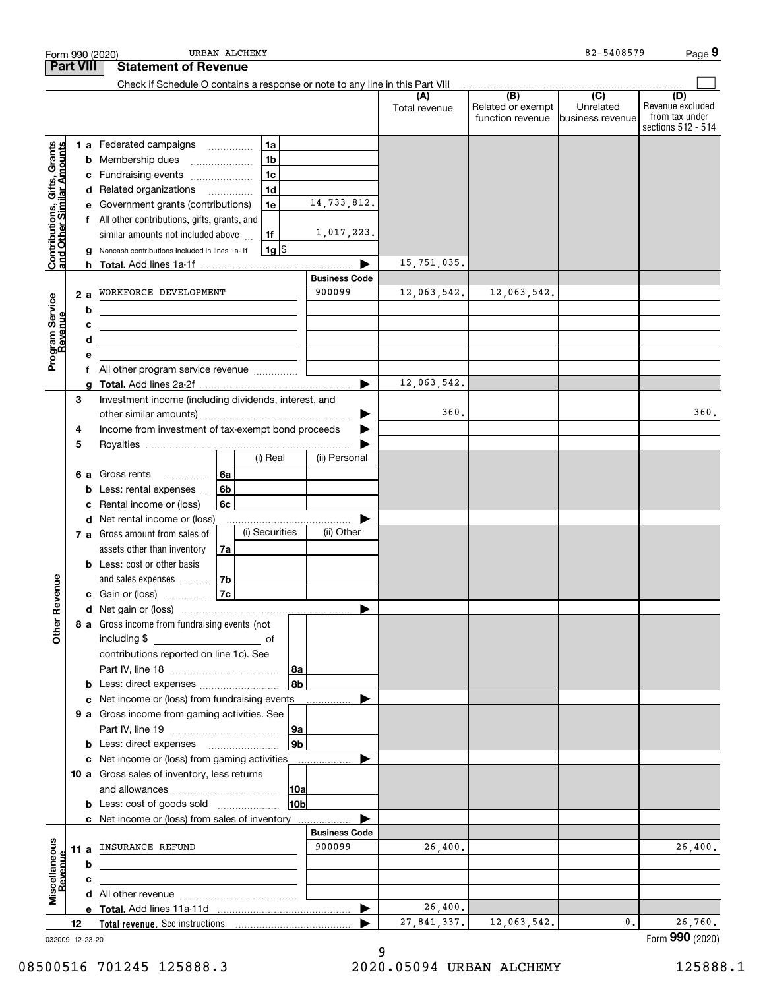|                                                           |      |        | URBAN ALCHEMY<br>Form 990 (2020)                                                          |                      |                          |                          | 82-5408579       | Page 9                               |
|-----------------------------------------------------------|------|--------|-------------------------------------------------------------------------------------------|----------------------|--------------------------|--------------------------|------------------|--------------------------------------|
| <b>Part VIII</b>                                          |      |        | <b>Statement of Revenue</b>                                                               |                      |                          |                          |                  |                                      |
|                                                           |      |        | Check if Schedule O contains a response or note to any line in this Part VIII             |                      | (A)<br>Total revenue     | (B)<br>Related or exempt | (C)<br>Unrelated | (D)<br>Revenue excluded              |
|                                                           |      |        |                                                                                           |                      |                          | function revenue         | business revenue | from tax under<br>sections 512 - 514 |
|                                                           |      |        | 1a<br>1 a Federated campaigns                                                             |                      |                          |                          |                  |                                      |
|                                                           |      | b      | 1 <sub>b</sub><br>Membership dues<br>$\ldots \ldots \ldots \ldots \ldots$                 |                      |                          |                          |                  |                                      |
|                                                           |      | c      | 1 <sub>c</sub><br>Fundraising events                                                      |                      |                          |                          |                  |                                      |
|                                                           |      | d      | 1 <sub>d</sub><br>Related organizations                                                   | 14,733,812.          |                          |                          |                  |                                      |
|                                                           |      | е      | Government grants (contributions)<br>1e                                                   |                      |                          |                          |                  |                                      |
| Contributions, Gifts, Grants<br>and Other Similar Amounts |      |        | f All other contributions, gifts, grants, and<br>similar amounts not included above<br>1f | 1,017,223.           |                          |                          |                  |                                      |
|                                                           |      | g      | $1g$ \$<br>Noncash contributions included in lines 1a-1f                                  |                      |                          |                          |                  |                                      |
|                                                           |      | h.     | <b>Total.</b> Add lines 1a-1f                                                             |                      | 15,751,035.              |                          |                  |                                      |
|                                                           |      |        |                                                                                           | <b>Business Code</b> |                          |                          |                  |                                      |
|                                                           | 2a   |        | WORKFORCE DEVELOPMENT                                                                     | 900099               | 12,063,542.              | 12,063,542.              |                  |                                      |
|                                                           |      | b      |                                                                                           |                      |                          |                          |                  |                                      |
|                                                           |      | с      | the contract of the contract of the contract of the contract of the contract of           |                      |                          |                          |                  |                                      |
| Program Service<br>Revenue                                |      | d      | the contract of the contract of the contract of the contract of the contract of           |                      |                          |                          |                  |                                      |
|                                                           |      | е      |                                                                                           |                      |                          |                          |                  |                                      |
|                                                           |      | g      |                                                                                           |                      | 12,063,542.              |                          |                  |                                      |
|                                                           | 3    |        | Investment income (including dividends, interest, and                                     |                      |                          |                          |                  |                                      |
|                                                           |      |        |                                                                                           |                      | 360.                     |                          |                  | 360.                                 |
|                                                           | 4    |        | Income from investment of tax-exempt bond proceeds                                        |                      |                          |                          |                  |                                      |
|                                                           | 5    |        |                                                                                           |                      |                          |                          |                  |                                      |
|                                                           |      |        | (i) Real                                                                                  | (ii) Personal        |                          |                          |                  |                                      |
|                                                           | 6а   |        | Gross rents<br>6a<br>.<br>6b                                                              |                      |                          |                          |                  |                                      |
|                                                           |      | b<br>с | Less: rental expenses<br>6c<br>Rental income or (loss)                                    |                      |                          |                          |                  |                                      |
|                                                           |      | d      | Net rental income or (loss)                                                               |                      |                          |                          |                  |                                      |
|                                                           |      |        | (i) Securities<br>7 a Gross amount from sales of                                          | (ii) Other           |                          |                          |                  |                                      |
|                                                           |      |        | assets other than inventory<br>7a                                                         |                      |                          |                          |                  |                                      |
|                                                           |      |        | <b>b</b> Less: cost or other basis                                                        |                      |                          |                          |                  |                                      |
|                                                           |      |        | and sales expenses<br>7b                                                                  |                      |                          |                          |                  |                                      |
| enueve                                                    |      |        | 7c<br>c Gain or (loss)                                                                    |                      |                          |                          |                  |                                      |
|                                                           |      |        |                                                                                           |                      |                          |                          |                  |                                      |
| Other R                                                   |      |        | 8 a Gross income from fundraising events (not<br>including \$                             |                      |                          |                          |                  |                                      |
|                                                           |      |        | of<br>contributions reported on line 1c). See                                             |                      |                          |                          |                  |                                      |
|                                                           |      |        | 8a                                                                                        |                      |                          |                          |                  |                                      |
|                                                           |      | b      | 8b<br>Less: direct expenses                                                               |                      |                          |                          |                  |                                      |
|                                                           |      | c      | Net income or (loss) from fundraising events                                              |                      |                          |                          |                  |                                      |
|                                                           |      |        | 9 a Gross income from gaming activities. See                                              |                      |                          |                          |                  |                                      |
|                                                           |      |        | 9a                                                                                        |                      |                          |                          |                  |                                      |
|                                                           |      | b      | 9 <sub>b</sub>                                                                            |                      |                          |                          |                  |                                      |
|                                                           |      | с      | Net income or (loss) from gaming activities                                               |                      |                          |                          |                  |                                      |
|                                                           |      |        | 10 a Gross sales of inventory, less returns                                               |                      |                          |                          |                  |                                      |
|                                                           |      |        | 10a<br>10b<br><b>b</b> Less: cost of goods sold                                           |                      |                          |                          |                  |                                      |
|                                                           |      |        | c Net income or (loss) from sales of inventory                                            |                      |                          |                          |                  |                                      |
|                                                           |      |        |                                                                                           | <b>Business Code</b> |                          |                          |                  |                                      |
|                                                           | 11 a |        | INSURANCE REFUND                                                                          | 900099               | 26,400.                  |                          |                  | 26,400.                              |
| Miscellaneous<br>Revenue                                  |      | b      |                                                                                           |                      |                          |                          |                  |                                      |
|                                                           |      | с      |                                                                                           |                      |                          |                          |                  |                                      |
|                                                           |      | d      |                                                                                           |                      |                          |                          |                  |                                      |
|                                                           |      |        |                                                                                           |                      | 26,400.<br>27, 841, 337. | 12,063,542.              | 0.               | 26,760.                              |
|                                                           | 12   |        |                                                                                           |                      |                          |                          |                  | Form 990 (2020)                      |
| 032009 12-23-20                                           |      |        |                                                                                           |                      |                          |                          |                  |                                      |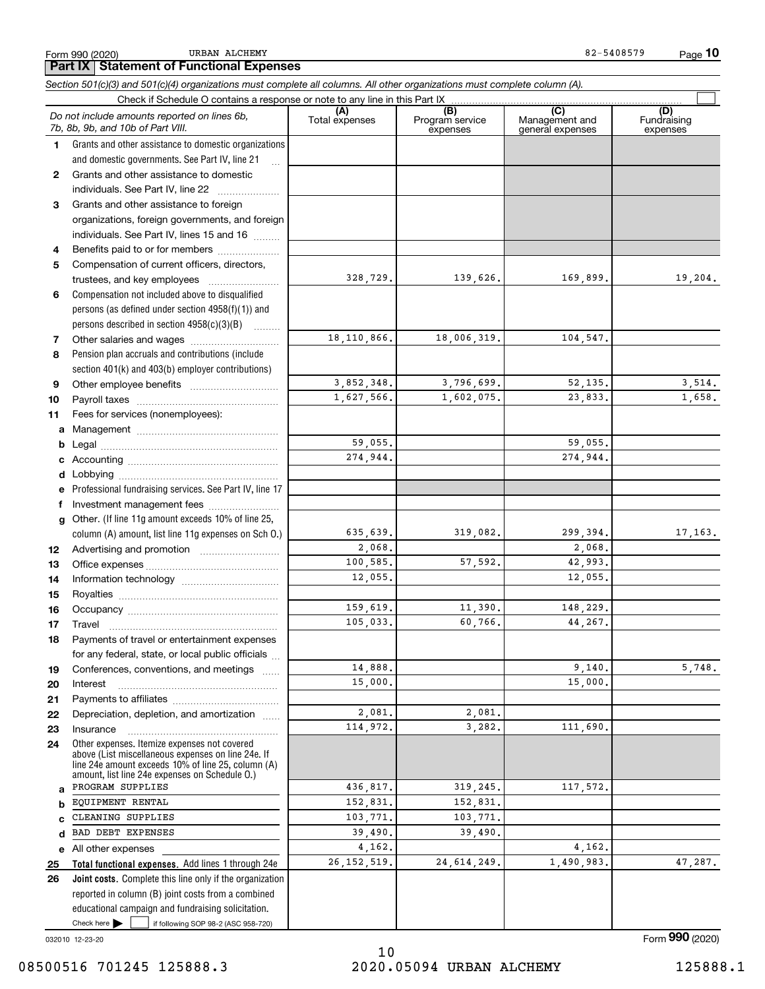Form 990 (2020) URBAN ALCHEMY 82-5408579 URBAN ALCHEMY

*Section 501(c)(3) and 501(c)(4) organizations must complete all columns. All other organizations must complete column (A).*

|              | Do not include amounts reported on lines 6b,<br>7b, 8b, 9b, and 10b of Part VIII.                                                                                                                          | (A)<br>Total expenses | (B)<br>Program service<br>expenses | (C)<br>Management and<br>general expenses | (D)<br>Fundraising<br>expenses |
|--------------|------------------------------------------------------------------------------------------------------------------------------------------------------------------------------------------------------------|-----------------------|------------------------------------|-------------------------------------------|--------------------------------|
| 1.           | Grants and other assistance to domestic organizations                                                                                                                                                      |                       |                                    |                                           |                                |
|              | and domestic governments. See Part IV, line 21                                                                                                                                                             |                       |                                    |                                           |                                |
| $\mathbf{2}$ | Grants and other assistance to domestic                                                                                                                                                                    |                       |                                    |                                           |                                |
|              | individuals. See Part IV, line 22                                                                                                                                                                          |                       |                                    |                                           |                                |
| 3            | Grants and other assistance to foreign                                                                                                                                                                     |                       |                                    |                                           |                                |
|              | organizations, foreign governments, and foreign                                                                                                                                                            |                       |                                    |                                           |                                |
|              | individuals. See Part IV, lines 15 and 16                                                                                                                                                                  |                       |                                    |                                           |                                |
| 4            | Benefits paid to or for members                                                                                                                                                                            |                       |                                    |                                           |                                |
| 5            | Compensation of current officers, directors,                                                                                                                                                               |                       |                                    |                                           |                                |
|              |                                                                                                                                                                                                            | 328,729.              | 139,626.                           | 169,899.                                  | 19,204.                        |
| 6            | Compensation not included above to disqualified                                                                                                                                                            |                       |                                    |                                           |                                |
|              | persons (as defined under section 4958(f)(1)) and                                                                                                                                                          |                       |                                    |                                           |                                |
|              | persons described in section 4958(c)(3)(B)                                                                                                                                                                 |                       |                                    |                                           |                                |
| 7            |                                                                                                                                                                                                            | 18, 110, 866.         | 18,006,319.                        | 104,547.                                  |                                |
| 8            | Pension plan accruals and contributions (include                                                                                                                                                           |                       |                                    |                                           |                                |
|              | section 401(k) and 403(b) employer contributions)                                                                                                                                                          |                       |                                    |                                           |                                |
| 9            |                                                                                                                                                                                                            | 3,852,348.            | 3,796,699.                         | 52,135.                                   | 3,514.                         |
| 10           |                                                                                                                                                                                                            | 1,627,566.            | 1,602,075.                         | 23,833.                                   | 1,658.                         |
| 11           | Fees for services (nonemployees):                                                                                                                                                                          |                       |                                    |                                           |                                |
| a            |                                                                                                                                                                                                            |                       |                                    |                                           |                                |
| b            |                                                                                                                                                                                                            | 59,055.               |                                    | 59,055.                                   |                                |
| c            |                                                                                                                                                                                                            | 274,944.              |                                    | 274,944.                                  |                                |
| d            |                                                                                                                                                                                                            |                       |                                    |                                           |                                |
| е            | Professional fundraising services. See Part IV, line 17                                                                                                                                                    |                       |                                    |                                           |                                |
| f            | Investment management fees                                                                                                                                                                                 |                       |                                    |                                           |                                |
| $\mathbf{q}$ | Other. (If line 11g amount exceeds 10% of line 25,                                                                                                                                                         |                       |                                    |                                           |                                |
|              | column (A) amount, list line 11g expenses on Sch 0.)                                                                                                                                                       | 635,639.              | 319,082.                           | 299,394.                                  | 17,163.                        |
| 12           |                                                                                                                                                                                                            | 2,068.                |                                    | 2,068.                                    |                                |
| 13           |                                                                                                                                                                                                            | 100,585.              | 57,592.                            | 42,993.                                   |                                |
| 14           |                                                                                                                                                                                                            | 12,055.               |                                    | 12,055.                                   |                                |
| 15           |                                                                                                                                                                                                            |                       |                                    |                                           |                                |
| 16           |                                                                                                                                                                                                            | 159,619.              | 11,390.                            | 148,229.                                  |                                |
| 17           | Travel                                                                                                                                                                                                     | 105.033.              | 60,766.                            | 44,267.                                   |                                |
| 18           | Payments of travel or entertainment expenses                                                                                                                                                               |                       |                                    |                                           |                                |
|              | for any federal, state, or local public officials                                                                                                                                                          |                       |                                    |                                           |                                |
| 19           | Conferences, conventions, and meetings                                                                                                                                                                     | 14,888.               |                                    | 9,140.                                    | 5,748.                         |
| 20           | Interest                                                                                                                                                                                                   | 15,000.               |                                    | 15,000.                                   |                                |
| 21           |                                                                                                                                                                                                            |                       |                                    |                                           |                                |
| 22           | Depreciation, depletion, and amortization                                                                                                                                                                  | 2,081.<br>114,972.    | 2,081.                             | 111,690.                                  |                                |
| 23           | Insurance                                                                                                                                                                                                  |                       | 3,282.                             |                                           |                                |
| 24           | Other expenses. Itemize expenses not covered<br>above (List miscellaneous expenses on line 24e. If<br>line 24e amount exceeds 10% of line 25, column (A)<br>amount, list line 24e expenses on Schedule 0.) |                       |                                    |                                           |                                |
| a            | PROGRAM SUPPLIES                                                                                                                                                                                           | 436,817.              | 319,245.                           | 117,572.                                  |                                |
| b            | EQUIPMENT RENTAL                                                                                                                                                                                           | 152,831.              | 152,831.                           |                                           |                                |
| C            | CLEANING SUPPLIES                                                                                                                                                                                          | 103,771.              | 103,771.                           |                                           |                                |
| d            | BAD DEBT EXPENSES                                                                                                                                                                                          | 39,490.               | 39,490.                            |                                           |                                |
|              | e All other expenses                                                                                                                                                                                       | 4,162.                |                                    | 4,162.                                    |                                |
| 25           | Total functional expenses. Add lines 1 through 24e                                                                                                                                                         | 26, 152, 519.         | 24, 614, 249.                      | 1,490,983.                                | 47,287.                        |
| 26           | Joint costs. Complete this line only if the organization                                                                                                                                                   |                       |                                    |                                           |                                |
|              | reported in column (B) joint costs from a combined                                                                                                                                                         |                       |                                    |                                           |                                |
|              | educational campaign and fundraising solicitation.                                                                                                                                                         |                       |                                    |                                           |                                |
|              | Check here $\blacktriangleright$<br>if following SOP 98-2 (ASC 958-720)                                                                                                                                    |                       |                                    |                                           |                                |

032010 12-23-20

Form (2020) **990**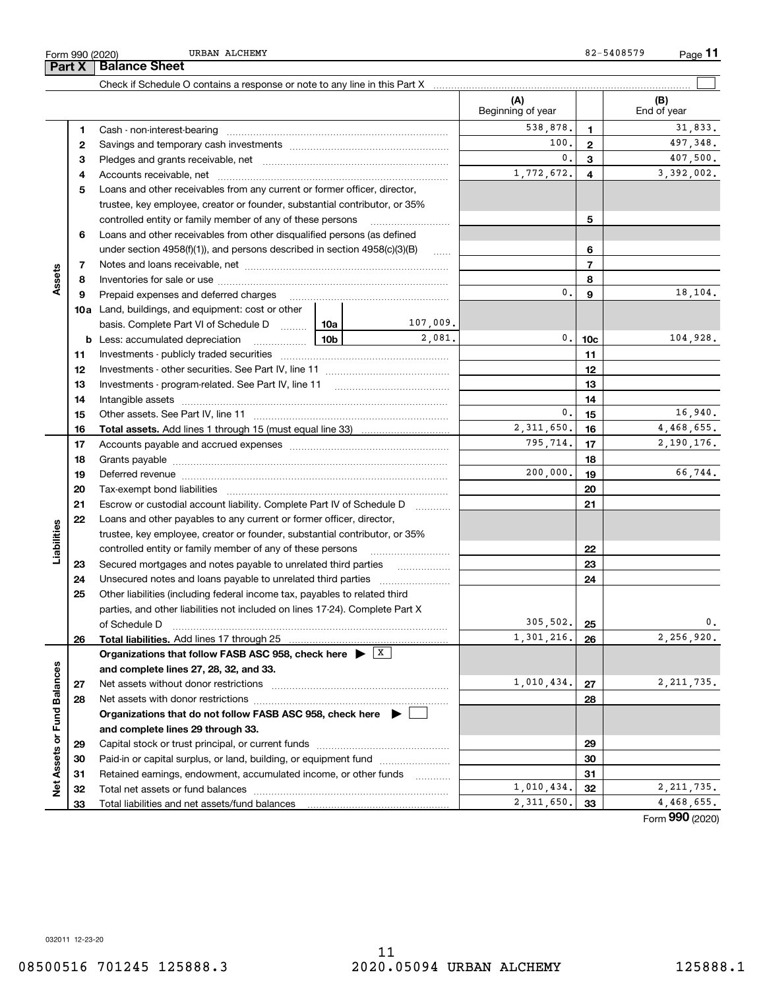### 11 08500516 701245 125888.3 2020.05094 URBAN ALCHEMY 125888.1

Check if Schedule O contains a response or note to any line in this Part X

| 538,878.<br>1<br>1.<br>100.<br>$\mathbf{2}$<br>2<br>0.<br>3<br>з<br>1,772,672.<br>4<br>4<br>Loans and other receivables from any current or former officer, director,<br>5<br>trustee, key employee, creator or founder, substantial contributor, or 35%<br>controlled entity or family member of any of these persons<br>5<br>Loans and other receivables from other disqualified persons (as defined<br>6<br>6<br>under section $4958(f)(1)$ , and persons described in section $4958(c)(3)(B)$<br>1.1.1.1.1<br>$\overline{7}$<br>7<br>Assets<br>8<br>8<br>0.<br>9<br>Prepaid expenses and deferred charges<br>9<br><b>10a</b> Land, buildings, and equipment: cost or other<br>107,009.<br>basis. Complete Part VI of Schedule D  10a<br>2,081.<br>0.<br>104,928.<br><b>b</b> Less: accumulated depreciation<br><u>10b</u><br>10c<br>11<br>11<br>12<br>12<br>Investments - program-related. See Part IV, line 11<br>13<br>13<br>14<br>14<br>16,940.<br>0.<br>15<br>15<br>4.468.655.<br>2, 311, 650.<br>16<br>16<br>2,190,176.<br>795,714.<br>17<br>17<br>18<br>18<br>66,744.<br>200,000.<br>19<br>19<br>20<br>20<br>Tax-exempt bond liabilities<br>21<br>21<br>Escrow or custodial account liability. Complete Part IV of Schedule D<br>.<br>Loans and other payables to any current or former officer, director,<br>22<br>Liabilities<br>trustee, key employee, creator or founder, substantial contributor, or 35%<br>22<br>controlled entity or family member of any of these persons<br>23<br>Secured mortgages and notes payable to unrelated third parties<br>23<br>24<br>24<br>Other liabilities (including federal income tax, payables to related third<br>25<br>parties, and other liabilities not included on lines 17-24). Complete Part X<br>305,502.<br>0.<br>25<br>of Schedule D<br>2,256,920.<br>1,301,216.<br>26<br>26<br>Organizations that follow FASB ASC 958, check here $\blacktriangleright$ $\boxed{\text{X}}$<br>Net Assets or Fund Balances<br>and complete lines 27, 28, 32, and 33.<br>1,010,434.<br>Net assets without donor restrictions<br>27<br>27<br>28<br>28<br>Organizations that do not follow FASB ASC 958, check here $\blacktriangleright$<br>and complete lines 29 through 33.<br>29<br>29<br>Paid-in or capital surplus, or land, building, or equipment fund<br>30<br>30<br>Retained earnings, endowment, accumulated income, or other funds<br>31<br>31<br>.<br>1,010,434.<br>32<br>32<br>2, 311, 650.<br>33<br>33<br>Total liabilities and net assets/fund balances |  |  |  |            | (A)<br>Beginning of year | (B)<br>End of year |
|--------------------------------------------------------------------------------------------------------------------------------------------------------------------------------------------------------------------------------------------------------------------------------------------------------------------------------------------------------------------------------------------------------------------------------------------------------------------------------------------------------------------------------------------------------------------------------------------------------------------------------------------------------------------------------------------------------------------------------------------------------------------------------------------------------------------------------------------------------------------------------------------------------------------------------------------------------------------------------------------------------------------------------------------------------------------------------------------------------------------------------------------------------------------------------------------------------------------------------------------------------------------------------------------------------------------------------------------------------------------------------------------------------------------------------------------------------------------------------------------------------------------------------------------------------------------------------------------------------------------------------------------------------------------------------------------------------------------------------------------------------------------------------------------------------------------------------------------------------------------------------------------------------------------------------------------------------------------------------------------------------------------------------------------------------------------------------------------------------------------------------------------------------------------------------------------------------------------------------------------------------------------------------------------------------------------------------------------------------------------------------------------------------------------------------------------------------------------------------------------------------------------|--|--|--|------------|--------------------------|--------------------|
|                                                                                                                                                                                                                                                                                                                                                                                                                                                                                                                                                                                                                                                                                                                                                                                                                                                                                                                                                                                                                                                                                                                                                                                                                                                                                                                                                                                                                                                                                                                                                                                                                                                                                                                                                                                                                                                                                                                                                                                                                                                                                                                                                                                                                                                                                                                                                                                                                                                                                                                    |  |  |  |            |                          | 31,833.            |
|                                                                                                                                                                                                                                                                                                                                                                                                                                                                                                                                                                                                                                                                                                                                                                                                                                                                                                                                                                                                                                                                                                                                                                                                                                                                                                                                                                                                                                                                                                                                                                                                                                                                                                                                                                                                                                                                                                                                                                                                                                                                                                                                                                                                                                                                                                                                                                                                                                                                                                                    |  |  |  |            |                          | 497,348.           |
|                                                                                                                                                                                                                                                                                                                                                                                                                                                                                                                                                                                                                                                                                                                                                                                                                                                                                                                                                                                                                                                                                                                                                                                                                                                                                                                                                                                                                                                                                                                                                                                                                                                                                                                                                                                                                                                                                                                                                                                                                                                                                                                                                                                                                                                                                                                                                                                                                                                                                                                    |  |  |  |            | 407,500.                 |                    |
|                                                                                                                                                                                                                                                                                                                                                                                                                                                                                                                                                                                                                                                                                                                                                                                                                                                                                                                                                                                                                                                                                                                                                                                                                                                                                                                                                                                                                                                                                                                                                                                                                                                                                                                                                                                                                                                                                                                                                                                                                                                                                                                                                                                                                                                                                                                                                                                                                                                                                                                    |  |  |  | 3,392,002. |                          |                    |
|                                                                                                                                                                                                                                                                                                                                                                                                                                                                                                                                                                                                                                                                                                                                                                                                                                                                                                                                                                                                                                                                                                                                                                                                                                                                                                                                                                                                                                                                                                                                                                                                                                                                                                                                                                                                                                                                                                                                                                                                                                                                                                                                                                                                                                                                                                                                                                                                                                                                                                                    |  |  |  |            |                          |                    |
|                                                                                                                                                                                                                                                                                                                                                                                                                                                                                                                                                                                                                                                                                                                                                                                                                                                                                                                                                                                                                                                                                                                                                                                                                                                                                                                                                                                                                                                                                                                                                                                                                                                                                                                                                                                                                                                                                                                                                                                                                                                                                                                                                                                                                                                                                                                                                                                                                                                                                                                    |  |  |  |            |                          |                    |
|                                                                                                                                                                                                                                                                                                                                                                                                                                                                                                                                                                                                                                                                                                                                                                                                                                                                                                                                                                                                                                                                                                                                                                                                                                                                                                                                                                                                                                                                                                                                                                                                                                                                                                                                                                                                                                                                                                                                                                                                                                                                                                                                                                                                                                                                                                                                                                                                                                                                                                                    |  |  |  |            |                          |                    |
|                                                                                                                                                                                                                                                                                                                                                                                                                                                                                                                                                                                                                                                                                                                                                                                                                                                                                                                                                                                                                                                                                                                                                                                                                                                                                                                                                                                                                                                                                                                                                                                                                                                                                                                                                                                                                                                                                                                                                                                                                                                                                                                                                                                                                                                                                                                                                                                                                                                                                                                    |  |  |  |            |                          |                    |
|                                                                                                                                                                                                                                                                                                                                                                                                                                                                                                                                                                                                                                                                                                                                                                                                                                                                                                                                                                                                                                                                                                                                                                                                                                                                                                                                                                                                                                                                                                                                                                                                                                                                                                                                                                                                                                                                                                                                                                                                                                                                                                                                                                                                                                                                                                                                                                                                                                                                                                                    |  |  |  |            |                          |                    |
|                                                                                                                                                                                                                                                                                                                                                                                                                                                                                                                                                                                                                                                                                                                                                                                                                                                                                                                                                                                                                                                                                                                                                                                                                                                                                                                                                                                                                                                                                                                                                                                                                                                                                                                                                                                                                                                                                                                                                                                                                                                                                                                                                                                                                                                                                                                                                                                                                                                                                                                    |  |  |  |            |                          |                    |
|                                                                                                                                                                                                                                                                                                                                                                                                                                                                                                                                                                                                                                                                                                                                                                                                                                                                                                                                                                                                                                                                                                                                                                                                                                                                                                                                                                                                                                                                                                                                                                                                                                                                                                                                                                                                                                                                                                                                                                                                                                                                                                                                                                                                                                                                                                                                                                                                                                                                                                                    |  |  |  |            |                          |                    |
|                                                                                                                                                                                                                                                                                                                                                                                                                                                                                                                                                                                                                                                                                                                                                                                                                                                                                                                                                                                                                                                                                                                                                                                                                                                                                                                                                                                                                                                                                                                                                                                                                                                                                                                                                                                                                                                                                                                                                                                                                                                                                                                                                                                                                                                                                                                                                                                                                                                                                                                    |  |  |  |            |                          | 18,104.            |
|                                                                                                                                                                                                                                                                                                                                                                                                                                                                                                                                                                                                                                                                                                                                                                                                                                                                                                                                                                                                                                                                                                                                                                                                                                                                                                                                                                                                                                                                                                                                                                                                                                                                                                                                                                                                                                                                                                                                                                                                                                                                                                                                                                                                                                                                                                                                                                                                                                                                                                                    |  |  |  |            |                          |                    |
|                                                                                                                                                                                                                                                                                                                                                                                                                                                                                                                                                                                                                                                                                                                                                                                                                                                                                                                                                                                                                                                                                                                                                                                                                                                                                                                                                                                                                                                                                                                                                                                                                                                                                                                                                                                                                                                                                                                                                                                                                                                                                                                                                                                                                                                                                                                                                                                                                                                                                                                    |  |  |  |            |                          |                    |
|                                                                                                                                                                                                                                                                                                                                                                                                                                                                                                                                                                                                                                                                                                                                                                                                                                                                                                                                                                                                                                                                                                                                                                                                                                                                                                                                                                                                                                                                                                                                                                                                                                                                                                                                                                                                                                                                                                                                                                                                                                                                                                                                                                                                                                                                                                                                                                                                                                                                                                                    |  |  |  |            |                          |                    |
|                                                                                                                                                                                                                                                                                                                                                                                                                                                                                                                                                                                                                                                                                                                                                                                                                                                                                                                                                                                                                                                                                                                                                                                                                                                                                                                                                                                                                                                                                                                                                                                                                                                                                                                                                                                                                                                                                                                                                                                                                                                                                                                                                                                                                                                                                                                                                                                                                                                                                                                    |  |  |  |            |                          |                    |
|                                                                                                                                                                                                                                                                                                                                                                                                                                                                                                                                                                                                                                                                                                                                                                                                                                                                                                                                                                                                                                                                                                                                                                                                                                                                                                                                                                                                                                                                                                                                                                                                                                                                                                                                                                                                                                                                                                                                                                                                                                                                                                                                                                                                                                                                                                                                                                                                                                                                                                                    |  |  |  |            |                          |                    |
|                                                                                                                                                                                                                                                                                                                                                                                                                                                                                                                                                                                                                                                                                                                                                                                                                                                                                                                                                                                                                                                                                                                                                                                                                                                                                                                                                                                                                                                                                                                                                                                                                                                                                                                                                                                                                                                                                                                                                                                                                                                                                                                                                                                                                                                                                                                                                                                                                                                                                                                    |  |  |  |            |                          |                    |
|                                                                                                                                                                                                                                                                                                                                                                                                                                                                                                                                                                                                                                                                                                                                                                                                                                                                                                                                                                                                                                                                                                                                                                                                                                                                                                                                                                                                                                                                                                                                                                                                                                                                                                                                                                                                                                                                                                                                                                                                                                                                                                                                                                                                                                                                                                                                                                                                                                                                                                                    |  |  |  |            |                          |                    |
|                                                                                                                                                                                                                                                                                                                                                                                                                                                                                                                                                                                                                                                                                                                                                                                                                                                                                                                                                                                                                                                                                                                                                                                                                                                                                                                                                                                                                                                                                                                                                                                                                                                                                                                                                                                                                                                                                                                                                                                                                                                                                                                                                                                                                                                                                                                                                                                                                                                                                                                    |  |  |  |            |                          |                    |
|                                                                                                                                                                                                                                                                                                                                                                                                                                                                                                                                                                                                                                                                                                                                                                                                                                                                                                                                                                                                                                                                                                                                                                                                                                                                                                                                                                                                                                                                                                                                                                                                                                                                                                                                                                                                                                                                                                                                                                                                                                                                                                                                                                                                                                                                                                                                                                                                                                                                                                                    |  |  |  |            |                          |                    |
|                                                                                                                                                                                                                                                                                                                                                                                                                                                                                                                                                                                                                                                                                                                                                                                                                                                                                                                                                                                                                                                                                                                                                                                                                                                                                                                                                                                                                                                                                                                                                                                                                                                                                                                                                                                                                                                                                                                                                                                                                                                                                                                                                                                                                                                                                                                                                                                                                                                                                                                    |  |  |  |            |                          |                    |
|                                                                                                                                                                                                                                                                                                                                                                                                                                                                                                                                                                                                                                                                                                                                                                                                                                                                                                                                                                                                                                                                                                                                                                                                                                                                                                                                                                                                                                                                                                                                                                                                                                                                                                                                                                                                                                                                                                                                                                                                                                                                                                                                                                                                                                                                                                                                                                                                                                                                                                                    |  |  |  |            |                          |                    |
|                                                                                                                                                                                                                                                                                                                                                                                                                                                                                                                                                                                                                                                                                                                                                                                                                                                                                                                                                                                                                                                                                                                                                                                                                                                                                                                                                                                                                                                                                                                                                                                                                                                                                                                                                                                                                                                                                                                                                                                                                                                                                                                                                                                                                                                                                                                                                                                                                                                                                                                    |  |  |  |            |                          |                    |
|                                                                                                                                                                                                                                                                                                                                                                                                                                                                                                                                                                                                                                                                                                                                                                                                                                                                                                                                                                                                                                                                                                                                                                                                                                                                                                                                                                                                                                                                                                                                                                                                                                                                                                                                                                                                                                                                                                                                                                                                                                                                                                                                                                                                                                                                                                                                                                                                                                                                                                                    |  |  |  |            |                          |                    |
|                                                                                                                                                                                                                                                                                                                                                                                                                                                                                                                                                                                                                                                                                                                                                                                                                                                                                                                                                                                                                                                                                                                                                                                                                                                                                                                                                                                                                                                                                                                                                                                                                                                                                                                                                                                                                                                                                                                                                                                                                                                                                                                                                                                                                                                                                                                                                                                                                                                                                                                    |  |  |  |            |                          |                    |
|                                                                                                                                                                                                                                                                                                                                                                                                                                                                                                                                                                                                                                                                                                                                                                                                                                                                                                                                                                                                                                                                                                                                                                                                                                                                                                                                                                                                                                                                                                                                                                                                                                                                                                                                                                                                                                                                                                                                                                                                                                                                                                                                                                                                                                                                                                                                                                                                                                                                                                                    |  |  |  |            |                          |                    |
|                                                                                                                                                                                                                                                                                                                                                                                                                                                                                                                                                                                                                                                                                                                                                                                                                                                                                                                                                                                                                                                                                                                                                                                                                                                                                                                                                                                                                                                                                                                                                                                                                                                                                                                                                                                                                                                                                                                                                                                                                                                                                                                                                                                                                                                                                                                                                                                                                                                                                                                    |  |  |  |            |                          |                    |
|                                                                                                                                                                                                                                                                                                                                                                                                                                                                                                                                                                                                                                                                                                                                                                                                                                                                                                                                                                                                                                                                                                                                                                                                                                                                                                                                                                                                                                                                                                                                                                                                                                                                                                                                                                                                                                                                                                                                                                                                                                                                                                                                                                                                                                                                                                                                                                                                                                                                                                                    |  |  |  |            |                          |                    |
|                                                                                                                                                                                                                                                                                                                                                                                                                                                                                                                                                                                                                                                                                                                                                                                                                                                                                                                                                                                                                                                                                                                                                                                                                                                                                                                                                                                                                                                                                                                                                                                                                                                                                                                                                                                                                                                                                                                                                                                                                                                                                                                                                                                                                                                                                                                                                                                                                                                                                                                    |  |  |  |            |                          |                    |
|                                                                                                                                                                                                                                                                                                                                                                                                                                                                                                                                                                                                                                                                                                                                                                                                                                                                                                                                                                                                                                                                                                                                                                                                                                                                                                                                                                                                                                                                                                                                                                                                                                                                                                                                                                                                                                                                                                                                                                                                                                                                                                                                                                                                                                                                                                                                                                                                                                                                                                                    |  |  |  |            |                          |                    |
|                                                                                                                                                                                                                                                                                                                                                                                                                                                                                                                                                                                                                                                                                                                                                                                                                                                                                                                                                                                                                                                                                                                                                                                                                                                                                                                                                                                                                                                                                                                                                                                                                                                                                                                                                                                                                                                                                                                                                                                                                                                                                                                                                                                                                                                                                                                                                                                                                                                                                                                    |  |  |  |            |                          |                    |
|                                                                                                                                                                                                                                                                                                                                                                                                                                                                                                                                                                                                                                                                                                                                                                                                                                                                                                                                                                                                                                                                                                                                                                                                                                                                                                                                                                                                                                                                                                                                                                                                                                                                                                                                                                                                                                                                                                                                                                                                                                                                                                                                                                                                                                                                                                                                                                                                                                                                                                                    |  |  |  |            |                          |                    |
|                                                                                                                                                                                                                                                                                                                                                                                                                                                                                                                                                                                                                                                                                                                                                                                                                                                                                                                                                                                                                                                                                                                                                                                                                                                                                                                                                                                                                                                                                                                                                                                                                                                                                                                                                                                                                                                                                                                                                                                                                                                                                                                                                                                                                                                                                                                                                                                                                                                                                                                    |  |  |  |            |                          |                    |
|                                                                                                                                                                                                                                                                                                                                                                                                                                                                                                                                                                                                                                                                                                                                                                                                                                                                                                                                                                                                                                                                                                                                                                                                                                                                                                                                                                                                                                                                                                                                                                                                                                                                                                                                                                                                                                                                                                                                                                                                                                                                                                                                                                                                                                                                                                                                                                                                                                                                                                                    |  |  |  |            |                          |                    |
|                                                                                                                                                                                                                                                                                                                                                                                                                                                                                                                                                                                                                                                                                                                                                                                                                                                                                                                                                                                                                                                                                                                                                                                                                                                                                                                                                                                                                                                                                                                                                                                                                                                                                                                                                                                                                                                                                                                                                                                                                                                                                                                                                                                                                                                                                                                                                                                                                                                                                                                    |  |  |  |            |                          |                    |
|                                                                                                                                                                                                                                                                                                                                                                                                                                                                                                                                                                                                                                                                                                                                                                                                                                                                                                                                                                                                                                                                                                                                                                                                                                                                                                                                                                                                                                                                                                                                                                                                                                                                                                                                                                                                                                                                                                                                                                                                                                                                                                                                                                                                                                                                                                                                                                                                                                                                                                                    |  |  |  |            |                          |                    |
|                                                                                                                                                                                                                                                                                                                                                                                                                                                                                                                                                                                                                                                                                                                                                                                                                                                                                                                                                                                                                                                                                                                                                                                                                                                                                                                                                                                                                                                                                                                                                                                                                                                                                                                                                                                                                                                                                                                                                                                                                                                                                                                                                                                                                                                                                                                                                                                                                                                                                                                    |  |  |  |            |                          | 2, 211, 735.       |
|                                                                                                                                                                                                                                                                                                                                                                                                                                                                                                                                                                                                                                                                                                                                                                                                                                                                                                                                                                                                                                                                                                                                                                                                                                                                                                                                                                                                                                                                                                                                                                                                                                                                                                                                                                                                                                                                                                                                                                                                                                                                                                                                                                                                                                                                                                                                                                                                                                                                                                                    |  |  |  |            |                          |                    |
|                                                                                                                                                                                                                                                                                                                                                                                                                                                                                                                                                                                                                                                                                                                                                                                                                                                                                                                                                                                                                                                                                                                                                                                                                                                                                                                                                                                                                                                                                                                                                                                                                                                                                                                                                                                                                                                                                                                                                                                                                                                                                                                                                                                                                                                                                                                                                                                                                                                                                                                    |  |  |  |            |                          |                    |
|                                                                                                                                                                                                                                                                                                                                                                                                                                                                                                                                                                                                                                                                                                                                                                                                                                                                                                                                                                                                                                                                                                                                                                                                                                                                                                                                                                                                                                                                                                                                                                                                                                                                                                                                                                                                                                                                                                                                                                                                                                                                                                                                                                                                                                                                                                                                                                                                                                                                                                                    |  |  |  |            |                          |                    |
|                                                                                                                                                                                                                                                                                                                                                                                                                                                                                                                                                                                                                                                                                                                                                                                                                                                                                                                                                                                                                                                                                                                                                                                                                                                                                                                                                                                                                                                                                                                                                                                                                                                                                                                                                                                                                                                                                                                                                                                                                                                                                                                                                                                                                                                                                                                                                                                                                                                                                                                    |  |  |  |            |                          |                    |
|                                                                                                                                                                                                                                                                                                                                                                                                                                                                                                                                                                                                                                                                                                                                                                                                                                                                                                                                                                                                                                                                                                                                                                                                                                                                                                                                                                                                                                                                                                                                                                                                                                                                                                                                                                                                                                                                                                                                                                                                                                                                                                                                                                                                                                                                                                                                                                                                                                                                                                                    |  |  |  |            |                          |                    |
|                                                                                                                                                                                                                                                                                                                                                                                                                                                                                                                                                                                                                                                                                                                                                                                                                                                                                                                                                                                                                                                                                                                                                                                                                                                                                                                                                                                                                                                                                                                                                                                                                                                                                                                                                                                                                                                                                                                                                                                                                                                                                                                                                                                                                                                                                                                                                                                                                                                                                                                    |  |  |  |            |                          |                    |
|                                                                                                                                                                                                                                                                                                                                                                                                                                                                                                                                                                                                                                                                                                                                                                                                                                                                                                                                                                                                                                                                                                                                                                                                                                                                                                                                                                                                                                                                                                                                                                                                                                                                                                                                                                                                                                                                                                                                                                                                                                                                                                                                                                                                                                                                                                                                                                                                                                                                                                                    |  |  |  |            |                          | 2, 211, 735.       |
|                                                                                                                                                                                                                                                                                                                                                                                                                                                                                                                                                                                                                                                                                                                                                                                                                                                                                                                                                                                                                                                                                                                                                                                                                                                                                                                                                                                                                                                                                                                                                                                                                                                                                                                                                                                                                                                                                                                                                                                                                                                                                                                                                                                                                                                                                                                                                                                                                                                                                                                    |  |  |  |            |                          | 4,468,655.         |

Form (2020) **990**

 $\mathcal{L}^{\text{max}}$ 

Form 990 (2020) URBAN ALCHEMY 82-5408579 **Part X Balance Sheet** URBAN ALCHEMY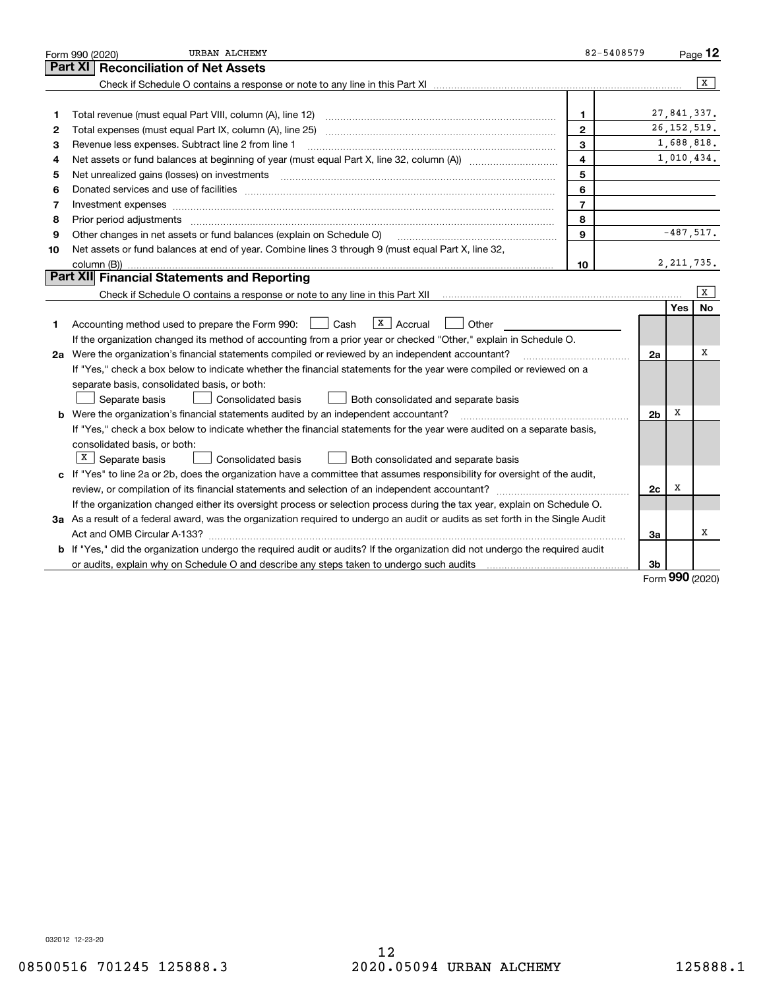|    | URBAN ALCHEMY<br>Form 990 (2020)                                                                                                                                                                                               | 82-5408579     |                |               | $P_{\text{aqe}}$ 12 |
|----|--------------------------------------------------------------------------------------------------------------------------------------------------------------------------------------------------------------------------------|----------------|----------------|---------------|---------------------|
|    | Part XI<br><b>Reconciliation of Net Assets</b>                                                                                                                                                                                 |                |                |               |                     |
|    |                                                                                                                                                                                                                                |                |                |               | $\overline{X}$      |
|    |                                                                                                                                                                                                                                |                |                |               |                     |
| 1  | Total revenue (must equal Part VIII, column (A), line 12)                                                                                                                                                                      | 1.             |                | 27,841,337.   |                     |
| 2  |                                                                                                                                                                                                                                | $\mathbf{2}$   |                | 26, 152, 519. |                     |
| з  | Revenue less expenses. Subtract line 2 from line 1                                                                                                                                                                             | 3              |                | 1,688,818.    |                     |
| 4  |                                                                                                                                                                                                                                | 4              |                | 1,010,434.    |                     |
| 5  | Net unrealized gains (losses) on investments                                                                                                                                                                                   | 5              |                |               |                     |
| 6  | Donated services and use of facilities [111] Donated and the service of facilities [11] Donated services and use of facilities [11] Donated and the service of the service of the service of the service of the service of the | 6              |                |               |                     |
| 7  | Investment expenses www.communication.communication.com/www.communication.com/www.communication.com                                                                                                                            | $\overline{7}$ |                |               |                     |
| 8  | Prior period adjustments                                                                                                                                                                                                       | 8              |                |               |                     |
| 9  | Other changes in net assets or fund balances (explain on Schedule O)                                                                                                                                                           | 9              |                | $-487,517.$   |                     |
| 10 | Net assets or fund balances at end of year. Combine lines 3 through 9 (must equal Part X, line 32,                                                                                                                             |                |                |               |                     |
|    | column (B)).                                                                                                                                                                                                                   | 10             |                | 2, 211, 735.  |                     |
|    | Part XII Financial Statements and Reporting                                                                                                                                                                                    |                |                |               |                     |
|    | Check if Schedule O contains a response or note to any line in this Part XII [11] [12] Check if Schedule O contains a response or note to any line in this Part XII                                                            |                |                |               | x                   |
|    |                                                                                                                                                                                                                                |                |                | Yes           | No                  |
| 1. | $X$ Accrual<br>Cash<br>Other<br>Accounting method used to prepare the Form 990:<br>$\mathbf{1}$                                                                                                                                |                |                |               |                     |
|    | If the organization changed its method of accounting from a prior year or checked "Other," explain in Schedule O.                                                                                                              |                |                |               |                     |
|    | 2a Were the organization's financial statements compiled or reviewed by an independent accountant?                                                                                                                             |                | 2a             |               | X                   |
|    | If "Yes," check a box below to indicate whether the financial statements for the year were compiled or reviewed on a                                                                                                           |                |                |               |                     |
|    | separate basis, consolidated basis, or both:                                                                                                                                                                                   |                |                |               |                     |
|    | Separate basis<br>Both consolidated and separate basis<br>Consolidated basis                                                                                                                                                   |                |                |               |                     |
|    | <b>b</b> Were the organization's financial statements audited by an independent accountant?                                                                                                                                    |                | 2 <sub>b</sub> | X             |                     |
|    | If "Yes," check a box below to indicate whether the financial statements for the year were audited on a separate basis,                                                                                                        |                |                |               |                     |
|    | consolidated basis, or both:                                                                                                                                                                                                   |                |                |               |                     |
|    | X  <br>Separate basis<br>Consolidated basis<br>Both consolidated and separate basis                                                                                                                                            |                |                |               |                     |
|    | c If "Yes" to line 2a or 2b, does the organization have a committee that assumes responsibility for oversight of the audit,                                                                                                    |                |                |               |                     |
|    |                                                                                                                                                                                                                                |                | 2c             | х             |                     |
|    | If the organization changed either its oversight process or selection process during the tax year, explain on Schedule O.                                                                                                      |                |                |               |                     |
|    | 3a As a result of a federal award, was the organization required to undergo an audit or audits as set forth in the Single Audit                                                                                                |                |                |               |                     |
|    |                                                                                                                                                                                                                                |                | 3a             |               | х                   |
|    | <b>b</b> If "Yes," did the organization undergo the required audit or audits? If the organization did not undergo the required audit                                                                                           |                |                |               |                     |
|    |                                                                                                                                                                                                                                |                | 3b             | റററ           |                     |

Form (2020) **990**

032012 12-23-20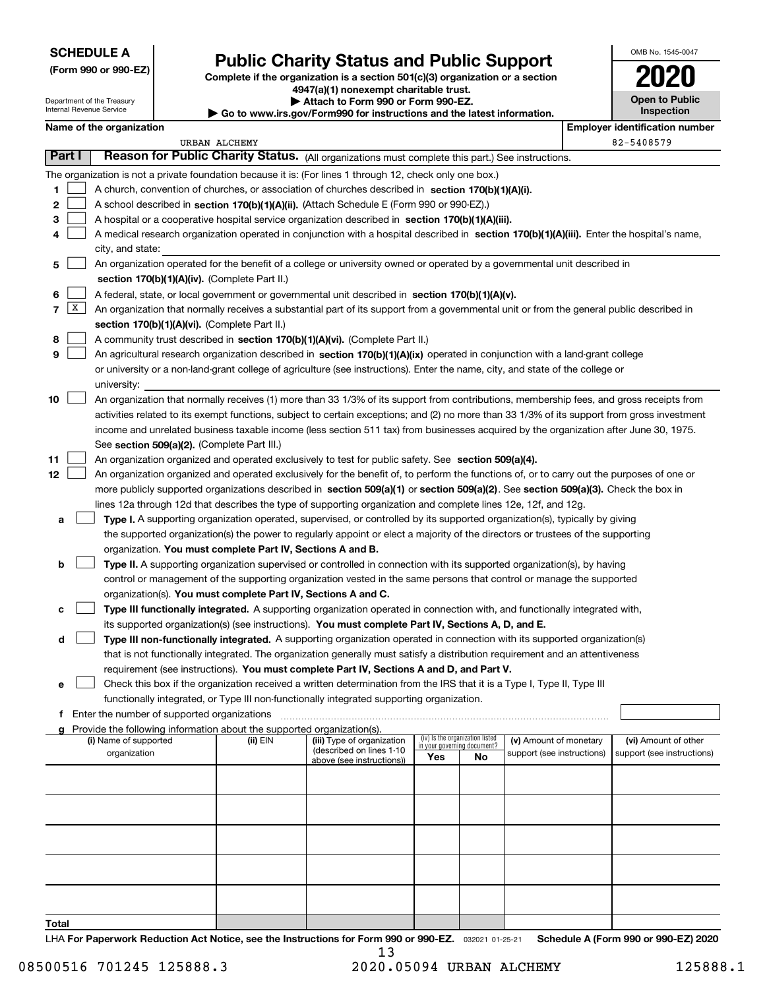| <b>SCHEDULE A</b> |  |
|-------------------|--|
|-------------------|--|

**(Form 990 or 990-EZ)**

Department of the Treasury Internal Revenue Service

# **Public Charity Status and Public Support**

**Complete if the organization is a section 501(c)(3) organization or a section 4947(a)(1) nonexempt charitable trust. | Attach to Form 990 or Form 990-EZ.**   $\blacktriangleright$  Go to w

| ww.irs.gov/Form990 for instructions and the latest information. |  |  |  |  |  |
|-----------------------------------------------------------------|--|--|--|--|--|
|-----------------------------------------------------------------|--|--|--|--|--|

| OMB No. 1545-0047                   |
|-------------------------------------|
| 2020                                |
| <b>Open to Public</b><br>Inspection |
|                                     |

|        |   | Name of the organization                                                                                                                                |               |                            |     |                                   |                            |  | <b>Employer identification number</b> |  |  |
|--------|---|---------------------------------------------------------------------------------------------------------------------------------------------------------|---------------|----------------------------|-----|-----------------------------------|----------------------------|--|---------------------------------------|--|--|
|        |   |                                                                                                                                                         | URBAN ALCHEMY |                            |     |                                   |                            |  | 82-5408579                            |  |  |
| Part I |   | Reason for Public Charity Status. (All organizations must complete this part.) See instructions.                                                        |               |                            |     |                                   |                            |  |                                       |  |  |
|        |   | The organization is not a private foundation because it is: (For lines 1 through 12, check only one box.)                                               |               |                            |     |                                   |                            |  |                                       |  |  |
| 1      |   | A church, convention of churches, or association of churches described in section 170(b)(1)(A)(i).                                                      |               |                            |     |                                   |                            |  |                                       |  |  |
| 2      |   | A school described in section 170(b)(1)(A)(ii). (Attach Schedule E (Form 990 or 990-EZ).)                                                               |               |                            |     |                                   |                            |  |                                       |  |  |
| 3      |   | A hospital or a cooperative hospital service organization described in section 170(b)(1)(A)(iii).                                                       |               |                            |     |                                   |                            |  |                                       |  |  |
| 4      |   | A medical research organization operated in conjunction with a hospital described in section 170(b)(1)(A)(iii). Enter the hospital's name,              |               |                            |     |                                   |                            |  |                                       |  |  |
|        |   | city, and state:                                                                                                                                        |               |                            |     |                                   |                            |  |                                       |  |  |
| 5      |   | An organization operated for the benefit of a college or university owned or operated by a governmental unit described in                               |               |                            |     |                                   |                            |  |                                       |  |  |
|        |   | section 170(b)(1)(A)(iv). (Complete Part II.)                                                                                                           |               |                            |     |                                   |                            |  |                                       |  |  |
| 6      |   | A federal, state, or local government or governmental unit described in section 170(b)(1)(A)(v).                                                        |               |                            |     |                                   |                            |  |                                       |  |  |
| 7      | X | An organization that normally receives a substantial part of its support from a governmental unit or from the general public described in               |               |                            |     |                                   |                            |  |                                       |  |  |
|        |   | section 170(b)(1)(A)(vi). (Complete Part II.)                                                                                                           |               |                            |     |                                   |                            |  |                                       |  |  |
| 8      |   | A community trust described in section 170(b)(1)(A)(vi). (Complete Part II.)                                                                            |               |                            |     |                                   |                            |  |                                       |  |  |
| 9      |   | An agricultural research organization described in section 170(b)(1)(A)(ix) operated in conjunction with a land-grant college                           |               |                            |     |                                   |                            |  |                                       |  |  |
|        |   | or university or a non-land-grant college of agriculture (see instructions). Enter the name, city, and state of the college or                          |               |                            |     |                                   |                            |  |                                       |  |  |
| 10     |   | university:<br>An organization that normally receives (1) more than 33 1/3% of its support from contributions, membership fees, and gross receipts from |               |                            |     |                                   |                            |  |                                       |  |  |
|        |   | activities related to its exempt functions, subject to certain exceptions; and (2) no more than 33 1/3% of its support from gross investment            |               |                            |     |                                   |                            |  |                                       |  |  |
|        |   | income and unrelated business taxable income (less section 511 tax) from businesses acquired by the organization after June 30, 1975.                   |               |                            |     |                                   |                            |  |                                       |  |  |
|        |   | See section 509(a)(2). (Complete Part III.)                                                                                                             |               |                            |     |                                   |                            |  |                                       |  |  |
| 11     |   | An organization organized and operated exclusively to test for public safety. See section 509(a)(4).                                                    |               |                            |     |                                   |                            |  |                                       |  |  |
| 12     |   | An organization organized and operated exclusively for the benefit of, to perform the functions of, or to carry out the purposes of one or              |               |                            |     |                                   |                            |  |                                       |  |  |
|        |   | more publicly supported organizations described in section 509(a)(1) or section 509(a)(2). See section 509(a)(3). Check the box in                      |               |                            |     |                                   |                            |  |                                       |  |  |
|        |   | lines 12a through 12d that describes the type of supporting organization and complete lines 12e, 12f, and 12g.                                          |               |                            |     |                                   |                            |  |                                       |  |  |
| a      |   | Type I. A supporting organization operated, supervised, or controlled by its supported organization(s), typically by giving                             |               |                            |     |                                   |                            |  |                                       |  |  |
|        |   | the supported organization(s) the power to regularly appoint or elect a majority of the directors or trustees of the supporting                         |               |                            |     |                                   |                            |  |                                       |  |  |
|        |   | organization. You must complete Part IV, Sections A and B.                                                                                              |               |                            |     |                                   |                            |  |                                       |  |  |
| b      |   | Type II. A supporting organization supervised or controlled in connection with its supported organization(s), by having                                 |               |                            |     |                                   |                            |  |                                       |  |  |
|        |   | control or management of the supporting organization vested in the same persons that control or manage the supported                                    |               |                            |     |                                   |                            |  |                                       |  |  |
|        |   | organization(s). You must complete Part IV, Sections A and C.                                                                                           |               |                            |     |                                   |                            |  |                                       |  |  |
| с      |   | Type III functionally integrated. A supporting organization operated in connection with, and functionally integrated with,                              |               |                            |     |                                   |                            |  |                                       |  |  |
|        |   | its supported organization(s) (see instructions). You must complete Part IV, Sections A, D, and E.                                                      |               |                            |     |                                   |                            |  |                                       |  |  |
| d      |   | Type III non-functionally integrated. A supporting organization operated in connection with its supported organization(s)                               |               |                            |     |                                   |                            |  |                                       |  |  |
|        |   | that is not functionally integrated. The organization generally must satisfy a distribution requirement and an attentiveness                            |               |                            |     |                                   |                            |  |                                       |  |  |
|        |   | requirement (see instructions). You must complete Part IV, Sections A and D, and Part V.                                                                |               |                            |     |                                   |                            |  |                                       |  |  |
| е      |   | Check this box if the organization received a written determination from the IRS that it is a Type I, Type II, Type III                                 |               |                            |     |                                   |                            |  |                                       |  |  |
|        |   | functionally integrated, or Type III non-functionally integrated supporting organization.                                                               |               |                            |     |                                   |                            |  |                                       |  |  |
|        |   | f Enter the number of supported organizations                                                                                                           |               |                            |     |                                   |                            |  |                                       |  |  |
|        |   | Provide the following information about the supported organization(s).<br>(i) Name of supported                                                         | (ii) EIN      | (iii) Type of organization |     | (iv) Is the organization listed   | (v) Amount of monetary     |  | (vi) Amount of other                  |  |  |
|        |   | organization                                                                                                                                            |               | (described on lines 1-10   | Yes | in your governing document?<br>No | support (see instructions) |  | support (see instructions)            |  |  |
|        |   |                                                                                                                                                         |               | above (see instructions))  |     |                                   |                            |  |                                       |  |  |
|        |   |                                                                                                                                                         |               |                            |     |                                   |                            |  |                                       |  |  |
|        |   |                                                                                                                                                         |               |                            |     |                                   |                            |  |                                       |  |  |
|        |   |                                                                                                                                                         |               |                            |     |                                   |                            |  |                                       |  |  |
|        |   |                                                                                                                                                         |               |                            |     |                                   |                            |  |                                       |  |  |
|        |   |                                                                                                                                                         |               |                            |     |                                   |                            |  |                                       |  |  |
|        |   |                                                                                                                                                         |               |                            |     |                                   |                            |  |                                       |  |  |
|        |   |                                                                                                                                                         |               |                            |     |                                   |                            |  |                                       |  |  |
|        |   |                                                                                                                                                         |               |                            |     |                                   |                            |  |                                       |  |  |
|        |   |                                                                                                                                                         |               |                            |     |                                   |                            |  |                                       |  |  |

**Total**

LHA For Paperwork Reduction Act Notice, see the Instructions for Form 990 or 990-EZ. <sub>032021</sub> o1-25-21 Schedule A (Form 990 or 990-EZ) 2020 13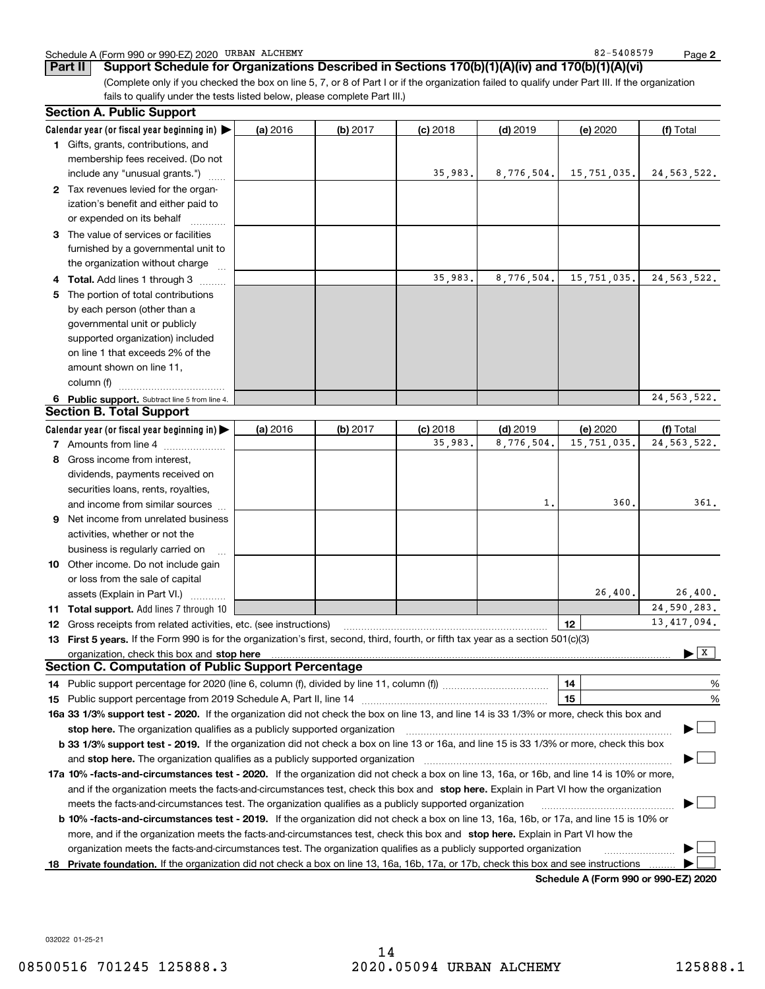|  | Schedule A (Form 990 or 990-EZ) 2020 | ALCHEMY<br>URBAN | 5408579<br>$82 -$ | Page |  |
|--|--------------------------------------|------------------|-------------------|------|--|
|--|--------------------------------------|------------------|-------------------|------|--|

 $82 - 5408579$ 

**2**

(Complete only if you checked the box on line 5, 7, or 8 of Part I or if the organization failed to qualify under Part III. If the organization fails to qualify under the tests listed below, please complete Part III.) **Part II Support Schedule for Organizations Described in Sections 170(b)(1)(A)(iv) and 170(b)(1)(A)(vi)**

| <b>Section A. Public Support</b>                                                                                                               |          |            |            |            |                                       |                                      |
|------------------------------------------------------------------------------------------------------------------------------------------------|----------|------------|------------|------------|---------------------------------------|--------------------------------------|
| Calendar year (or fiscal year beginning in) $\blacktriangleright$                                                                              | (a) 2016 | (b) 2017   | $(c)$ 2018 | $(d)$ 2019 | (e) 2020                              | (f) Total                            |
| 1 Gifts, grants, contributions, and                                                                                                            |          |            |            |            |                                       |                                      |
| membership fees received. (Do not                                                                                                              |          |            |            |            |                                       |                                      |
| include any "unusual grants.")                                                                                                                 |          |            | 35,983.    | 8,776,504. | 15,751,035.                           | 24, 563, 522.                        |
| 2 Tax revenues levied for the organ-                                                                                                           |          |            |            |            |                                       |                                      |
| ization's benefit and either paid to                                                                                                           |          |            |            |            |                                       |                                      |
| or expended on its behalf                                                                                                                      |          |            |            |            |                                       |                                      |
| 3 The value of services or facilities                                                                                                          |          |            |            |            |                                       |                                      |
| furnished by a governmental unit to                                                                                                            |          |            |            |            |                                       |                                      |
| the organization without charge                                                                                                                |          |            |            |            |                                       |                                      |
| 4 Total. Add lines 1 through 3                                                                                                                 |          |            | 35,983.    | 8,776,504. | 15,751,035.                           | 24, 563, 522.                        |
| 5 The portion of total contributions                                                                                                           |          |            |            |            |                                       |                                      |
| by each person (other than a                                                                                                                   |          |            |            |            |                                       |                                      |
| governmental unit or publicly                                                                                                                  |          |            |            |            |                                       |                                      |
| supported organization) included                                                                                                               |          |            |            |            |                                       |                                      |
| on line 1 that exceeds 2% of the                                                                                                               |          |            |            |            |                                       |                                      |
| amount shown on line 11,                                                                                                                       |          |            |            |            |                                       |                                      |
| column (f)                                                                                                                                     |          |            |            |            |                                       |                                      |
| 6 Public support. Subtract line 5 from line 4.                                                                                                 |          |            |            |            |                                       | 24, 563, 522.                        |
| <b>Section B. Total Support</b>                                                                                                                |          |            |            |            |                                       |                                      |
| Calendar year (or fiscal year beginning in) $\blacktriangleright$                                                                              | (a) 2016 | $(b)$ 2017 | $(c)$ 2018 | $(d)$ 2019 | (e) 2020                              | (f) Total                            |
| 7 Amounts from line 4                                                                                                                          |          |            | 35,983.    | 8,776,504. | 15,751,035.                           | 24, 563, 522.                        |
| 8 Gross income from interest,                                                                                                                  |          |            |            |            |                                       |                                      |
| dividends, payments received on                                                                                                                |          |            |            |            |                                       |                                      |
| securities loans, rents, royalties,                                                                                                            |          |            |            |            |                                       |                                      |
| and income from similar sources                                                                                                                |          |            |            | 1,         | 360                                   | 361.                                 |
| 9 Net income from unrelated business                                                                                                           |          |            |            |            |                                       |                                      |
| activities, whether or not the                                                                                                                 |          |            |            |            |                                       |                                      |
| business is regularly carried on                                                                                                               |          |            |            |            |                                       |                                      |
| <b>10</b> Other income. Do not include gain                                                                                                    |          |            |            |            |                                       |                                      |
| or loss from the sale of capital                                                                                                               |          |            |            |            |                                       |                                      |
| assets (Explain in Part VI.) <b>Constant</b>                                                                                                   |          |            |            |            | 26,400.                               | 26,400.                              |
| 11 Total support. Add lines 7 through 10                                                                                                       |          |            |            |            |                                       | 24,590,283.                          |
| <b>12</b> Gross receipts from related activities, etc. (see instructions)                                                                      |          |            |            |            | 12                                    | 13, 417, 094.                        |
| 13 First 5 years. If the Form 990 is for the organization's first, second, third, fourth, or fifth tax year as a section 501(c)(3)             |          |            |            |            |                                       |                                      |
| organization, check this box and <b>stop here</b> www.communicalisation.communications are constructed and <b>stop here</b>                    |          |            |            |            |                                       | $\blacktriangleright$ $\overline{x}$ |
| <b>Section C. Computation of Public Support Percentage</b>                                                                                     |          |            |            |            |                                       |                                      |
| 14 Public support percentage for 2020 (line 6, column (f), divided by line 11, column (f) <i>mummumumum</i>                                    |          |            |            |            | 14                                    | %                                    |
|                                                                                                                                                |          |            |            |            | 15                                    | $\%$                                 |
| 16a 33 1/3% support test - 2020. If the organization did not check the box on line 13, and line 14 is 33 1/3% or more, check this box and      |          |            |            |            |                                       |                                      |
| stop here. The organization qualifies as a publicly supported organization                                                                     |          |            |            |            |                                       |                                      |
| b 33 1/3% support test - 2019. If the organization did not check a box on line 13 or 16a, and line 15 is 33 1/3% or more, check this box       |          |            |            |            |                                       |                                      |
| and stop here. The organization qualifies as a publicly supported organization                                                                 |          |            |            |            |                                       |                                      |
| 17a 10% -facts-and-circumstances test - 2020. If the organization did not check a box on line 13, 16a, or 16b, and line 14 is 10% or more,     |          |            |            |            |                                       |                                      |
| and if the organization meets the facts-and-circumstances test, check this box and stop here. Explain in Part VI how the organization          |          |            |            |            |                                       |                                      |
| meets the facts-and-circumstances test. The organization qualifies as a publicly supported organization                                        |          |            |            |            |                                       |                                      |
| <b>b 10% -facts-and-circumstances test - 2019.</b> If the organization did not check a box on line 13, 16a, 16b, or 17a, and line 15 is 10% or |          |            |            |            |                                       |                                      |
| more, and if the organization meets the facts-and-circumstances test, check this box and stop here. Explain in Part VI how the                 |          |            |            |            |                                       |                                      |
| organization meets the facts-and-circumstances test. The organization qualifies as a publicly supported organization                           |          |            |            |            |                                       |                                      |
| 18 Private foundation. If the organization did not check a box on line 13, 16a, 16b, 17a, or 17b, check this box and see instructions          |          |            |            |            |                                       |                                      |
|                                                                                                                                                |          |            |            |            | Cabadula A (Fauna 000 av 000 EZ) 0000 |                                      |

**Schedule A (Form 990 or 990-EZ) 2020**

032022 01-25-21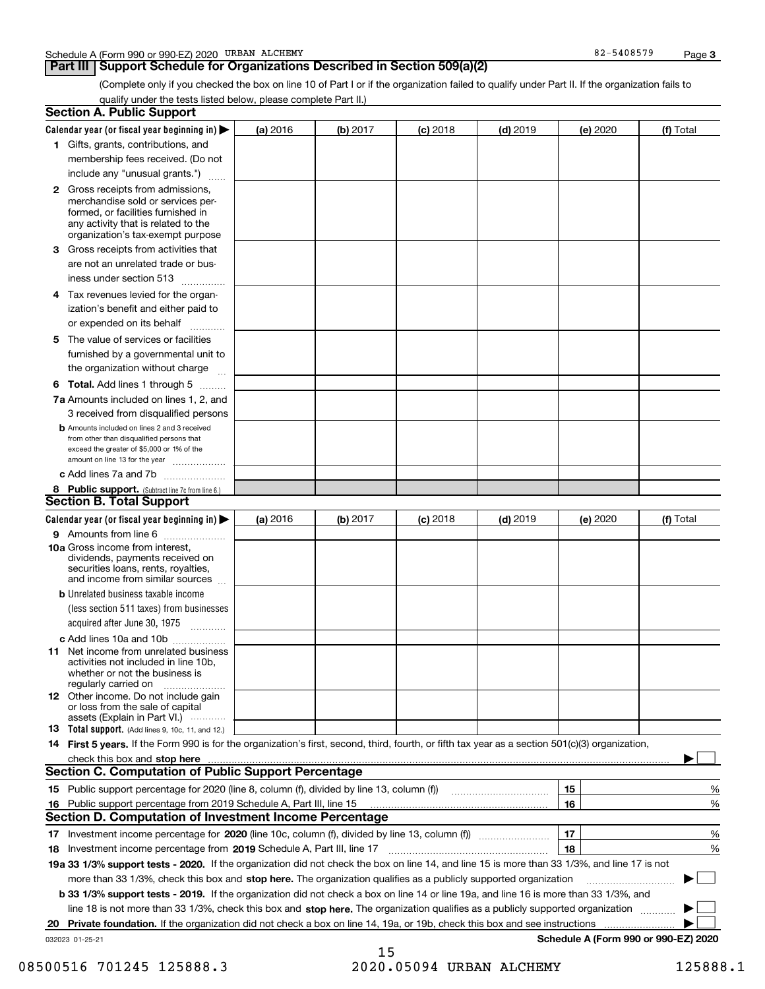### **Part III Support Schedule for Organizations Described in Section 509(a)(2)**

(Complete only if you checked the box on line 10 of Part I or if the organization failed to qualify under Part II. If the organization fails to qualify under the tests listed below, please complete Part II.)

|    | <b>Section A. Public Support</b>                                                                                                                                                                |          |          |            |            |          |                                      |
|----|-------------------------------------------------------------------------------------------------------------------------------------------------------------------------------------------------|----------|----------|------------|------------|----------|--------------------------------------|
|    | Calendar year (or fiscal year beginning in) $\blacktriangleright$                                                                                                                               | (a) 2016 | (b) 2017 | $(c)$ 2018 | $(d)$ 2019 | (e) 2020 | (f) Total                            |
|    | 1 Gifts, grants, contributions, and                                                                                                                                                             |          |          |            |            |          |                                      |
|    | membership fees received. (Do not                                                                                                                                                               |          |          |            |            |          |                                      |
|    | include any "unusual grants.")                                                                                                                                                                  |          |          |            |            |          |                                      |
|    | <b>2</b> Gross receipts from admissions,<br>merchandise sold or services per-<br>formed, or facilities furnished in<br>any activity that is related to the<br>organization's tax-exempt purpose |          |          |            |            |          |                                      |
|    | 3 Gross receipts from activities that<br>are not an unrelated trade or bus-                                                                                                                     |          |          |            |            |          |                                      |
|    | iness under section 513                                                                                                                                                                         |          |          |            |            |          |                                      |
|    | 4 Tax revenues levied for the organ-<br>ization's benefit and either paid to<br>or expended on its behalf<br>.                                                                                  |          |          |            |            |          |                                      |
|    | 5 The value of services or facilities<br>furnished by a governmental unit to<br>the organization without charge                                                                                 |          |          |            |            |          |                                      |
|    | <b>6 Total.</b> Add lines 1 through 5 $\dots$                                                                                                                                                   |          |          |            |            |          |                                      |
|    | 7a Amounts included on lines 1, 2, and<br>3 received from disqualified persons                                                                                                                  |          |          |            |            |          |                                      |
|    | <b>b</b> Amounts included on lines 2 and 3 received<br>from other than disqualified persons that<br>exceed the greater of \$5,000 or 1% of the<br>amount on line 13 for the year                |          |          |            |            |          |                                      |
|    | c Add lines 7a and 7b                                                                                                                                                                           |          |          |            |            |          |                                      |
|    | 8 Public support. (Subtract line 7c from line 6.)<br><b>Section B. Total Support</b>                                                                                                            |          |          |            |            |          |                                      |
|    | Calendar year (or fiscal year beginning in)                                                                                                                                                     |          | (b) 2017 |            | $(d)$ 2019 |          | (f) Total                            |
|    | 9 Amounts from line 6                                                                                                                                                                           | (a) 2016 |          | $(c)$ 2018 |            | (e) 2020 |                                      |
|    | 10a Gross income from interest,<br>dividends, payments received on<br>securities loans, rents, royalties,<br>and income from similar sources                                                    |          |          |            |            |          |                                      |
|    | <b>b</b> Unrelated business taxable income<br>(less section 511 taxes) from businesses<br>acquired after June 30, 1975 [10001]                                                                  |          |          |            |            |          |                                      |
|    | c Add lines 10a and 10b                                                                                                                                                                         |          |          |            |            |          |                                      |
|    | 11 Net income from unrelated business<br>activities not included in line 10b,<br>whether or not the business is<br>regularly carried on                                                         |          |          |            |            |          |                                      |
|    | <b>12</b> Other income. Do not include gain<br>or loss from the sale of capital<br>assets (Explain in Part VI.)                                                                                 |          |          |            |            |          |                                      |
|    | 13 Total support. (Add lines 9, 10c, 11, and 12.)                                                                                                                                               |          |          |            |            |          |                                      |
|    | 14 First 5 years. If the Form 990 is for the organization's first, second, third, fourth, or fifth tax year as a section 501(c)(3) organization,                                                |          |          |            |            |          |                                      |
|    |                                                                                                                                                                                                 |          |          |            |            |          |                                      |
|    | <b>Section C. Computation of Public Support Percentage</b>                                                                                                                                      |          |          |            |            |          |                                      |
|    | 15 Public support percentage for 2020 (line 8, column (f), divided by line 13, column (f))                                                                                                      |          |          |            |            | 15       | %                                    |
| 16 | Public support percentage from 2019 Schedule A, Part III, line 15<br><b>Section D. Computation of Investment Income Percentage</b>                                                              |          |          |            |            | 16       | %                                    |
|    | 17 Investment income percentage for 2020 (line 10c, column (f), divided by line 13, column (f))                                                                                                 |          |          |            |            | 17       | %                                    |
|    | 18 Investment income percentage from 2019 Schedule A, Part III, line 17                                                                                                                         |          |          |            |            | 18       | %                                    |
|    | 19a 33 1/3% support tests - 2020. If the organization did not check the box on line 14, and line 15 is more than 33 1/3%, and line 17 is not                                                    |          |          |            |            |          |                                      |
|    | more than 33 1/3%, check this box and stop here. The organization qualifies as a publicly supported organization                                                                                |          |          |            |            |          | $\sim$                               |
|    | b 33 1/3% support tests - 2019. If the organization did not check a box on line 14 or line 19a, and line 16 is more than 33 1/3%, and                                                           |          |          |            |            |          |                                      |
|    | line 18 is not more than 33 1/3%, check this box and stop here. The organization qualifies as a publicly supported organization                                                                 |          |          |            |            |          |                                      |
| 20 | Private foundation. If the organization did not check a box on line 14, 19a, or 19b, check this box and see instructions                                                                        |          |          |            |            |          |                                      |
|    | 032023 01-25-21                                                                                                                                                                                 |          |          |            |            |          | Schedule A (Form 990 or 990-EZ) 2020 |
|    |                                                                                                                                                                                                 |          | 15       |            |            |          |                                      |

08500516 701245 125888.3 2020.05094 URBAN ALCHEMY 125888.1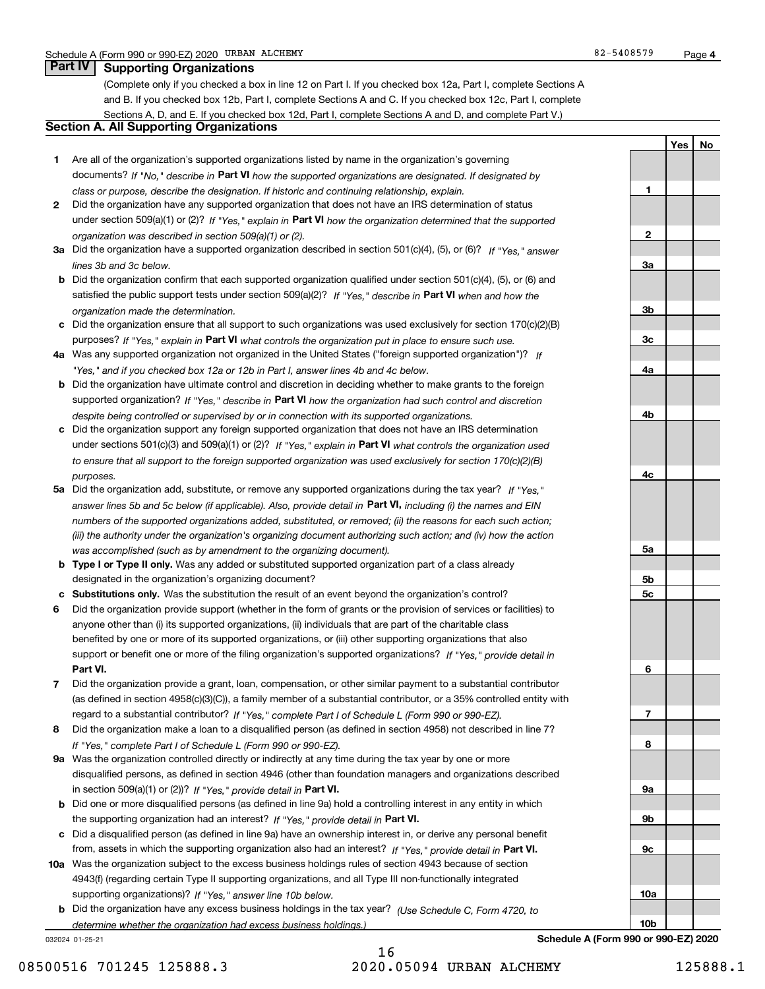**1**

**2**

**3a**

**3b**

**3c**

**4a**

**4b**

**4c**

**5a**

**5b5c**

**6**

**7**

**8**

**9a**

**9b**

**9c**

**10a**

**YesNo**

### **Part IV Supporting Organizations**

(Complete only if you checked a box in line 12 on Part I. If you checked box 12a, Part I, complete Sections A and B. If you checked box 12b, Part I, complete Sections A and C. If you checked box 12c, Part I, complete Sections A, D, and E. If you checked box 12d, Part I, complete Sections A and D, and complete Part V.)

### **Section A. All Supporting Organizations**

- **1** Are all of the organization's supported organizations listed by name in the organization's governing documents? If "No," describe in **Part VI** how the supported organizations are designated. If designated by *class or purpose, describe the designation. If historic and continuing relationship, explain.*
- **2** Did the organization have any supported organization that does not have an IRS determination of status under section 509(a)(1) or (2)? If "Yes," explain in Part VI how the organization determined that the supported *organization was described in section 509(a)(1) or (2).*
- **3a** Did the organization have a supported organization described in section 501(c)(4), (5), or (6)? If "Yes," answer *lines 3b and 3c below.*
- **b** Did the organization confirm that each supported organization qualified under section 501(c)(4), (5), or (6) and satisfied the public support tests under section 509(a)(2)? If "Yes," describe in **Part VI** when and how the *organization made the determination.*
- **c**Did the organization ensure that all support to such organizations was used exclusively for section 170(c)(2)(B) purposes? If "Yes," explain in **Part VI** what controls the organization put in place to ensure such use.
- **4a***If* Was any supported organization not organized in the United States ("foreign supported organization")? *"Yes," and if you checked box 12a or 12b in Part I, answer lines 4b and 4c below.*
- **b** Did the organization have ultimate control and discretion in deciding whether to make grants to the foreign supported organization? If "Yes," describe in **Part VI** how the organization had such control and discretion *despite being controlled or supervised by or in connection with its supported organizations.*
- **c** Did the organization support any foreign supported organization that does not have an IRS determination under sections 501(c)(3) and 509(a)(1) or (2)? If "Yes," explain in **Part VI** what controls the organization used *to ensure that all support to the foreign supported organization was used exclusively for section 170(c)(2)(B) purposes.*
- **5a** Did the organization add, substitute, or remove any supported organizations during the tax year? If "Yes," answer lines 5b and 5c below (if applicable). Also, provide detail in **Part VI,** including (i) the names and EIN *numbers of the supported organizations added, substituted, or removed; (ii) the reasons for each such action; (iii) the authority under the organization's organizing document authorizing such action; and (iv) how the action was accomplished (such as by amendment to the organizing document).*
- **b** Type I or Type II only. Was any added or substituted supported organization part of a class already designated in the organization's organizing document?
- **cSubstitutions only.**  Was the substitution the result of an event beyond the organization's control?
- **6** Did the organization provide support (whether in the form of grants or the provision of services or facilities) to **Part VI.** *If "Yes," provide detail in* support or benefit one or more of the filing organization's supported organizations? anyone other than (i) its supported organizations, (ii) individuals that are part of the charitable class benefited by one or more of its supported organizations, or (iii) other supporting organizations that also
- **7**Did the organization provide a grant, loan, compensation, or other similar payment to a substantial contributor *If "Yes," complete Part I of Schedule L (Form 990 or 990-EZ).* regard to a substantial contributor? (as defined in section 4958(c)(3)(C)), a family member of a substantial contributor, or a 35% controlled entity with
- **8** Did the organization make a loan to a disqualified person (as defined in section 4958) not described in line 7? *If "Yes," complete Part I of Schedule L (Form 990 or 990-EZ).*
- **9a** Was the organization controlled directly or indirectly at any time during the tax year by one or more in section 509(a)(1) or (2))? If "Yes," *provide detail in* <code>Part VI.</code> disqualified persons, as defined in section 4946 (other than foundation managers and organizations described
- **b**the supporting organization had an interest? If "Yes," provide detail in P**art VI**. Did one or more disqualified persons (as defined in line 9a) hold a controlling interest in any entity in which
- **c**Did a disqualified person (as defined in line 9a) have an ownership interest in, or derive any personal benefit from, assets in which the supporting organization also had an interest? If "Yes," provide detail in P**art VI.**
- **10a** Was the organization subject to the excess business holdings rules of section 4943 because of section supporting organizations)? If "Yes," answer line 10b below. 4943(f) (regarding certain Type II supporting organizations, and all Type III non-functionally integrated
- **b** Did the organization have any excess business holdings in the tax year? (Use Schedule C, Form 4720, to *determine whether the organization had excess business holdings.)*

032024 01-25-21

16 08500516 701245 125888.3 2020.05094 URBAN ALCHEMY 125888.1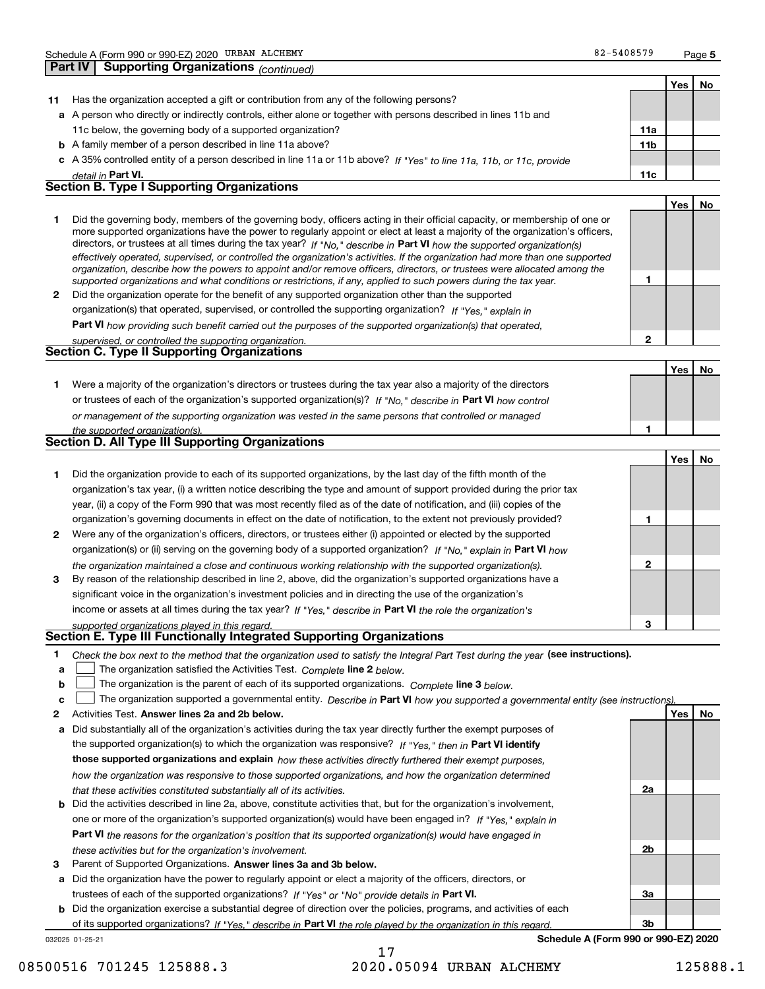|    |                                                                                                                                                                                                                                                                                                                                                                                                                                                                                                                                                                                                                                                      |                 | Yes | No |
|----|------------------------------------------------------------------------------------------------------------------------------------------------------------------------------------------------------------------------------------------------------------------------------------------------------------------------------------------------------------------------------------------------------------------------------------------------------------------------------------------------------------------------------------------------------------------------------------------------------------------------------------------------------|-----------------|-----|----|
| 11 | Has the organization accepted a gift or contribution from any of the following persons?                                                                                                                                                                                                                                                                                                                                                                                                                                                                                                                                                              |                 |     |    |
|    | a A person who directly or indirectly controls, either alone or together with persons described in lines 11b and                                                                                                                                                                                                                                                                                                                                                                                                                                                                                                                                     |                 |     |    |
|    | 11c below, the governing body of a supported organization?                                                                                                                                                                                                                                                                                                                                                                                                                                                                                                                                                                                           | 11a             |     |    |
|    | <b>b</b> A family member of a person described in line 11a above?                                                                                                                                                                                                                                                                                                                                                                                                                                                                                                                                                                                    | 11 <sub>b</sub> |     |    |
|    | c A 35% controlled entity of a person described in line 11a or 11b above? If "Yes" to line 11a, 11b, or 11c, provide                                                                                                                                                                                                                                                                                                                                                                                                                                                                                                                                 |                 |     |    |
|    | detail in Part VI.                                                                                                                                                                                                                                                                                                                                                                                                                                                                                                                                                                                                                                   | 11c             |     |    |
|    | <b>Section B. Type I Supporting Organizations</b>                                                                                                                                                                                                                                                                                                                                                                                                                                                                                                                                                                                                    |                 |     |    |
|    |                                                                                                                                                                                                                                                                                                                                                                                                                                                                                                                                                                                                                                                      |                 | Yes | No |
| 1  | Did the governing body, members of the governing body, officers acting in their official capacity, or membership of one or<br>more supported organizations have the power to regularly appoint or elect at least a majority of the organization's officers,<br>directors, or trustees at all times during the tax year? If "No," describe in Part VI how the supported organization(s)<br>effectively operated, supervised, or controlled the organization's activities. If the organization had more than one supported<br>organization, describe how the powers to appoint and/or remove officers, directors, or trustees were allocated among the | 1               |     |    |
| 2  | supported organizations and what conditions or restrictions, if any, applied to such powers during the tax year.<br>Did the organization operate for the benefit of any supported organization other than the supported                                                                                                                                                                                                                                                                                                                                                                                                                              |                 |     |    |
|    | organization(s) that operated, supervised, or controlled the supporting organization? If "Yes," explain in                                                                                                                                                                                                                                                                                                                                                                                                                                                                                                                                           |                 |     |    |
|    |                                                                                                                                                                                                                                                                                                                                                                                                                                                                                                                                                                                                                                                      |                 |     |    |
|    | Part VI how providing such benefit carried out the purposes of the supported organization(s) that operated,                                                                                                                                                                                                                                                                                                                                                                                                                                                                                                                                          | 2               |     |    |
|    | supervised, or controlled the supporting organization.<br><b>Section C. Type II Supporting Organizations</b>                                                                                                                                                                                                                                                                                                                                                                                                                                                                                                                                         |                 |     |    |
|    |                                                                                                                                                                                                                                                                                                                                                                                                                                                                                                                                                                                                                                                      |                 |     |    |
|    |                                                                                                                                                                                                                                                                                                                                                                                                                                                                                                                                                                                                                                                      |                 | Yes | No |
| 1  | Were a majority of the organization's directors or trustees during the tax year also a majority of the directors                                                                                                                                                                                                                                                                                                                                                                                                                                                                                                                                     |                 |     |    |
|    | or trustees of each of the organization's supported organization(s)? If "No," describe in Part VI how control                                                                                                                                                                                                                                                                                                                                                                                                                                                                                                                                        |                 |     |    |
|    | or management of the supporting organization was vested in the same persons that controlled or managed                                                                                                                                                                                                                                                                                                                                                                                                                                                                                                                                               |                 |     |    |
|    | the supported organization(s).<br><b>Section D. All Type III Supporting Organizations</b>                                                                                                                                                                                                                                                                                                                                                                                                                                                                                                                                                            | 1               |     |    |
|    |                                                                                                                                                                                                                                                                                                                                                                                                                                                                                                                                                                                                                                                      |                 |     |    |
|    |                                                                                                                                                                                                                                                                                                                                                                                                                                                                                                                                                                                                                                                      |                 | Yes | No |
| 1  | Did the organization provide to each of its supported organizations, by the last day of the fifth month of the                                                                                                                                                                                                                                                                                                                                                                                                                                                                                                                                       |                 |     |    |
|    | organization's tax year, (i) a written notice describing the type and amount of support provided during the prior tax                                                                                                                                                                                                                                                                                                                                                                                                                                                                                                                                |                 |     |    |
|    | year, (ii) a copy of the Form 990 that was most recently filed as of the date of notification, and (iii) copies of the                                                                                                                                                                                                                                                                                                                                                                                                                                                                                                                               |                 |     |    |
|    | organization's governing documents in effect on the date of notification, to the extent not previously provided?                                                                                                                                                                                                                                                                                                                                                                                                                                                                                                                                     | 1               |     |    |
| 2  | Were any of the organization's officers, directors, or trustees either (i) appointed or elected by the supported                                                                                                                                                                                                                                                                                                                                                                                                                                                                                                                                     |                 |     |    |
|    | organization(s) or (ii) serving on the governing body of a supported organization? If "No," explain in Part VI how                                                                                                                                                                                                                                                                                                                                                                                                                                                                                                                                   |                 |     |    |
| 3  | the organization maintained a close and continuous working relationship with the supported organization(s).<br>By reason of the relationship described in line 2, above, did the organization's supported organizations have a                                                                                                                                                                                                                                                                                                                                                                                                                       | 2               |     |    |
|    | significant voice in the organization's investment policies and in directing the use of the organization's                                                                                                                                                                                                                                                                                                                                                                                                                                                                                                                                           |                 |     |    |
|    | income or assets at all times during the tax year? If "Yes," describe in Part VI the role the organization's                                                                                                                                                                                                                                                                                                                                                                                                                                                                                                                                         |                 |     |    |
|    | supported organizations played in this regard.                                                                                                                                                                                                                                                                                                                                                                                                                                                                                                                                                                                                       | З               |     |    |
|    | Section E. Type III Functionally Integrated Supporting Organizations                                                                                                                                                                                                                                                                                                                                                                                                                                                                                                                                                                                 |                 |     |    |
| 1  | Check the box next to the method that the organization used to satisfy the Integral Part Test during the year (see instructions).                                                                                                                                                                                                                                                                                                                                                                                                                                                                                                                    |                 |     |    |
| a  | The organization satisfied the Activities Test. Complete line 2 below.                                                                                                                                                                                                                                                                                                                                                                                                                                                                                                                                                                               |                 |     |    |
| b  | The organization is the parent of each of its supported organizations. Complete line 3 below.                                                                                                                                                                                                                                                                                                                                                                                                                                                                                                                                                        |                 |     |    |
| c  | The organization supported a governmental entity. Describe in Part VI how you supported a governmental entity (see instructions)                                                                                                                                                                                                                                                                                                                                                                                                                                                                                                                     |                 |     |    |
| 2  | Activities Test. Answer lines 2a and 2b below.                                                                                                                                                                                                                                                                                                                                                                                                                                                                                                                                                                                                       |                 | Yes | No |
| а  | Did substantially all of the organization's activities during the tax year directly further the exempt purposes of                                                                                                                                                                                                                                                                                                                                                                                                                                                                                                                                   |                 |     |    |
|    | the supported organization(s) to which the organization was responsive? If "Yes," then in Part VI identify                                                                                                                                                                                                                                                                                                                                                                                                                                                                                                                                           |                 |     |    |
|    | those supported organizations and explain how these activities directly furthered their exempt purposes,                                                                                                                                                                                                                                                                                                                                                                                                                                                                                                                                             |                 |     |    |
|    | how the organization was responsive to those supported organizations, and how the organization determined                                                                                                                                                                                                                                                                                                                                                                                                                                                                                                                                            |                 |     |    |
|    | that these activities constituted substantially all of its activities.                                                                                                                                                                                                                                                                                                                                                                                                                                                                                                                                                                               | 2a              |     |    |
|    | <b>b</b> Did the activities described in line 2a, above, constitute activities that, but for the organization's involvement,                                                                                                                                                                                                                                                                                                                                                                                                                                                                                                                         |                 |     |    |
|    | one or more of the organization's supported organization(s) would have been engaged in? If "Yes," explain in                                                                                                                                                                                                                                                                                                                                                                                                                                                                                                                                         |                 |     |    |
|    | Part VI the reasons for the organization's position that its supported organization(s) would have engaged in                                                                                                                                                                                                                                                                                                                                                                                                                                                                                                                                         |                 |     |    |
|    | these activities but for the organization's involvement.                                                                                                                                                                                                                                                                                                                                                                                                                                                                                                                                                                                             | 2b              |     |    |

**3** Parent of Supported Organizations. Answer lines 3a and 3b below.

**a** Did the organization have the power to regularly appoint or elect a majority of the officers, directors, or trustees of each of the supported organizations? If "Yes" or "No" provide details in **Part VI.** 

**b** Did the organization exercise a substantial degree of direction over the policies, programs, and activities of each of its supported organizations? If "Yes," describe in Part VI the role played by the organization in this regard.

032025 01-25-21

**Schedule A (Form 990 or 990-EZ) 2020**

**3a**

**3b**

08500516 701245 125888.3 2020.05094 URBAN ALCHEMY 125888.1

17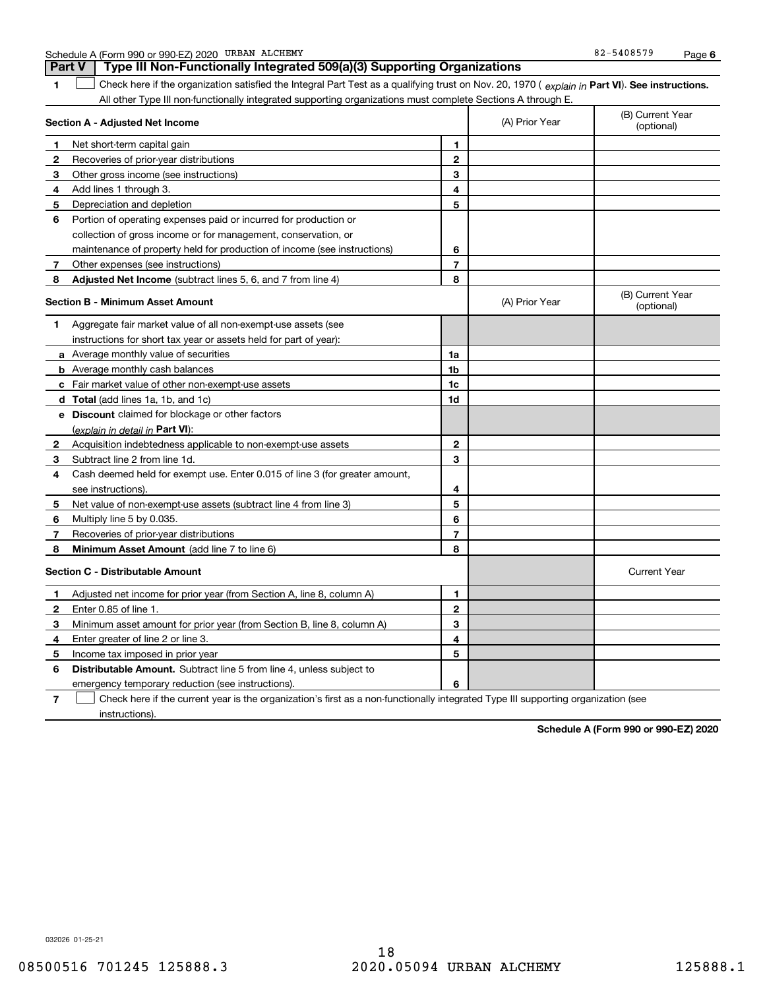| Schedule A | A (Form 990 or 990-EZ) 2020 | URBAN ALCHEMY | $-5408579$<br>$82 -$ | Page |  |
|------------|-----------------------------|---------------|----------------------|------|--|
|------------|-----------------------------|---------------|----------------------|------|--|

|              | <b>Part V</b><br>Type III Non-Functionally Integrated 509(a)(3) Supporting Organizations                                                       |                |                |                                |
|--------------|------------------------------------------------------------------------------------------------------------------------------------------------|----------------|----------------|--------------------------------|
| 1            | Check here if the organization satisfied the Integral Part Test as a qualifying trust on Nov. 20, 1970 (explain in Part VI). See instructions. |                |                |                                |
|              | All other Type III non-functionally integrated supporting organizations must complete Sections A through E.                                    |                |                |                                |
|              | Section A - Adjusted Net Income                                                                                                                |                | (A) Prior Year | (B) Current Year<br>(optional) |
| 1            | Net short-term capital gain                                                                                                                    | 1              |                |                                |
| 2            | Recoveries of prior-year distributions                                                                                                         | $\mathbf{2}$   |                |                                |
| 3            | Other gross income (see instructions)                                                                                                          | 3              |                |                                |
| 4            | Add lines 1 through 3.                                                                                                                         | 4              |                |                                |
| 5            | Depreciation and depletion                                                                                                                     | 5              |                |                                |
| 6            | Portion of operating expenses paid or incurred for production or                                                                               |                |                |                                |
|              | collection of gross income or for management, conservation, or                                                                                 |                |                |                                |
|              | maintenance of property held for production of income (see instructions)                                                                       | 6              |                |                                |
| 7            | Other expenses (see instructions)                                                                                                              | $\overline{7}$ |                |                                |
| 8            | <b>Adjusted Net Income</b> (subtract lines 5, 6, and 7 from line 4)                                                                            | 8              |                |                                |
|              | <b>Section B - Minimum Asset Amount</b>                                                                                                        |                | (A) Prior Year | (B) Current Year<br>(optional) |
| 1            | Aggregate fair market value of all non-exempt-use assets (see                                                                                  |                |                |                                |
|              | instructions for short tax year or assets held for part of year):                                                                              |                |                |                                |
|              | a Average monthly value of securities                                                                                                          | 1a             |                |                                |
|              | <b>b</b> Average monthly cash balances                                                                                                         | 1 <sub>b</sub> |                |                                |
|              | c Fair market value of other non-exempt-use assets                                                                                             | 1c             |                |                                |
|              | d Total (add lines 1a, 1b, and 1c)                                                                                                             | 1d             |                |                                |
|              | <b>e</b> Discount claimed for blockage or other factors                                                                                        |                |                |                                |
|              | (explain in detail in Part VI):                                                                                                                |                |                |                                |
| $\mathbf{2}$ | Acquisition indebtedness applicable to non-exempt-use assets                                                                                   | $\overline{2}$ |                |                                |
| 3            | Subtract line 2 from line 1d.                                                                                                                  | 3              |                |                                |
| 4            | Cash deemed held for exempt use. Enter 0.015 of line 3 (for greater amount,                                                                    |                |                |                                |
|              | see instructions).                                                                                                                             | 4              |                |                                |
| 5            | Net value of non-exempt-use assets (subtract line 4 from line 3)                                                                               | 5              |                |                                |
| 6            | Multiply line 5 by 0.035.                                                                                                                      | 6              |                |                                |
| 7            | Recoveries of prior-year distributions                                                                                                         | $\overline{7}$ |                |                                |
| 8            | Minimum Asset Amount (add line 7 to line 6)                                                                                                    | 8              |                |                                |
|              | <b>Section C - Distributable Amount</b>                                                                                                        |                |                | <b>Current Year</b>            |
| 1            | Adjusted net income for prior year (from Section A, line 8, column A)                                                                          | 1              |                |                                |
| 2            | Enter 0.85 of line 1.                                                                                                                          | $\overline{2}$ |                |                                |
| з            | Minimum asset amount for prior year (from Section B, line 8, column A)                                                                         | 3              |                |                                |
| 4            | Enter greater of line 2 or line 3.                                                                                                             | 4              |                |                                |
| 5            | Income tax imposed in prior year                                                                                                               | 5              |                |                                |
| 6            | <b>Distributable Amount.</b> Subtract line 5 from line 4, unless subject to                                                                    |                |                |                                |
|              | emergency temporary reduction (see instructions).                                                                                              | 6              |                |                                |

**7**Check here if the current year is the organization's first as a non-functionally integrated Type III supporting organization (see instructions).

**Schedule A (Form 990 or 990-EZ) 2020**

032026 01-25-21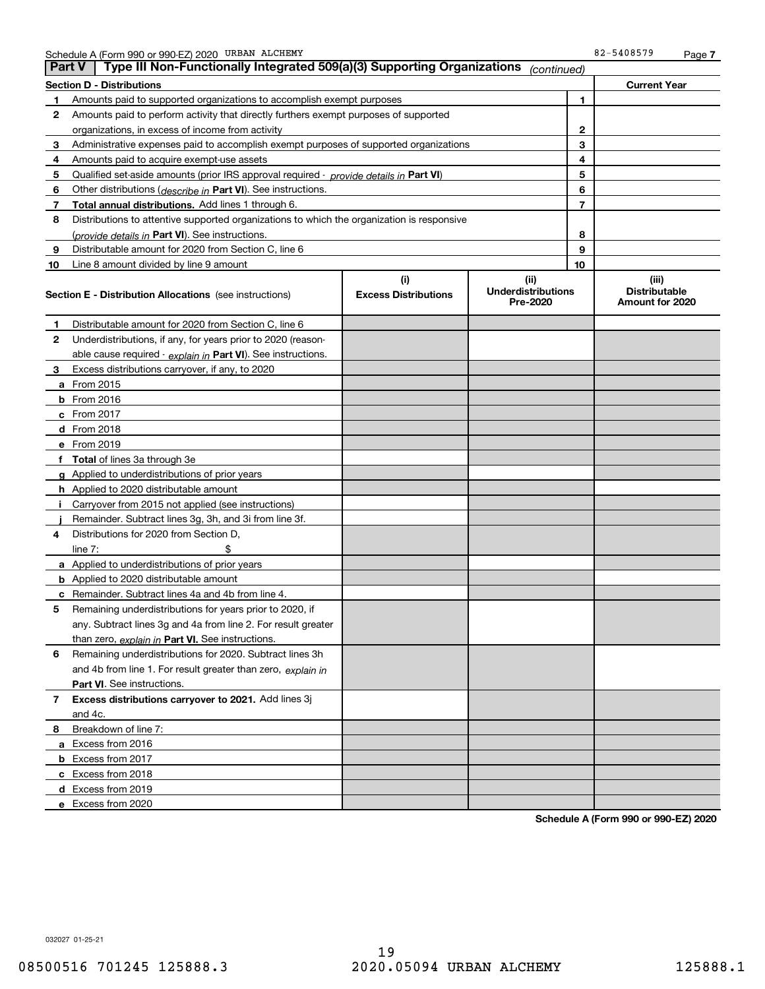|    | Type III Non-Functionally Integrated 509(a)(3) Supporting Organizations<br><b>Part V</b><br>(continued) |                                    |                                               |    |                                                  |  |
|----|---------------------------------------------------------------------------------------------------------|------------------------------------|-----------------------------------------------|----|--------------------------------------------------|--|
|    | <b>Section D - Distributions</b>                                                                        |                                    |                                               |    | <b>Current Year</b>                              |  |
| 1  | Amounts paid to supported organizations to accomplish exempt purposes                                   |                                    |                                               | 1  |                                                  |  |
| 2  | Amounts paid to perform activity that directly furthers exempt purposes of supported                    |                                    |                                               |    |                                                  |  |
|    | organizations, in excess of income from activity                                                        |                                    |                                               |    |                                                  |  |
| 3  | Administrative expenses paid to accomplish exempt purposes of supported organizations                   |                                    |                                               | 3  |                                                  |  |
| 4  | Amounts paid to acquire exempt-use assets                                                               |                                    |                                               | 4  |                                                  |  |
| 5  | Qualified set-aside amounts (prior IRS approval required - provide details in Part VI)                  |                                    |                                               | 5  |                                                  |  |
| 6  | Other distributions ( <i>describe in</i> Part VI). See instructions.                                    |                                    |                                               | 6  |                                                  |  |
| 7  | Total annual distributions. Add lines 1 through 6.                                                      |                                    |                                               | 7  |                                                  |  |
| 8  | Distributions to attentive supported organizations to which the organization is responsive              |                                    |                                               |    |                                                  |  |
|    | (provide details in Part VI). See instructions.                                                         |                                    |                                               | 8  |                                                  |  |
| 9  | Distributable amount for 2020 from Section C, line 6                                                    |                                    |                                               | 9  |                                                  |  |
| 10 | Line 8 amount divided by line 9 amount                                                                  |                                    |                                               | 10 |                                                  |  |
|    | <b>Section E - Distribution Allocations</b> (see instructions)                                          | (i)<br><b>Excess Distributions</b> | (ii)<br><b>Underdistributions</b><br>Pre-2020 |    | (iii)<br><b>Distributable</b><br>Amount for 2020 |  |
| 1  | Distributable amount for 2020 from Section C, line 6                                                    |                                    |                                               |    |                                                  |  |
| 2  | Underdistributions, if any, for years prior to 2020 (reason-                                            |                                    |                                               |    |                                                  |  |
|    | able cause required - explain in Part VI). See instructions.                                            |                                    |                                               |    |                                                  |  |
| 3  | Excess distributions carryover, if any, to 2020                                                         |                                    |                                               |    |                                                  |  |
|    | a From 2015                                                                                             |                                    |                                               |    |                                                  |  |
|    | <b>b</b> From 2016                                                                                      |                                    |                                               |    |                                                  |  |
|    | $c$ From 2017                                                                                           |                                    |                                               |    |                                                  |  |
|    | d From 2018                                                                                             |                                    |                                               |    |                                                  |  |
|    | e From 2019                                                                                             |                                    |                                               |    |                                                  |  |
|    | f Total of lines 3a through 3e                                                                          |                                    |                                               |    |                                                  |  |
|    | g Applied to underdistributions of prior years                                                          |                                    |                                               |    |                                                  |  |
|    | <b>h</b> Applied to 2020 distributable amount                                                           |                                    |                                               |    |                                                  |  |
|    | Carryover from 2015 not applied (see instructions)                                                      |                                    |                                               |    |                                                  |  |
|    | Remainder. Subtract lines 3g, 3h, and 3i from line 3f.                                                  |                                    |                                               |    |                                                  |  |
| 4  | Distributions for 2020 from Section D,                                                                  |                                    |                                               |    |                                                  |  |
|    | line $7:$                                                                                               |                                    |                                               |    |                                                  |  |
|    | a Applied to underdistributions of prior years                                                          |                                    |                                               |    |                                                  |  |
|    | <b>b</b> Applied to 2020 distributable amount                                                           |                                    |                                               |    |                                                  |  |
|    | c Remainder. Subtract lines 4a and 4b from line 4.                                                      |                                    |                                               |    |                                                  |  |
| 5. | Remaining underdistributions for years prior to 2020, if                                                |                                    |                                               |    |                                                  |  |
|    | any. Subtract lines 3g and 4a from line 2. For result greater                                           |                                    |                                               |    |                                                  |  |
|    | than zero, explain in Part VI. See instructions.                                                        |                                    |                                               |    |                                                  |  |
| 6  | Remaining underdistributions for 2020. Subtract lines 3h                                                |                                    |                                               |    |                                                  |  |
|    | and 4b from line 1. For result greater than zero, explain in                                            |                                    |                                               |    |                                                  |  |
|    | Part VI. See instructions.                                                                              |                                    |                                               |    |                                                  |  |
| 7  | Excess distributions carryover to 2021. Add lines 3j                                                    |                                    |                                               |    |                                                  |  |
|    | and 4c.                                                                                                 |                                    |                                               |    |                                                  |  |
| 8  | Breakdown of line 7:                                                                                    |                                    |                                               |    |                                                  |  |
|    | a Excess from 2016                                                                                      |                                    |                                               |    |                                                  |  |
|    | <b>b</b> Excess from 2017                                                                               |                                    |                                               |    |                                                  |  |
|    | c Excess from 2018                                                                                      |                                    |                                               |    |                                                  |  |
|    | d Excess from 2019                                                                                      |                                    |                                               |    |                                                  |  |
|    | e Excess from 2020                                                                                      |                                    |                                               |    |                                                  |  |

**Schedule A (Form 990 or 990-EZ) 2020**

032027 01-25-21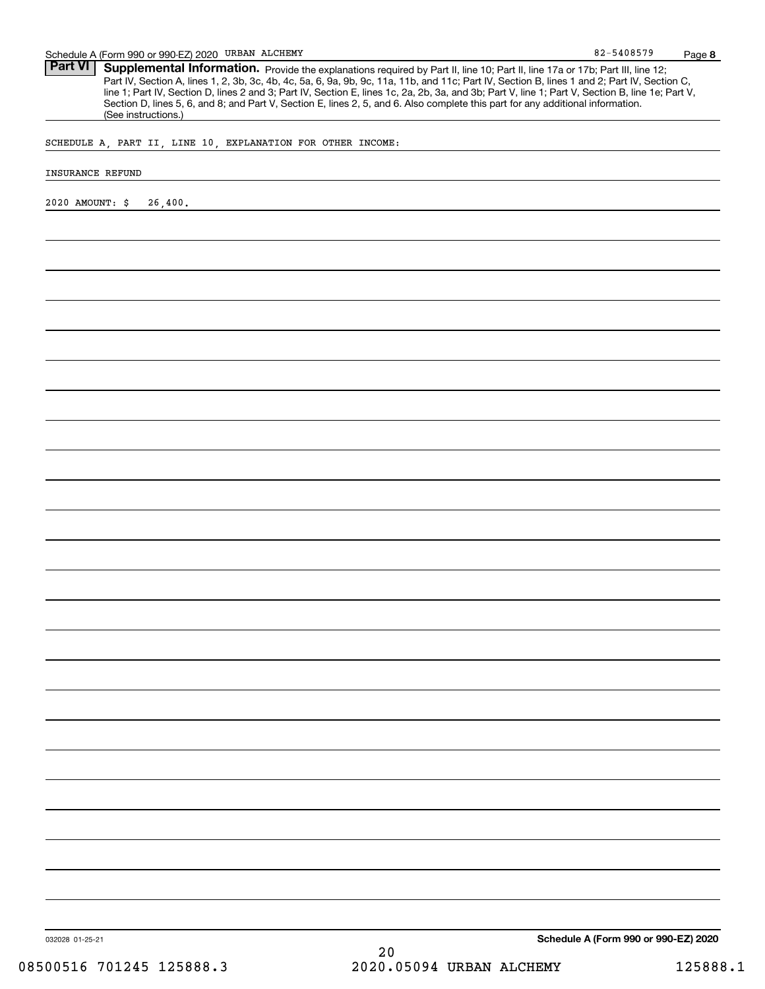Part VI | Supplemental Information. Provide the explanations required by Part II, line 10; Part II, line 17a or 17b; Part III, line 12; Part IV, Section A, lines 1, 2, 3b, 3c, 4b, 4c, 5a, 6, 9a, 9b, 9c, 11a, 11b, and 11c; Part IV, Section B, lines 1 and 2; Part IV, Section C, line 1; Part IV, Section D, lines 2 and 3; Part IV, Section E, lines 1c, 2a, 2b, 3a, and 3b; Part V, line 1; Part V, Section B, line 1e; Part V, Section D, lines 5, 6, and 8; and Part V, Section E, lines 2, 5, and 6. Also complete this part for any additional information. (See instructions.)

SCHEDULE A, PART II, LINE 10, EXPLANATION FOR OTHER INCOME:

### INSURANCE REFUND

2020 AMOUNT: \$ 26,400.

032028 01-25-21

**Schedule A (Form 990 or 990-EZ) 2020**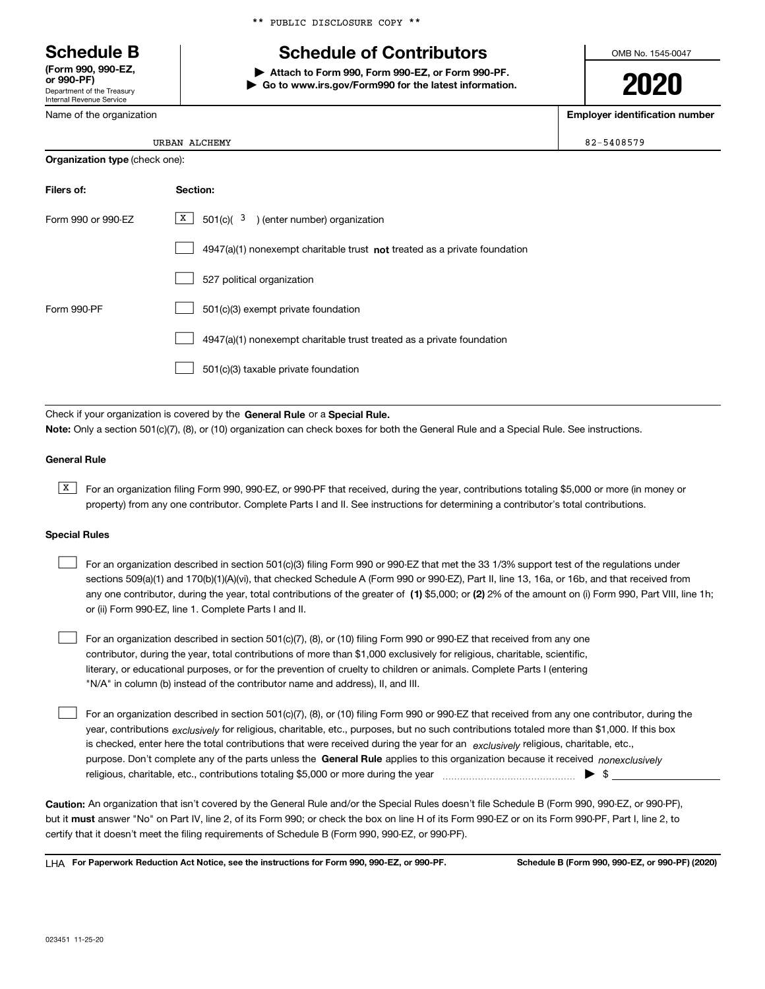Department of the Treasury Internal Revenue Service **(Form 990, 990-EZ, or 990-PF)**

Name of the organization

# **Schedule B Schedule of Contributors**

**| Attach to Form 990, Form 990-EZ, or Form 990-PF. | Go to www.irs.gov/Form990 for the latest information.** OMB No. 1545-0047

# **2020**

**Employer identification number**

| <b>Organization type</b> (check one): |  |
|---------------------------------------|--|
|---------------------------------------|--|

| Filers of:         | Section:                                                                    |
|--------------------|-----------------------------------------------------------------------------|
| Form 990 or 990-EZ | X  <br>$501(c)$ $(3)$ (enter number) organization                           |
|                    | $4947(a)(1)$ nonexempt charitable trust not treated as a private foundation |
|                    | 527 political organization                                                  |
| Form 990-PF        | 501(c)(3) exempt private foundation                                         |
|                    | 4947(a)(1) nonexempt charitable trust treated as a private foundation       |
|                    | 501(c)(3) taxable private foundation                                        |

Check if your organization is covered by the **General Rule** or a **Special Rule. Note:**  Only a section 501(c)(7), (8), or (10) organization can check boxes for both the General Rule and a Special Rule. See instructions.

### **General Rule**

 $\overline{X}$  For an organization filing Form 990, 990-EZ, or 990-PF that received, during the year, contributions totaling \$5,000 or more (in money or property) from any one contributor. Complete Parts I and II. See instructions for determining a contributor's total contributions.

### **Special Rules**

| For an organization described in section 501(c)(3) filing Form 990 or 990-EZ that met the 33 1/3% support test of the regulations under               |
|-------------------------------------------------------------------------------------------------------------------------------------------------------|
| sections 509(a)(1) and 170(b)(1)(A)(vi), that checked Schedule A (Form 990 or 990-EZ), Part II, line 13, 16a, or 16b, and that received from          |
| any one contributor, during the year, total contributions of the greater of (1) \$5,000; or (2) 2% of the amount on (i) Form 990, Part VIII, line 1h; |
| or (ii) Form 990-EZ, line 1. Complete Parts I and II.                                                                                                 |

For an organization described in section 501(c)(7), (8), or (10) filing Form 990 or 990-EZ that received from any one contributor, during the year, total contributions of more than \$1,000 exclusively for religious, charitable, scientific, literary, or educational purposes, or for the prevention of cruelty to children or animals. Complete Parts I (entering "N/A" in column (b) instead of the contributor name and address), II, and III.  $\mathcal{L}^{\text{max}}$ 

purpose. Don't complete any of the parts unless the **General Rule** applies to this organization because it received *nonexclusively* year, contributions <sub>exclusively</sub> for religious, charitable, etc., purposes, but no such contributions totaled more than \$1,000. If this box is checked, enter here the total contributions that were received during the year for an  $\;$ exclusively religious, charitable, etc., For an organization described in section 501(c)(7), (8), or (10) filing Form 990 or 990-EZ that received from any one contributor, during the religious, charitable, etc., contributions totaling \$5,000 or more during the year  $\Box$ — $\Box$  =  $\Box$  $\mathcal{L}^{\text{max}}$ 

**Caution:**  An organization that isn't covered by the General Rule and/or the Special Rules doesn't file Schedule B (Form 990, 990-EZ, or 990-PF),  **must** but it answer "No" on Part IV, line 2, of its Form 990; or check the box on line H of its Form 990-EZ or on its Form 990-PF, Part I, line 2, to certify that it doesn't meet the filing requirements of Schedule B (Form 990, 990-EZ, or 990-PF).

**For Paperwork Reduction Act Notice, see the instructions for Form 990, 990-EZ, or 990-PF. Schedule B (Form 990, 990-EZ, or 990-PF) (2020)** LHA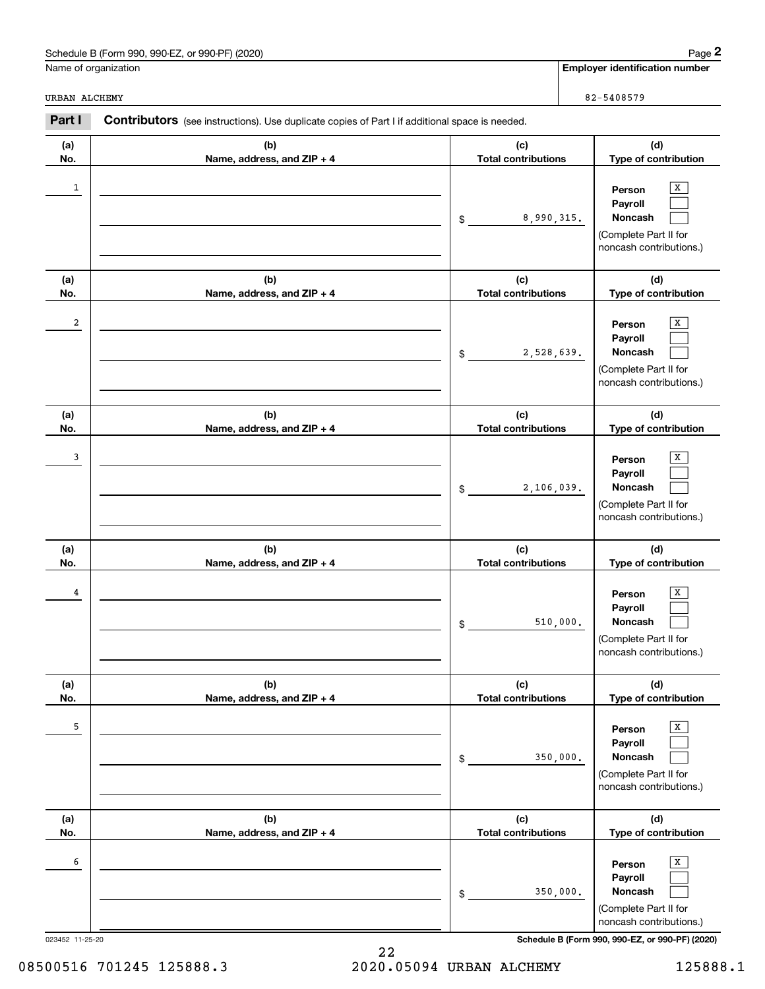| Schedule B (Form 990, 990-EZ, or 990-PF) (2020)<br>Page |  |
|---------------------------------------------------------|--|
|---------------------------------------------------------|--|

URBAN ALCHEMY

| 82-5408579 |  |  |  |
|------------|--|--|--|

|               | Schedule B (Form 990, 990-EZ, or 990-PF) (2020)                                                       |                                   | Page 2                                                                                |
|---------------|-------------------------------------------------------------------------------------------------------|-----------------------------------|---------------------------------------------------------------------------------------|
|               | Name of organization                                                                                  |                                   | <b>Employer identification number</b>                                                 |
| URBAN ALCHEMY |                                                                                                       |                                   | 82-5408579                                                                            |
| Part I        | <b>Contributors</b> (see instructions). Use duplicate copies of Part I if additional space is needed. |                                   |                                                                                       |
| (a)<br>No.    | (b)<br>Name, address, and ZIP + 4                                                                     | (c)<br><b>Total contributions</b> | (d)<br>Type of contribution                                                           |
| $\mathbf{1}$  |                                                                                                       | 8,990,315.<br>\$                  | X<br>Person<br>Payroll<br>Noncash<br>(Complete Part II for<br>noncash contributions.) |
| (a)<br>No.    | (b)<br>Name, address, and ZIP + 4                                                                     | (c)<br><b>Total contributions</b> | (d)<br>Type of contribution                                                           |
| 2             |                                                                                                       | 2,528,639.<br>\$                  | X<br>Person<br>Payroll<br>Noncash<br>(Complete Part II for<br>noncash contributions.) |
| (a)<br>No.    | (b)<br>Name, address, and ZIP + 4                                                                     | (c)<br><b>Total contributions</b> | (d)<br>Type of contribution                                                           |
| 3             |                                                                                                       | 2,106,039.<br>\$                  | X<br>Person<br>Payroll<br>Noncash<br>(Complete Part II for<br>noncash contributions.) |
| (a)<br>No.    | (b)<br>Name, address, and ZIP + 4                                                                     | (c)<br><b>Total contributions</b> | (d)<br>Type of contribution                                                           |
| 4             |                                                                                                       | 510,000.<br>\$                    | х<br>Person<br>Payroll<br>Noncash<br>(Complete Part II for<br>noncash contributions.) |
| (a)<br>No.    | (b)<br>Name, address, and ZIP + 4                                                                     | (c)<br><b>Total contributions</b> | (d)<br>Type of contribution                                                           |
| 5             |                                                                                                       | 350,000.<br>\$                    | Х<br>Person<br>Payroll<br>Noncash<br>(Complete Part II for<br>noncash contributions.) |
| (a)<br>No.    | (b)<br>Name, address, and ZIP + 4                                                                     | (c)<br><b>Total contributions</b> | (d)<br>Type of contribution                                                           |
| 6             |                                                                                                       | 350,000.<br>\$                    | Х<br>Person<br>Payroll<br>Noncash<br>(Complete Part II for<br>noncash contributions.) |

023452 11-25-20 **Schedule B (Form 990, 990-EZ, or 990-PF) (2020)**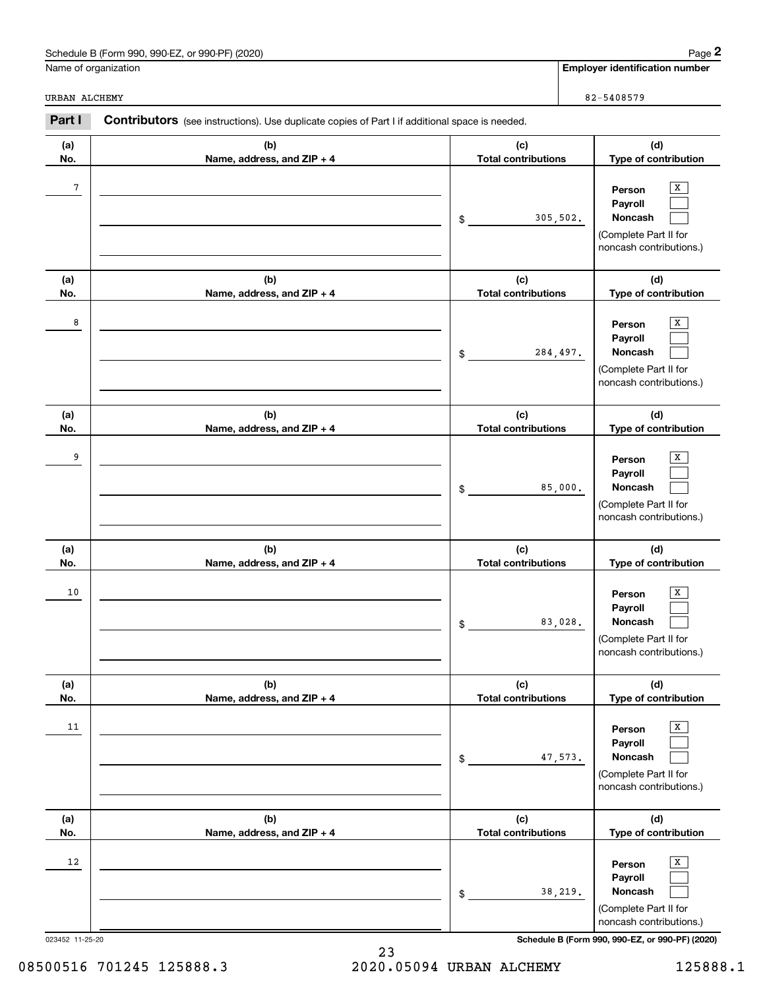| Schedule B (Form 990, 990-EZ, or 990-PF) (2020) | Page |
|-------------------------------------------------|------|
|-------------------------------------------------|------|

|                 | Schedule B (Form 990, 990-EZ, or 990-PF) (2020)                                                |                                   |          | Page 2                                                                                |
|-----------------|------------------------------------------------------------------------------------------------|-----------------------------------|----------|---------------------------------------------------------------------------------------|
|                 | Name of organization                                                                           |                                   |          | <b>Employer identification number</b>                                                 |
| URBAN ALCHEMY   |                                                                                                |                                   |          | 82-5408579                                                                            |
| Part I          | Contributors (see instructions). Use duplicate copies of Part I if additional space is needed. |                                   |          |                                                                                       |
| (a)<br>No.      | (b)<br>Name, address, and ZIP + 4                                                              | (c)<br><b>Total contributions</b> |          | (d)<br>Type of contribution                                                           |
| $7\phantom{.0}$ |                                                                                                | \$                                | 305,502. | х<br>Person<br>Payroll<br>Noncash<br>(Complete Part II for<br>noncash contributions.) |
| (a)<br>No.      | (b)<br>Name, address, and ZIP + 4                                                              | (c)<br><b>Total contributions</b> |          | (d)<br>Type of contribution                                                           |
| 8               |                                                                                                | \$                                | 284,497. | Х<br>Person<br>Payroll<br>Noncash<br>(Complete Part II for<br>noncash contributions.) |
| (a)<br>No.      | (b)<br>Name, address, and ZIP + 4                                                              | (c)<br><b>Total contributions</b> |          | (d)<br>Type of contribution                                                           |
| 9               |                                                                                                | \$                                | 85,000.  | х<br>Person<br>Payroll<br>Noncash<br>(Complete Part II for<br>noncash contributions.) |
| (a)<br>No.      | (b)<br>Name, address, and ZIP + 4                                                              | (c)<br><b>Total contributions</b> |          | (d)<br>Type of contribution                                                           |
| 10              |                                                                                                | \$                                | 83,028.  | х<br>Person<br>Payroll<br>Noncash<br>(Complete Part II for<br>noncash contributions.) |
| (a)<br>No.      | (b)<br>Name, address, and ZIP + 4                                                              | (c)<br><b>Total contributions</b> |          | (d)<br>Type of contribution                                                           |
| 11              |                                                                                                | \$                                | 47,573.  | X<br>Person<br>Payroll<br>Noncash<br>(Complete Part II for<br>noncash contributions.) |
| (a)<br>No.      | (b)<br>Name, address, and ZIP + 4                                                              | (c)<br><b>Total contributions</b> |          | (d)<br>Type of contribution                                                           |
| 12              |                                                                                                | \$                                | 38,219.  | X<br>Person<br>Payroll<br>Noncash<br>(Complete Part II for<br>noncash contributions.) |

023452 11-25-20 **Schedule B (Form 990, 990-EZ, or 990-PF) (2020)**

23 08500516 701245 125888.3 2020.05094 URBAN ALCHEMY 125888.1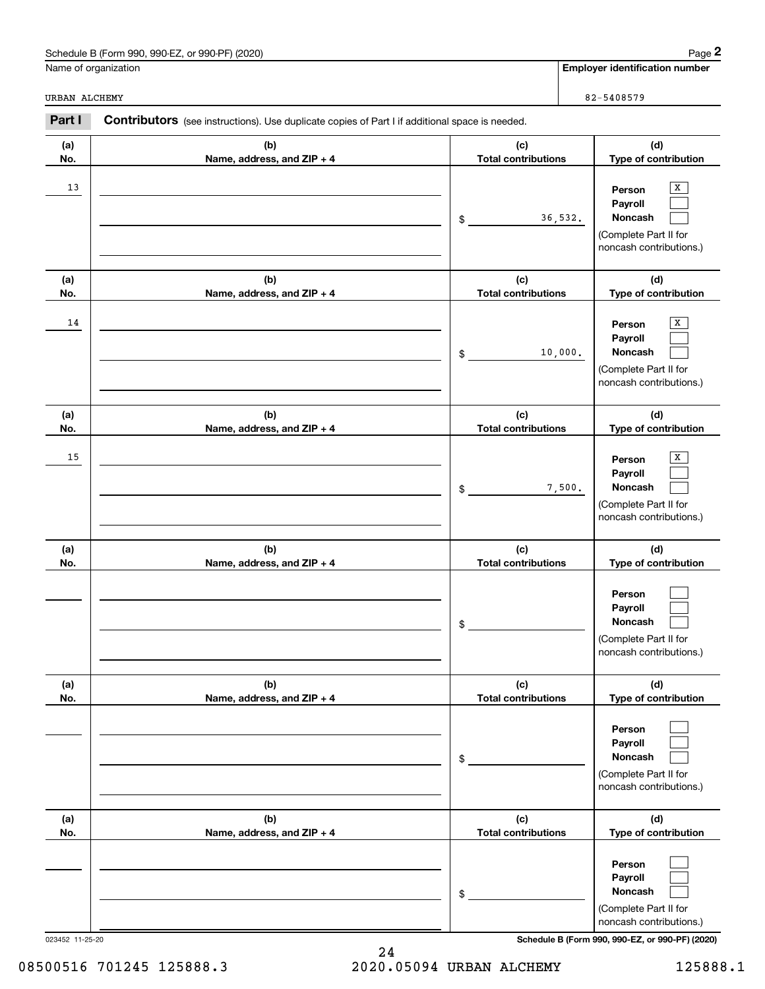| or 990-PF) (2020)<br>990-EZ<br>Schedule B (Form 990. | Page |
|------------------------------------------------------|------|
|------------------------------------------------------|------|

|               | Schedule B (Form 990, 990-EZ, or 990-PF) (2020)                                                       |                                   | Page 2                                                                                |
|---------------|-------------------------------------------------------------------------------------------------------|-----------------------------------|---------------------------------------------------------------------------------------|
|               | Name of organization                                                                                  |                                   | <b>Employer identification number</b>                                                 |
| URBAN ALCHEMY |                                                                                                       |                                   | 82-5408579                                                                            |
| Part I        | <b>Contributors</b> (see instructions). Use duplicate copies of Part I if additional space is needed. |                                   |                                                                                       |
| (a)<br>No.    | (b)<br>Name, address, and ZIP + 4                                                                     | (c)<br><b>Total contributions</b> | (d)<br>Type of contribution                                                           |
| 13            |                                                                                                       | 36,532.<br>\$                     | X<br>Person<br>Payroll<br>Noncash<br>(Complete Part II for<br>noncash contributions.) |
| (a)<br>No.    | (b)<br>Name, address, and ZIP + 4                                                                     | (c)<br><b>Total contributions</b> | (d)<br>Type of contribution                                                           |
| 14            |                                                                                                       | 10,000.<br>\$                     | X<br>Person<br>Payroll<br>Noncash<br>(Complete Part II for<br>noncash contributions.) |
| (a)<br>No.    | (b)<br>Name, address, and ZIP + 4                                                                     | (c)<br><b>Total contributions</b> | (d)<br>Type of contribution                                                           |
| 15            |                                                                                                       | 7,500.<br>\$                      | X<br>Person<br>Payroll<br>Noncash<br>(Complete Part II for<br>noncash contributions.) |
| (a)<br>No.    | (b)<br>Name, address, and ZIP + 4                                                                     | (c)<br><b>Total contributions</b> | (d)<br>Type of contribution                                                           |
|               |                                                                                                       | \$                                | Person<br>Payroll<br>Noncash<br>(Complete Part II for<br>noncash contributions.)      |
| (a)<br>No.    | (b)<br>Name, address, and ZIP + 4                                                                     | (c)<br><b>Total contributions</b> | (d)<br>Type of contribution                                                           |
|               |                                                                                                       | \$                                | Person<br>Payroll<br>Noncash<br>(Complete Part II for<br>noncash contributions.)      |
| (a)<br>No.    | (b)<br>Name, address, and ZIP + 4                                                                     | (c)<br><b>Total contributions</b> | (d)<br>Type of contribution                                                           |
|               |                                                                                                       | \$                                | Person<br>Payroll<br>Noncash<br>(Complete Part II for<br>noncash contributions.)      |

023452 11-25-20 **Schedule B (Form 990, 990-EZ, or 990-PF) (2020)**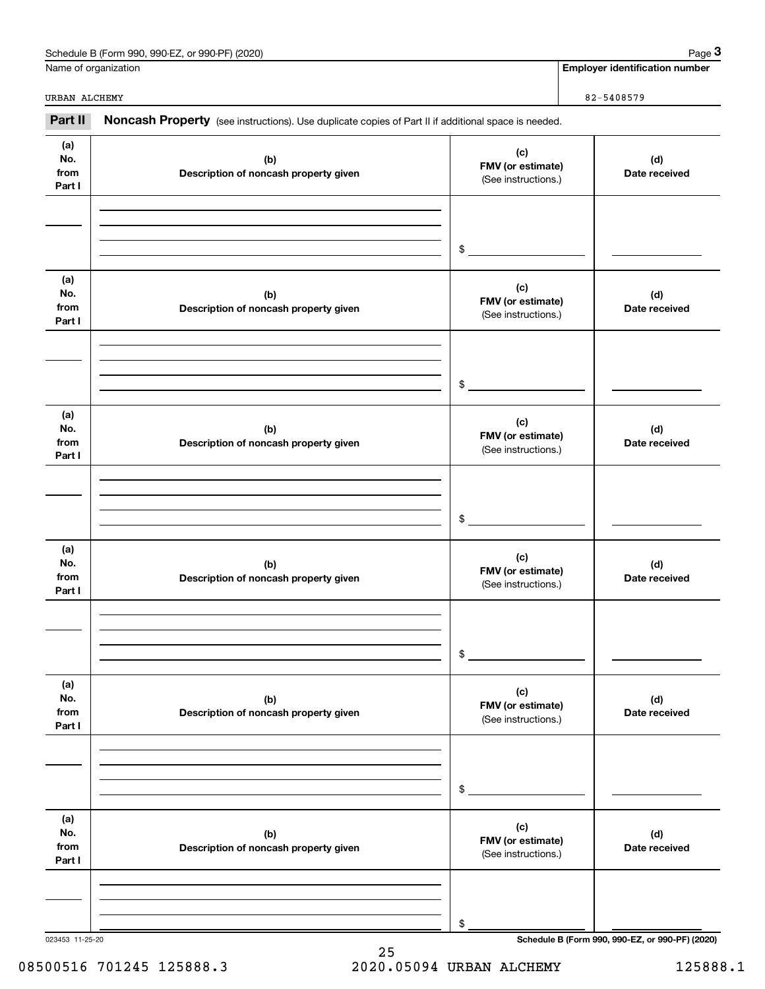| Schedule B (Form 990, 990-EZ, or 990-PF) (2020) | Page                           |
|-------------------------------------------------|--------------------------------|
| Name of organization                            | Emplover identification number |

|                              | Schedule B (Form 990, 990-EZ, or 990-PF) (2020)                                                     |                                                 | Page 3                                          |
|------------------------------|-----------------------------------------------------------------------------------------------------|-------------------------------------------------|-------------------------------------------------|
|                              | Name of organization                                                                                |                                                 | <b>Employer identification number</b>           |
| URBAN ALCHEMY                |                                                                                                     |                                                 | 82-5408579                                      |
| Part II                      | Noncash Property (see instructions). Use duplicate copies of Part II if additional space is needed. |                                                 |                                                 |
| (a)<br>No.<br>from<br>Part I | (b)<br>Description of noncash property given                                                        | (c)<br>FMV (or estimate)<br>(See instructions.) | (d)<br>Date received                            |
|                              |                                                                                                     | \$                                              |                                                 |
| (a)<br>No.<br>from<br>Part I | (b)<br>Description of noncash property given                                                        | (c)<br>FMV (or estimate)<br>(See instructions.) | (d)<br>Date received                            |
|                              |                                                                                                     | \$                                              |                                                 |
| (a)<br>No.<br>from<br>Part I | (b)<br>Description of noncash property given                                                        | (c)<br>FMV (or estimate)<br>(See instructions.) | (d)<br>Date received                            |
|                              |                                                                                                     | \$                                              |                                                 |
| (a)<br>No.<br>from<br>Part I | (b)<br>Description of noncash property given                                                        | (c)<br>FMV (or estimate)<br>(See instructions.) | (d)<br>Date received                            |
|                              |                                                                                                     | \$                                              |                                                 |
| (a)<br>No.<br>from<br>Part I | (b)<br>Description of noncash property given                                                        | (c)<br>FMV (or estimate)<br>(See instructions.) | (d)<br>Date received                            |
|                              |                                                                                                     | \$                                              |                                                 |
| (a)<br>No.<br>from<br>Part I | (b)<br>Description of noncash property given                                                        | (c)<br>FMV (or estimate)<br>(See instructions.) | (d)<br>Date received                            |
|                              |                                                                                                     | \$                                              |                                                 |
| 023453 11-25-20              |                                                                                                     |                                                 | Schedule B (Form 990, 990-EZ, or 990-PF) (2020) |

25 08500516 701245 125888.3 2020.05094 URBAN ALCHEMY 125888.1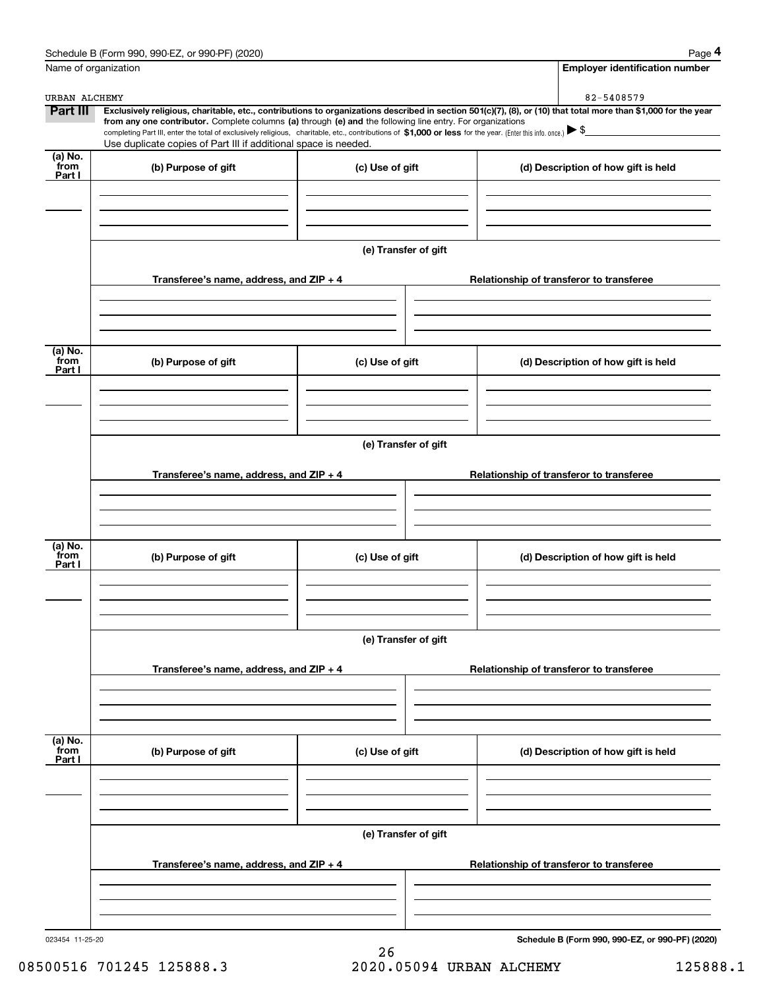|                           | Schedule B (Form 990, 990-EZ, or 990-PF) (2020)                                                                                                                                                                                                                                                 |                      |                                          |                                          | Page 4                                          |
|---------------------------|-------------------------------------------------------------------------------------------------------------------------------------------------------------------------------------------------------------------------------------------------------------------------------------------------|----------------------|------------------------------------------|------------------------------------------|-------------------------------------------------|
| Name of organization      |                                                                                                                                                                                                                                                                                                 |                      |                                          |                                          | <b>Employer identification number</b>           |
| URBAN ALCHEMY             |                                                                                                                                                                                                                                                                                                 |                      |                                          |                                          | 82-5408579                                      |
| <b>Part III</b>           | Exclusively religious, charitable, etc., contributions to organizations described in section 501(c)(7), (8), or (10) that total more than \$1,000 for the year                                                                                                                                  |                      |                                          |                                          |                                                 |
|                           | from any one contributor. Complete columns (a) through (e) and the following line entry. For organizations<br>completing Part III, enter the total of exclusively religious, charitable, etc., contributions of \$1,000 or less for the year. (Enter this info. once.) $\blacktriangleright$ \$ |                      |                                          |                                          |                                                 |
|                           | Use duplicate copies of Part III if additional space is needed.                                                                                                                                                                                                                                 |                      |                                          |                                          |                                                 |
| (a) No.<br>from<br>Part I | (b) Purpose of gift                                                                                                                                                                                                                                                                             | (c) Use of gift      |                                          |                                          | (d) Description of how gift is held             |
|                           |                                                                                                                                                                                                                                                                                                 |                      |                                          |                                          |                                                 |
|                           |                                                                                                                                                                                                                                                                                                 | (e) Transfer of gift |                                          |                                          |                                                 |
|                           | Transferee's name, address, and ZIP + 4                                                                                                                                                                                                                                                         |                      |                                          |                                          | Relationship of transferor to transferee        |
|                           |                                                                                                                                                                                                                                                                                                 |                      |                                          |                                          |                                                 |
| (a) No.                   |                                                                                                                                                                                                                                                                                                 |                      |                                          |                                          |                                                 |
| from<br>Part I            | (b) Purpose of gift                                                                                                                                                                                                                                                                             | (c) Use of gift      |                                          |                                          | (d) Description of how gift is held             |
|                           |                                                                                                                                                                                                                                                                                                 |                      |                                          |                                          |                                                 |
|                           | (e) Transfer of gift                                                                                                                                                                                                                                                                            |                      |                                          |                                          |                                                 |
|                           | Transferee's name, address, and $ZIP + 4$                                                                                                                                                                                                                                                       |                      |                                          | Relationship of transferor to transferee |                                                 |
|                           |                                                                                                                                                                                                                                                                                                 |                      |                                          |                                          |                                                 |
| (a) No.<br>from<br>Part I | (b) Purpose of gift                                                                                                                                                                                                                                                                             | (c) Use of gift      |                                          |                                          | (d) Description of how gift is held             |
|                           |                                                                                                                                                                                                                                                                                                 |                      |                                          |                                          |                                                 |
|                           |                                                                                                                                                                                                                                                                                                 |                      |                                          |                                          |                                                 |
|                           | (e) Transfer of gift<br>Transferee's name, address, and $ZIP + 4$                                                                                                                                                                                                                               |                      |                                          |                                          | Relationship of transferor to transferee        |
|                           |                                                                                                                                                                                                                                                                                                 |                      |                                          |                                          |                                                 |
|                           |                                                                                                                                                                                                                                                                                                 |                      |                                          |                                          |                                                 |
| (a) No.<br>from<br>Part I | (b) Purpose of gift                                                                                                                                                                                                                                                                             | (c) Use of gift      |                                          |                                          | (d) Description of how gift is held             |
|                           |                                                                                                                                                                                                                                                                                                 |                      |                                          |                                          |                                                 |
|                           |                                                                                                                                                                                                                                                                                                 | (e) Transfer of gift |                                          |                                          |                                                 |
|                           | Transferee's name, address, and $ZIP + 4$                                                                                                                                                                                                                                                       |                      | Relationship of transferor to transferee |                                          |                                                 |
|                           |                                                                                                                                                                                                                                                                                                 |                      |                                          |                                          |                                                 |
| 023454 11-25-20           |                                                                                                                                                                                                                                                                                                 |                      |                                          |                                          | Schedule B (Form 990, 990-EZ, or 990-PF) (2020) |

08500516 701245 125888.3 2020.05094 URBAN ALCHEMY 125888.1

26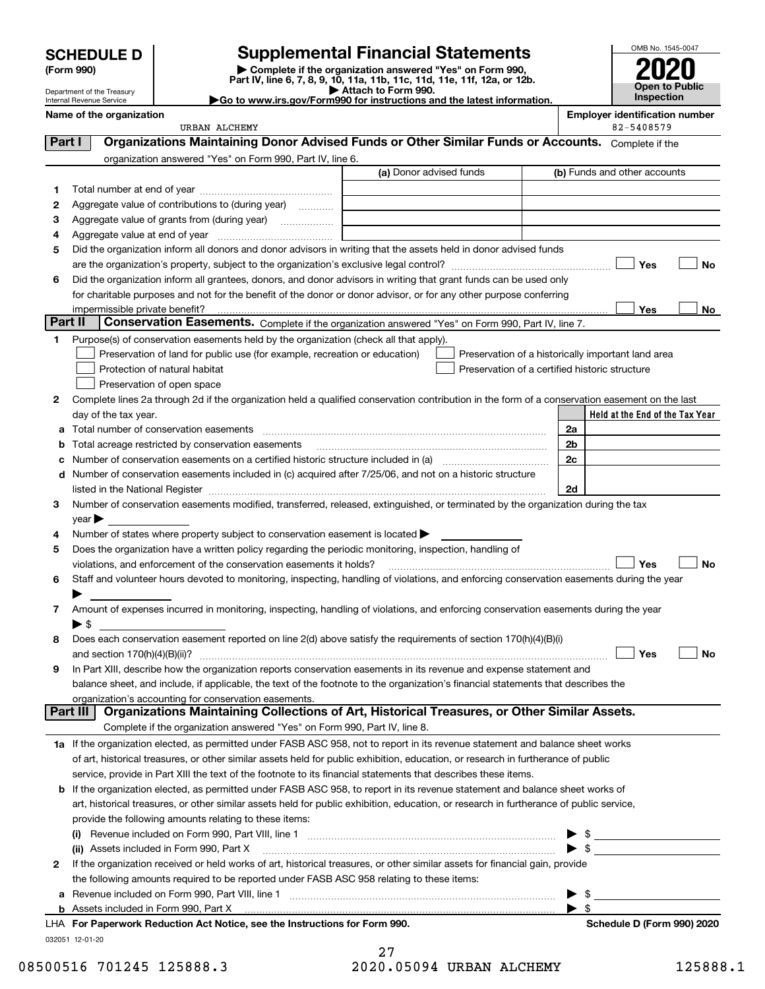### Department of the Treasury Internal Revenue Service

## **SCHEDULE D Supplemental Financial Statements**

(Form 990)<br>
Pepartment of the Treasury<br>
Department of the Treasury<br>
Department of the Treasury<br>
Department of the Treasury<br> **Co to www.irs.gov/Form990 for instructions and the latest information.**<br> **Co to www.irs.gov/Form9** 



| <b>DUDAINIUILUI IIU IIUASUIV</b><br>Internal Revenue Service | .<br>Go to www.irs.gov/Form990 for instructions and the latest information. |    |
|--------------------------------------------------------------|-----------------------------------------------------------------------------|----|
| Name of the organization                                     |                                                                             | Em |

| ployer identification number |
|------------------------------|
|------------------------------|

|          | URBAN ALCHEMY                                                                                                                                  |                         | 82-5408579                                         |  |  |
|----------|------------------------------------------------------------------------------------------------------------------------------------------------|-------------------------|----------------------------------------------------|--|--|
| Part I   | Organizations Maintaining Donor Advised Funds or Other Similar Funds or Accounts. Complete if the                                              |                         |                                                    |  |  |
|          | organization answered "Yes" on Form 990, Part IV, line 6.                                                                                      |                         |                                                    |  |  |
|          |                                                                                                                                                | (a) Donor advised funds | (b) Funds and other accounts                       |  |  |
| 1        |                                                                                                                                                |                         |                                                    |  |  |
| 2        | Aggregate value of contributions to (during year)                                                                                              |                         |                                                    |  |  |
| з        | Aggregate value of grants from (during year)                                                                                                   |                         |                                                    |  |  |
| 4        |                                                                                                                                                |                         |                                                    |  |  |
| 5        | Did the organization inform all donors and donor advisors in writing that the assets held in donor advised funds                               |                         |                                                    |  |  |
|          |                                                                                                                                                |                         | Yes<br><b>No</b>                                   |  |  |
| 6        | Did the organization inform all grantees, donors, and donor advisors in writing that grant funds can be used only                              |                         |                                                    |  |  |
|          | for charitable purposes and not for the benefit of the donor or donor advisor, or for any other purpose conferring                             |                         |                                                    |  |  |
|          | impermissible private benefit?                                                                                                                 |                         | Yes<br>No                                          |  |  |
| Part II  | Conservation Easements. Complete if the organization answered "Yes" on Form 990, Part IV, line 7.                                              |                         |                                                    |  |  |
| 1        | Purpose(s) of conservation easements held by the organization (check all that apply).                                                          |                         |                                                    |  |  |
|          | Preservation of land for public use (for example, recreation or education)                                                                     |                         | Preservation of a historically important land area |  |  |
|          | Protection of natural habitat                                                                                                                  |                         | Preservation of a certified historic structure     |  |  |
|          | Preservation of open space                                                                                                                     |                         |                                                    |  |  |
| 2        | Complete lines 2a through 2d if the organization held a qualified conservation contribution in the form of a conservation easement on the last |                         |                                                    |  |  |
|          | day of the tax year.                                                                                                                           |                         | Held at the End of the Tax Year                    |  |  |
| а        | Total number of conservation easements                                                                                                         |                         | 2a                                                 |  |  |
| b        | Total acreage restricted by conservation easements                                                                                             |                         | 2b                                                 |  |  |
| с        |                                                                                                                                                |                         | 2c                                                 |  |  |
| d        | Number of conservation easements included in (c) acquired after 7/25/06, and not on a historic structure                                       |                         |                                                    |  |  |
|          |                                                                                                                                                |                         | 2d                                                 |  |  |
| 3        | Number of conservation easements modified, transferred, released, extinguished, or terminated by the organization during the tax               |                         |                                                    |  |  |
|          | $\gamma$ ear $\blacktriangleright$                                                                                                             |                         |                                                    |  |  |
| 4        | Number of states where property subject to conservation easement is located >                                                                  |                         |                                                    |  |  |
| 5        | Does the organization have a written policy regarding the periodic monitoring, inspection, handling of                                         |                         |                                                    |  |  |
|          | violations, and enforcement of the conservation easements it holds?                                                                            |                         | Yes<br><b>No</b>                                   |  |  |
| 6        | Staff and volunteer hours devoted to monitoring, inspecting, handling of violations, and enforcing conservation easements during the year      |                         |                                                    |  |  |
|          |                                                                                                                                                |                         |                                                    |  |  |
| 7        | Amount of expenses incurred in monitoring, inspecting, handling of violations, and enforcing conservation easements during the year            |                         |                                                    |  |  |
|          | $\blacktriangleright$ \$                                                                                                                       |                         |                                                    |  |  |
| 8        | Does each conservation easement reported on line 2(d) above satisfy the requirements of section 170(h)(4)(B)(i)                                |                         |                                                    |  |  |
|          |                                                                                                                                                |                         | Yes<br>No                                          |  |  |
| 9        | In Part XIII, describe how the organization reports conservation easements in its revenue and expense statement and                            |                         |                                                    |  |  |
|          | balance sheet, and include, if applicable, the text of the footnote to the organization's financial statements that describes the              |                         |                                                    |  |  |
|          | organization's accounting for conservation easements.                                                                                          |                         |                                                    |  |  |
| Part III | Organizations Maintaining Collections of Art, Historical Treasures, or Other Similar Assets.                                                   |                         |                                                    |  |  |
|          | Complete if the organization answered "Yes" on Form 990, Part IV, line 8.                                                                      |                         |                                                    |  |  |
|          | 1a If the organization elected, as permitted under FASB ASC 958, not to report in its revenue statement and balance sheet works                |                         |                                                    |  |  |
|          | of art, historical treasures, or other similar assets held for public exhibition, education, or research in furtherance of public              |                         |                                                    |  |  |
|          | service, provide in Part XIII the text of the footnote to its financial statements that describes these items.                                 |                         |                                                    |  |  |
| b        | If the organization elected, as permitted under FASB ASC 958, to report in its revenue statement and balance sheet works of                    |                         |                                                    |  |  |
|          | art, historical treasures, or other similar assets held for public exhibition, education, or research in furtherance of public service,        |                         |                                                    |  |  |
|          | provide the following amounts relating to these items:                                                                                         |                         |                                                    |  |  |
|          | (i) Revenue included on Form 990, Part VIII, line 1 [1] [1] [1] [1] [1] [1] [1] Revenue included on Form 990, Part VIII, line 1                |                         | $\frac{1}{2}$                                      |  |  |
|          | (ii) Assets included in Form 990, Part X                                                                                                       |                         | $\blacktriangleright$ \$                           |  |  |
| 2        | If the organization received or held works of art, historical treasures, or other similar assets for financial gain, provide                   |                         |                                                    |  |  |
|          | the following amounts required to be reported under FASB ASC 958 relating to these items:                                                      |                         |                                                    |  |  |
| а        |                                                                                                                                                |                         | \$                                                 |  |  |
|          | <b>b</b> Assets included in Form 990, Part X                                                                                                   |                         | $\blacktriangleright$ \$                           |  |  |
|          | LHA For Paperwork Reduction Act Notice, see the Instructions for Form 990.                                                                     |                         | Schedule D (Form 990) 2020                         |  |  |
|          | 032051 12-01-20                                                                                                                                |                         |                                                    |  |  |

| --------------           |                          |          |
|--------------------------|--------------------------|----------|
|                          |                          |          |
| 08500516 701245 125888.3 | 2020.05094 URBAN ALCHEMY | 125888.1 |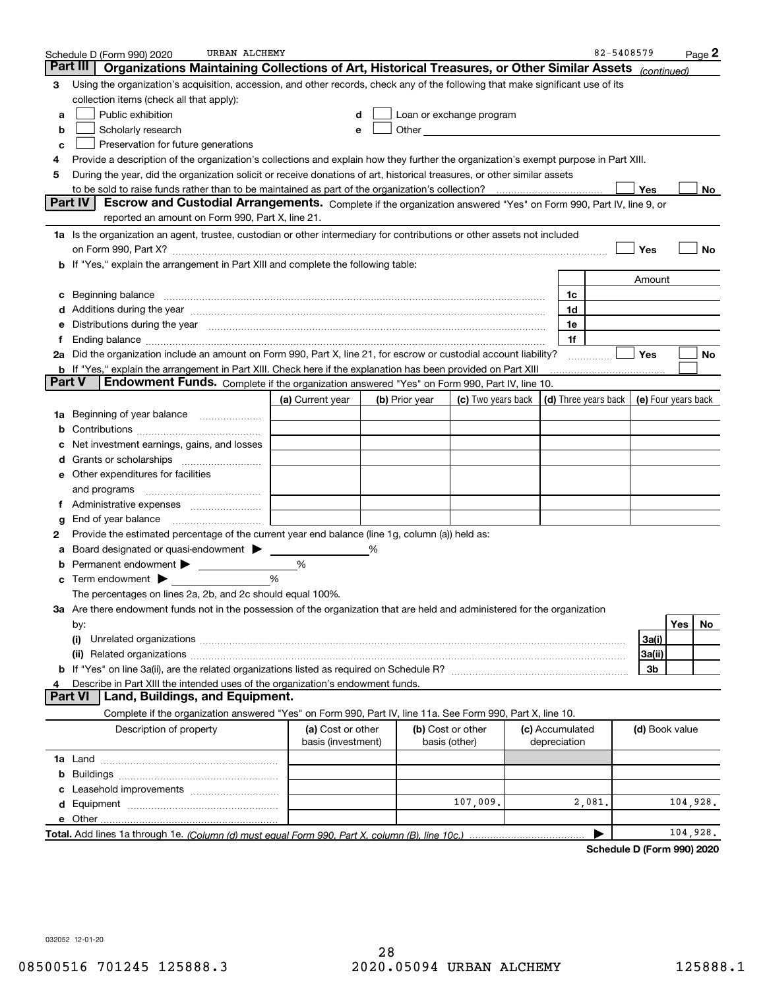|               | URBAN ALCHEMY<br>Schedule D (Form 990) 2020                                                                                                                                                                                        |                                         |   |                |                                                                                                                                                                                                                                |  |                                 | 82-5408579 |                |          | Page 2 |
|---------------|------------------------------------------------------------------------------------------------------------------------------------------------------------------------------------------------------------------------------------|-----------------------------------------|---|----------------|--------------------------------------------------------------------------------------------------------------------------------------------------------------------------------------------------------------------------------|--|---------------------------------|------------|----------------|----------|--------|
|               | Part III<br>Organizations Maintaining Collections of Art, Historical Treasures, or Other Similar Assets (continued)                                                                                                                |                                         |   |                |                                                                                                                                                                                                                                |  |                                 |            |                |          |        |
| 3             | Using the organization's acquisition, accession, and other records, check any of the following that make significant use of its                                                                                                    |                                         |   |                |                                                                                                                                                                                                                                |  |                                 |            |                |          |        |
|               | collection items (check all that apply):                                                                                                                                                                                           |                                         |   |                |                                                                                                                                                                                                                                |  |                                 |            |                |          |        |
| а             | Public exhibition                                                                                                                                                                                                                  |                                         |   |                | Loan or exchange program                                                                                                                                                                                                       |  |                                 |            |                |          |        |
| b             | Scholarly research                                                                                                                                                                                                                 |                                         |   |                | Other and the control of the control of the control of the control of the control of the control of the control of the control of the control of the control of the control of the control of the control of the control of th |  |                                 |            |                |          |        |
| с             | Preservation for future generations                                                                                                                                                                                                |                                         |   |                |                                                                                                                                                                                                                                |  |                                 |            |                |          |        |
| 4             | Provide a description of the organization's collections and explain how they further the organization's exempt purpose in Part XIII.                                                                                               |                                         |   |                |                                                                                                                                                                                                                                |  |                                 |            |                |          |        |
| 5             | During the year, did the organization solicit or receive donations of art, historical treasures, or other similar assets                                                                                                           |                                         |   |                |                                                                                                                                                                                                                                |  |                                 |            |                |          |        |
|               |                                                                                                                                                                                                                                    |                                         |   |                |                                                                                                                                                                                                                                |  |                                 |            | <b>Yes</b>     |          | No     |
|               | Part IV<br>Escrow and Custodial Arrangements. Complete if the organization answered "Yes" on Form 990, Part IV, line 9, or                                                                                                         |                                         |   |                |                                                                                                                                                                                                                                |  |                                 |            |                |          |        |
|               | reported an amount on Form 990, Part X, line 21.                                                                                                                                                                                   |                                         |   |                |                                                                                                                                                                                                                                |  |                                 |            |                |          |        |
|               | 1a Is the organization an agent, trustee, custodian or other intermediary for contributions or other assets not included                                                                                                           |                                         |   |                |                                                                                                                                                                                                                                |  |                                 |            |                |          |        |
|               | Yes<br>No<br>on Form 990, Part X? [11] matter contracts and contracts and contracts are contracted as a form 990, Part X?                                                                                                          |                                         |   |                |                                                                                                                                                                                                                                |  |                                 |            |                |          |        |
|               | b If "Yes," explain the arrangement in Part XIII and complete the following table:                                                                                                                                                 |                                         |   |                |                                                                                                                                                                                                                                |  |                                 |            |                |          |        |
|               |                                                                                                                                                                                                                                    |                                         |   |                |                                                                                                                                                                                                                                |  |                                 |            | Amount         |          |        |
| c             | Beginning balance <u>manual membershare communication</u> and the set of the set of the set of the set of the set of the set of the set of the set of the set of the set of the set of the set of the set of the set of the set of |                                         |   |                |                                                                                                                                                                                                                                |  | 1c                              |            |                |          |        |
|               | Additions during the year manufactured and an account of the year manufactured and account of the year manufactured and account of the state of the state of the state of the state of the state of the state of the state of      |                                         |   |                |                                                                                                                                                                                                                                |  | 1d                              |            |                |          |        |
| е             | Distributions during the year manufactured and an account of the state of the state of the state of the state o                                                                                                                    |                                         |   |                |                                                                                                                                                                                                                                |  | 1e                              |            |                |          |        |
| Ť.            | 2a Did the organization include an amount on Form 990, Part X, line 21, for escrow or custodial account liability?                                                                                                                 |                                         |   |                |                                                                                                                                                                                                                                |  | 1f                              |            | Yes            |          | No     |
|               | <b>b</b> If "Yes," explain the arrangement in Part XIII. Check here if the explanation has been provided on Part XIII                                                                                                              |                                         |   |                |                                                                                                                                                                                                                                |  |                                 |            |                |          |        |
| <b>Part V</b> | Endowment Funds. Complete if the organization answered "Yes" on Form 990, Part IV, line 10.                                                                                                                                        |                                         |   |                |                                                                                                                                                                                                                                |  |                                 |            |                |          |        |
|               |                                                                                                                                                                                                                                    | (a) Current year                        |   | (b) Prior year | (c) Two years back $\vert$ (d) Three years back $\vert$ (e) Four years back                                                                                                                                                    |  |                                 |            |                |          |        |
|               | 1a Beginning of year balance                                                                                                                                                                                                       |                                         |   |                |                                                                                                                                                                                                                                |  |                                 |            |                |          |        |
| b             |                                                                                                                                                                                                                                    |                                         |   |                |                                                                                                                                                                                                                                |  |                                 |            |                |          |        |
|               | Net investment earnings, gains, and losses                                                                                                                                                                                         |                                         |   |                |                                                                                                                                                                                                                                |  |                                 |            |                |          |        |
|               |                                                                                                                                                                                                                                    |                                         |   |                |                                                                                                                                                                                                                                |  |                                 |            |                |          |        |
|               | e Other expenditures for facilities                                                                                                                                                                                                |                                         |   |                |                                                                                                                                                                                                                                |  |                                 |            |                |          |        |
|               | and programs                                                                                                                                                                                                                       |                                         |   |                |                                                                                                                                                                                                                                |  |                                 |            |                |          |        |
|               |                                                                                                                                                                                                                                    |                                         |   |                |                                                                                                                                                                                                                                |  |                                 |            |                |          |        |
| g             | End of year balance <i>manually contained</i>                                                                                                                                                                                      |                                         |   |                |                                                                                                                                                                                                                                |  |                                 |            |                |          |        |
| 2             | Provide the estimated percentage of the current year end balance (line 1g, column (a)) held as:                                                                                                                                    |                                         |   |                |                                                                                                                                                                                                                                |  |                                 |            |                |          |        |
|               | Board designated or quasi-endowment                                                                                                                                                                                                |                                         | % |                |                                                                                                                                                                                                                                |  |                                 |            |                |          |        |
|               | <b>b</b> Permanent endowment >                                                                                                                                                                                                     | %                                       |   |                |                                                                                                                                                                                                                                |  |                                 |            |                |          |        |
|               | $\mathbf c$ Term endowment $\blacktriangleright$                                                                                                                                                                                   | %                                       |   |                |                                                                                                                                                                                                                                |  |                                 |            |                |          |        |
|               | The percentages on lines 2a, 2b, and 2c should equal 100%.                                                                                                                                                                         |                                         |   |                |                                                                                                                                                                                                                                |  |                                 |            |                |          |        |
|               | 3a Are there endowment funds not in the possession of the organization that are held and administered for the organization                                                                                                         |                                         |   |                |                                                                                                                                                                                                                                |  |                                 |            |                |          |        |
|               | by:                                                                                                                                                                                                                                |                                         |   |                |                                                                                                                                                                                                                                |  |                                 |            |                | Yes      | No     |
|               | (i)                                                                                                                                                                                                                                |                                         |   |                |                                                                                                                                                                                                                                |  |                                 |            | 3a(i)          |          |        |
|               |                                                                                                                                                                                                                                    |                                         |   |                |                                                                                                                                                                                                                                |  |                                 |            | 3a(ii)         |          |        |
|               |                                                                                                                                                                                                                                    |                                         |   |                |                                                                                                                                                                                                                                |  |                                 |            | 3b             |          |        |
| 4             | Describe in Part XIII the intended uses of the organization's endowment funds.                                                                                                                                                     |                                         |   |                |                                                                                                                                                                                                                                |  |                                 |            |                |          |        |
|               | <b>Part VI</b><br>Land, Buildings, and Equipment.                                                                                                                                                                                  |                                         |   |                |                                                                                                                                                                                                                                |  |                                 |            |                |          |        |
|               | Complete if the organization answered "Yes" on Form 990, Part IV, line 11a. See Form 990, Part X, line 10.                                                                                                                         |                                         |   |                |                                                                                                                                                                                                                                |  |                                 |            |                |          |        |
|               | Description of property                                                                                                                                                                                                            | (a) Cost or other<br>basis (investment) |   | basis (other)  | (b) Cost or other                                                                                                                                                                                                              |  | (c) Accumulated<br>depreciation |            | (d) Book value |          |        |
|               |                                                                                                                                                                                                                                    |                                         |   |                |                                                                                                                                                                                                                                |  |                                 |            |                |          |        |
| b             |                                                                                                                                                                                                                                    |                                         |   |                |                                                                                                                                                                                                                                |  |                                 |            |                |          |        |
|               |                                                                                                                                                                                                                                    |                                         |   |                |                                                                                                                                                                                                                                |  |                                 |            |                |          |        |
| d             |                                                                                                                                                                                                                                    |                                         |   |                | 107,009.                                                                                                                                                                                                                       |  |                                 | 2,081.     |                | 104,928. |        |
|               |                                                                                                                                                                                                                                    |                                         |   |                |                                                                                                                                                                                                                                |  |                                 |            |                |          |        |
|               |                                                                                                                                                                                                                                    |                                         |   |                |                                                                                                                                                                                                                                |  |                                 |            |                | 104,928. |        |

**Schedule D (Form 990) 2020**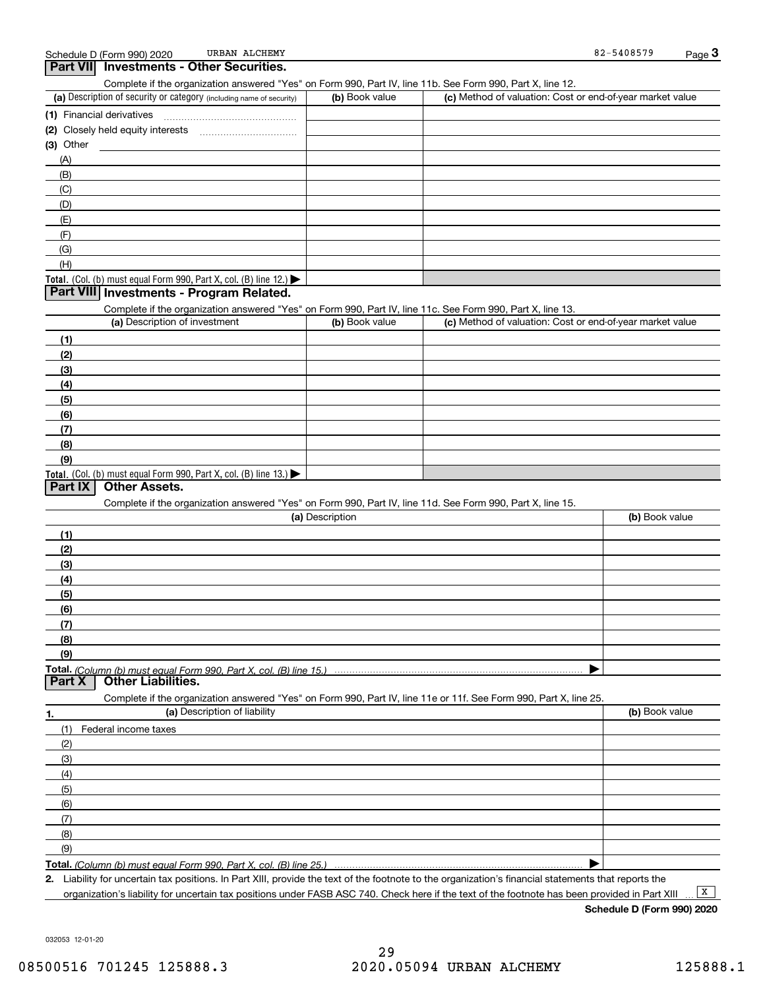| (a) Description of security or category (including name of security)<br>(b) Book value<br>(c) Method of valuation: Cost or end-of-year market value<br>$(3)$ Other<br><u> 1990 - Jan Barbara Barat, prima po</u><br>(A)<br>(B)<br>(C)<br>(D)<br>(E) |  |
|-----------------------------------------------------------------------------------------------------------------------------------------------------------------------------------------------------------------------------------------------------|--|
|                                                                                                                                                                                                                                                     |  |
|                                                                                                                                                                                                                                                     |  |
|                                                                                                                                                                                                                                                     |  |
|                                                                                                                                                                                                                                                     |  |
|                                                                                                                                                                                                                                                     |  |
|                                                                                                                                                                                                                                                     |  |
|                                                                                                                                                                                                                                                     |  |
|                                                                                                                                                                                                                                                     |  |
|                                                                                                                                                                                                                                                     |  |
|                                                                                                                                                                                                                                                     |  |
| (F)                                                                                                                                                                                                                                                 |  |
| (G)                                                                                                                                                                                                                                                 |  |
| (H)                                                                                                                                                                                                                                                 |  |
| Total. (Col. (b) must equal Form 990, Part X, col. (B) line 12.)                                                                                                                                                                                    |  |
| Part VIII Investments - Program Related.                                                                                                                                                                                                            |  |
| Complete if the organization answered "Yes" on Form 990, Part IV, line 11c. See Form 990, Part X, line 13.                                                                                                                                          |  |
| (a) Description of investment<br>(c) Method of valuation: Cost or end-of-year market value<br>(b) Book value                                                                                                                                        |  |
| (1)                                                                                                                                                                                                                                                 |  |
| (2)                                                                                                                                                                                                                                                 |  |
| (3)                                                                                                                                                                                                                                                 |  |
| (4)                                                                                                                                                                                                                                                 |  |
| (5)                                                                                                                                                                                                                                                 |  |
| (6)                                                                                                                                                                                                                                                 |  |
| (7)                                                                                                                                                                                                                                                 |  |
| (8)                                                                                                                                                                                                                                                 |  |
| (9)                                                                                                                                                                                                                                                 |  |
|                                                                                                                                                                                                                                                     |  |
| Total. (Col. (b) must equal Form 990, Part X, col. (B) line 13.)<br><b>Part IX</b><br><b>Other Assets.</b>                                                                                                                                          |  |
|                                                                                                                                                                                                                                                     |  |
| Complete if the organization answered "Yes" on Form 990, Part IV, line 11d. See Form 990, Part X, line 15.<br>(a) Description<br>(b) Book value                                                                                                     |  |
|                                                                                                                                                                                                                                                     |  |
| (1)                                                                                                                                                                                                                                                 |  |
| (2)                                                                                                                                                                                                                                                 |  |
| (3)                                                                                                                                                                                                                                                 |  |
| (4)                                                                                                                                                                                                                                                 |  |
| (5)                                                                                                                                                                                                                                                 |  |
| (6)                                                                                                                                                                                                                                                 |  |
| (7)                                                                                                                                                                                                                                                 |  |
|                                                                                                                                                                                                                                                     |  |
|                                                                                                                                                                                                                                                     |  |
| (8)<br>(9)                                                                                                                                                                                                                                          |  |
|                                                                                                                                                                                                                                                     |  |
| Part X<br><b>Other Liabilities.</b>                                                                                                                                                                                                                 |  |
| Complete if the organization answered "Yes" on Form 990, Part IV, line 11e or 11f. See Form 990, Part X, line 25.                                                                                                                                   |  |
| (a) Description of liability<br>(b) Book value<br>1.                                                                                                                                                                                                |  |
| (1)<br>Federal income taxes                                                                                                                                                                                                                         |  |
| (2)                                                                                                                                                                                                                                                 |  |
| (3)                                                                                                                                                                                                                                                 |  |
| (4)                                                                                                                                                                                                                                                 |  |
| (5)                                                                                                                                                                                                                                                 |  |
| (6)                                                                                                                                                                                                                                                 |  |
| (7)                                                                                                                                                                                                                                                 |  |
|                                                                                                                                                                                                                                                     |  |
| (8)<br>(9)                                                                                                                                                                                                                                          |  |

**2.**Liability for uncertain tax positions. In Part XIII, provide the text of the footnote to the organization's financial statements that reports the organization's liability for uncertain tax positions under FASB ASC 740. Check here if the text of the footnote has been provided in Part XIII

**Schedule D (Form 990) 2020**

032053 12-01-20

 $\boxed{\mathbf{X}}$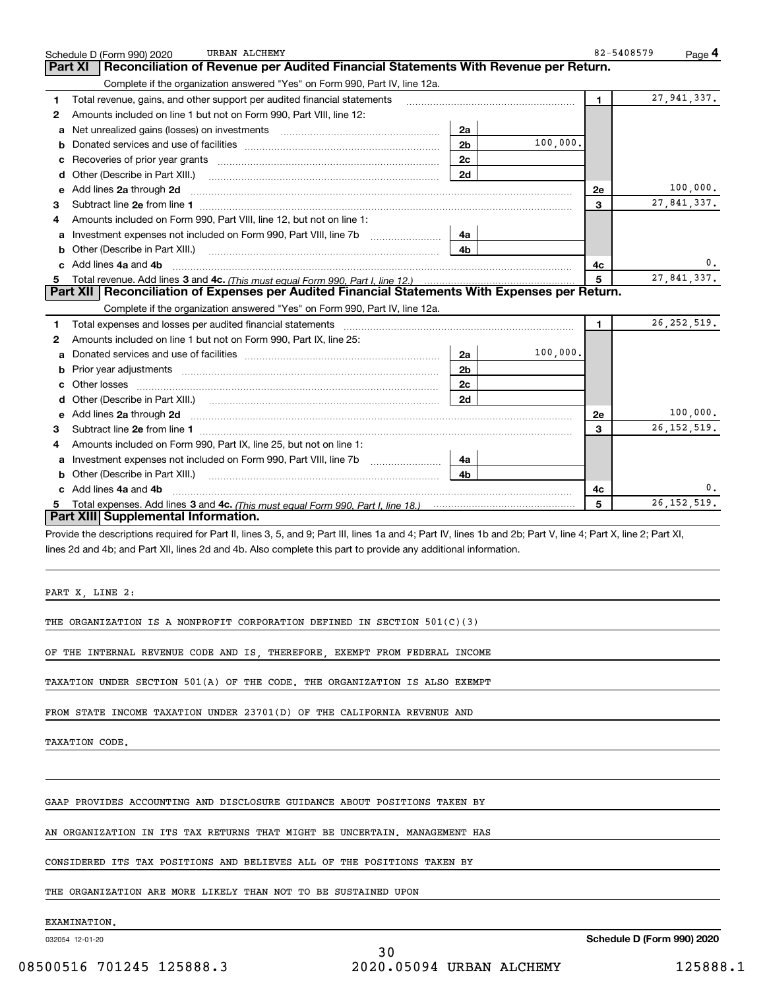|    | URBAN ALCHEMY<br>Schedule D (Form 990) 2020                                                                                                                                                                                          |                |          | 82-5408579   | Page 4        |
|----|--------------------------------------------------------------------------------------------------------------------------------------------------------------------------------------------------------------------------------------|----------------|----------|--------------|---------------|
|    | Reconciliation of Revenue per Audited Financial Statements With Revenue per Return.<br>Part XI                                                                                                                                       |                |          |              |               |
|    | Complete if the organization answered "Yes" on Form 990, Part IV, line 12a.                                                                                                                                                          |                |          |              |               |
| 1. | Total revenue, gains, and other support per audited financial statements                                                                                                                                                             |                |          | $\mathbf 1$  | 27, 941, 337. |
| 2  | Amounts included on line 1 but not on Form 990, Part VIII, line 12:                                                                                                                                                                  |                |          |              |               |
| a  |                                                                                                                                                                                                                                      | 2a             |          |              |               |
| b  |                                                                                                                                                                                                                                      | 2 <sub>b</sub> | 100,000. |              |               |
|    |                                                                                                                                                                                                                                      | 2c             |          |              |               |
|    | d Other (Describe in Part XIII.)                                                                                                                                                                                                     | 2d             |          |              |               |
|    | e Add lines 2a through 2d                                                                                                                                                                                                            |                |          | 2e           | 100,000.      |
| 3  |                                                                                                                                                                                                                                      |                |          | 3            | 27,841,337.   |
| 4  | Amounts included on Form 990, Part VIII, line 12, but not on line 1:                                                                                                                                                                 |                |          |              |               |
| a  |                                                                                                                                                                                                                                      | 4a             |          |              |               |
| b  |                                                                                                                                                                                                                                      | 4b             |          |              |               |
|    | Add lines 4a and 4b                                                                                                                                                                                                                  |                |          | 4c           | 0.            |
|    |                                                                                                                                                                                                                                      |                |          | 5            | 27,841,337.   |
|    | Part XII   Reconciliation of Expenses per Audited Financial Statements With Expenses per Return.                                                                                                                                     |                |          |              |               |
|    | Complete if the organization answered "Yes" on Form 990, Part IV, line 12a.                                                                                                                                                          |                |          |              |               |
| 1  | Total expenses and losses per audited financial statements                                                                                                                                                                           |                |          | $\mathbf{1}$ | 26, 252, 519. |
| 2  | Amounts included on line 1 but not on Form 990, Part IX, line 25:                                                                                                                                                                    |                |          |              |               |
| a  |                                                                                                                                                                                                                                      | 2a             | 100,000. |              |               |
| b  |                                                                                                                                                                                                                                      | 2 <sub>b</sub> |          |              |               |
|    |                                                                                                                                                                                                                                      | 2c             |          |              |               |
| d  |                                                                                                                                                                                                                                      | 2d             |          |              |               |
| е  | Add lines 2a through 2d <b>continuum contract and all contract and all contract and all contract and all contract and all contract and all contract and all contract and all contract and all contract and all contract and all </b> |                |          | 2e           | 100,000.      |
| 3  |                                                                                                                                                                                                                                      |                |          | 3            | 26, 152, 519. |
| 4  | Amounts included on Form 990, Part IX, line 25, but not on line 1:                                                                                                                                                                   |                |          |              |               |
| a  |                                                                                                                                                                                                                                      | 4a             |          |              |               |
| b  |                                                                                                                                                                                                                                      | 4b             |          |              |               |
|    | Add lines 4a and 4b                                                                                                                                                                                                                  |                |          | 4c           | 0.            |
| 5. |                                                                                                                                                                                                                                      |                |          | 5            | 26, 152, 519. |
|    | Part XIII Supplemental Information.                                                                                                                                                                                                  |                |          |              |               |
|    | Provide the descriptions required for Part II, lines 3, 5, and 9; Part III, lines 1a and 4; Part IV, lines 1b and 2b; Part V, line 4; Part X, line 2; Part XI,                                                                       |                |          |              |               |

lines 2d and 4b; and Part XII, lines 2d and 4b. Also complete this part to provide any additional information.

PART X, LINE 2:

THE ORGANIZATION IS A NONPROFIT CORPORATION DEFINED IN SECTION 501(C)(3)

OF THE INTERNAL REVENUE CODE AND IS, THEREFORE, EXEMPT FROM FEDERAL INCOME

TAXATION UNDER SECTION 501(A) OF THE CODE. THE ORGANIZATION IS ALSO EXEMPT

FROM STATE INCOME TAXATION UNDER 23701(D) OF THE CALIFORNIA REVENUE AND

TAXATION CODE.

GAAP PROVIDES ACCOUNTING AND DISCLOSURE GUIDANCE ABOUT POSITIONS TAKEN BY

AN ORGANIZATION IN ITS TAX RETURNS THAT MIGHT BE UNCERTAIN. MANAGEMENT HAS

CONSIDERED ITS TAX POSITIONS AND BELIEVES ALL OF THE POSITIONS TAKEN BY

THE ORGANIZATION ARE MORE LIKELY THAN NOT TO BE SUSTAINED UPON

EXAMINATION.

032054 12-01-20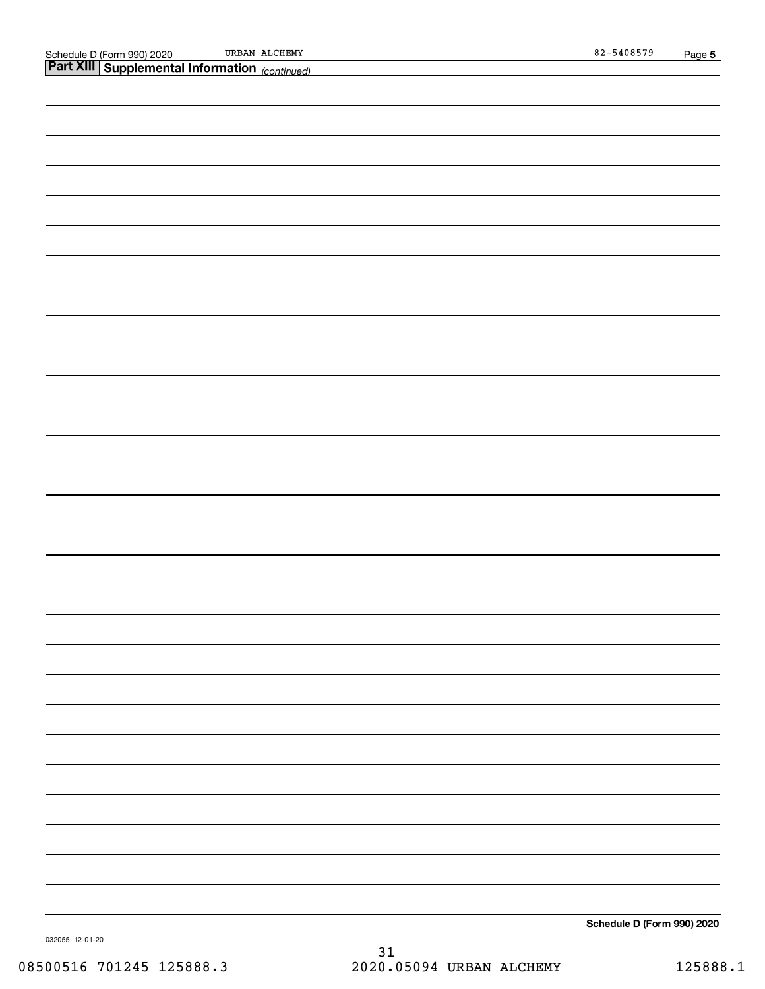URBAN ALCHEMY 82-5408579

| <b>Part XIII Supplemental Information</b> (continued) |
|-------------------------------------------------------|
|                                                       |
|                                                       |
|                                                       |
|                                                       |
|                                                       |
|                                                       |
|                                                       |
|                                                       |
|                                                       |
|                                                       |
|                                                       |
|                                                       |
|                                                       |
|                                                       |
|                                                       |
|                                                       |
|                                                       |
|                                                       |
|                                                       |
|                                                       |
|                                                       |
|                                                       |
|                                                       |
|                                                       |
|                                                       |
|                                                       |
|                                                       |
|                                                       |
|                                                       |
|                                                       |
|                                                       |
|                                                       |
|                                                       |
|                                                       |
|                                                       |

**Schedule D (Form 990) 2020**

032055 12-01-20

31 08500516 701245 125888.3 2020.05094 URBAN ALCHEMY 125888.1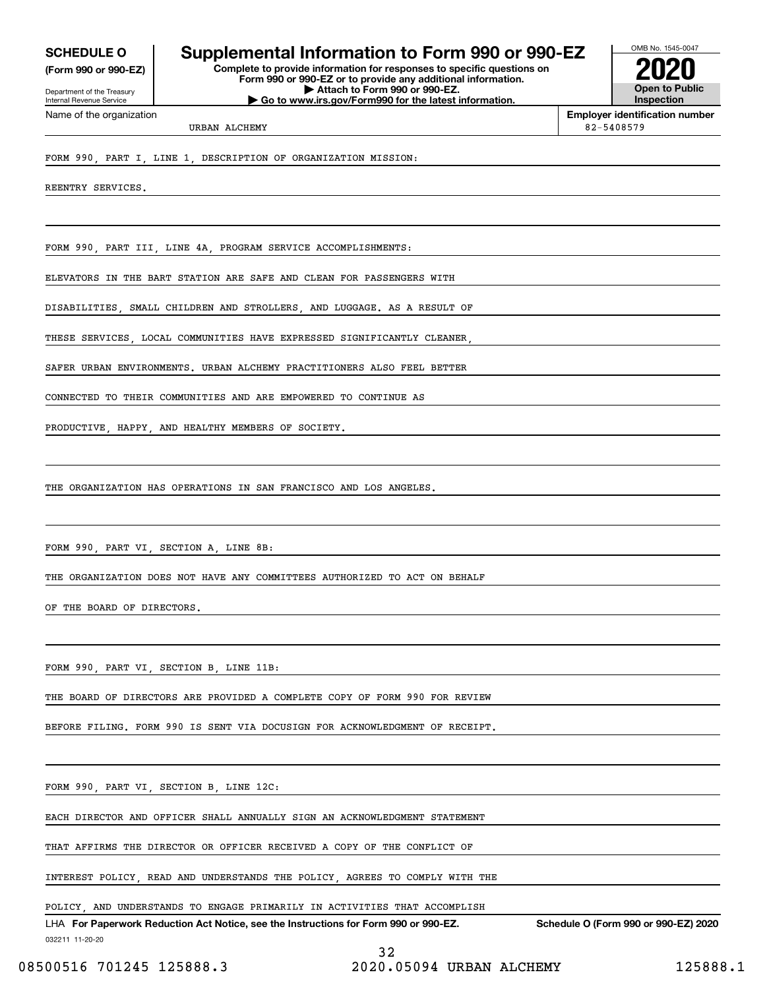**(Form 990 or 990-EZ)**

Department of the Treasury Internal Revenue Service Name of the organization

## **SCHEDULE O Supplemental Information to Form 990 or 990-EZ**

**Complete to provide information for responses to specific questions on Form 990 or 990-EZ or to provide any additional information. | Attach to Form 990 or 990-EZ. | Go to www.irs.gov/Form990 for the latest information.**



**Employer identification number**

URBAN ALCHEMY 82-5408579

FORM 990, PART I, LINE 1, DESCRIPTION OF ORGANIZATION MISSION:

REENTRY SERVICES.

FORM 990, PART III, LINE 4A, PROGRAM SERVICE ACCOMPLISHMENTS:

ELEVATORS IN THE BART STATION ARE SAFE AND CLEAN FOR PASSENGERS WITH

DISABILITIES, SMALL CHILDREN AND STROLLERS, AND LUGGAGE. AS A RESULT OF

THESE SERVICES, LOCAL COMMUNITIES HAVE EXPRESSED SIGNIFICANTLY CLEANER,

SAFER URBAN ENVIRONMENTS. URBAN ALCHEMY PRACTITIONERS ALSO FEEL BETTER

CONNECTED TO THEIR COMMUNITIES AND ARE EMPOWERED TO CONTINUE AS

PRODUCTIVE, HAPPY, AND HEALTHY MEMBERS OF SOCIETY.

THE ORGANIZATION HAS OPERATIONS IN SAN FRANCISCO AND LOS ANGELES.

FORM 990, PART VI, SECTION A, LINE 8B:

THE ORGANIZATION DOES NOT HAVE ANY COMMITTEES AUTHORIZED TO ACT ON BEHALF

OF THE BOARD OF DIRECTORS.

FORM 990, PART VI, SECTION B, LINE 11B:

THE BOARD OF DIRECTORS ARE PROVIDED A COMPLETE COPY OF FORM 990 FOR REVIEW

BEFORE FILING. FORM 990 IS SENT VIA DOCUSIGN FOR ACKNOWLEDGMENT OF RECEIPT.

FORM 990, PART VI, SECTION B, LINE 12C:

EACH DIRECTOR AND OFFICER SHALL ANNUALLY SIGN AN ACKNOWLEDGMENT STATEMENT

THAT AFFIRMS THE DIRECTOR OR OFFICER RECEIVED A COPY OF THE CONFLICT OF

INTEREST POLICY, READ AND UNDERSTANDS THE POLICY, AGREES TO COMPLY WITH THE

POLICY, AND UNDERSTANDS TO ENGAGE PRIMARILY IN ACTIVITIES THAT ACCOMPLISH

032211 11-20-20 LHA For Paperwork Reduction Act Notice, see the Instructions for Form 990 or 990-EZ. Schedule O (Form 990 or 990-EZ) 2020

08500516 701245 125888.3 2020.05094 URBAN ALCHEMY 125888.1

32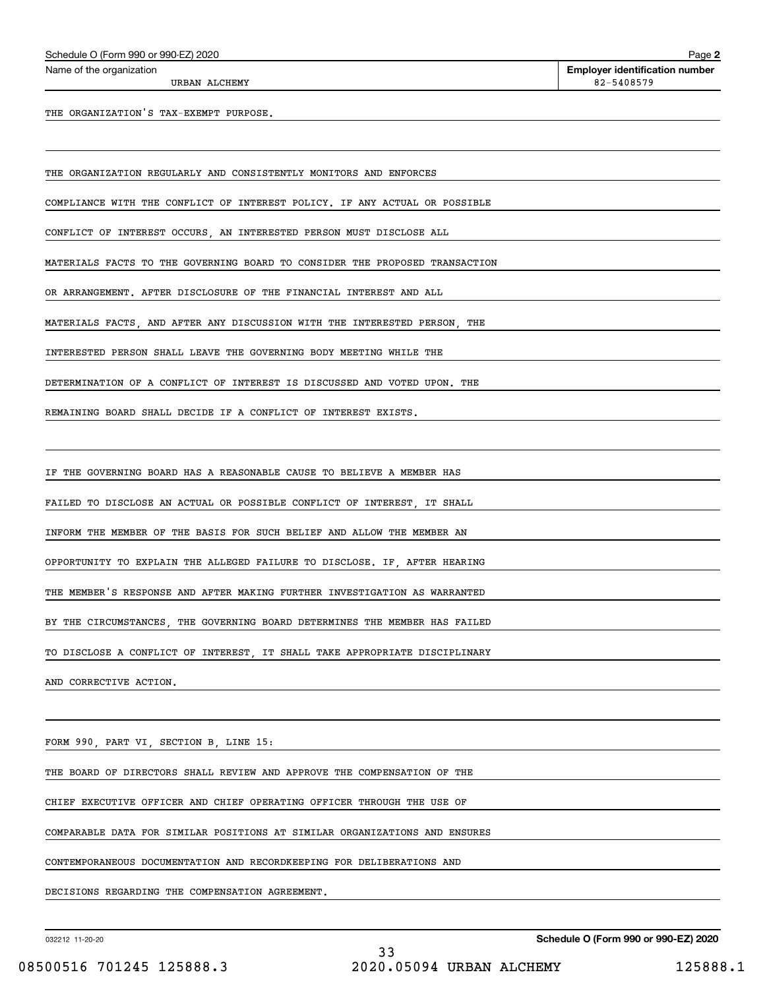THE ORGANIZATION'S TAX-EXEMPT PURPOSE.

THE ORGANIZATION REGULARLY AND CONSISTENTLY MONITORS AND ENFORCES

COMPLIANCE WITH THE CONFLICT OF INTEREST POLICY. IF ANY ACTUAL OR POSSIBLE

CONFLICT OF INTEREST OCCURS, AN INTERESTED PERSON MUST DISCLOSE ALL

MATERIALS FACTS TO THE GOVERNING BOARD TO CONSIDER THE PROPOSED TRANSACTION

OR ARRANGEMENT. AFTER DISCLOSURE OF THE FINANCIAL INTEREST AND ALL

MATERIALS FACTS, AND AFTER ANY DISCUSSION WITH THE INTERESTED PERSON, THE

INTERESTED PERSON SHALL LEAVE THE GOVERNING BODY MEETING WHILE THE

DETERMINATION OF A CONFLICT OF INTEREST IS DISCUSSED AND VOTED UPON. THE

REMAINING BOARD SHALL DECIDE IF A CONFLICT OF INTEREST EXISTS.

IF THE GOVERNING BOARD HAS A REASONABLE CAUSE TO BELIEVE A MEMBER HAS

FAILED TO DISCLOSE AN ACTUAL OR POSSIBLE CONFLICT OF INTEREST, IT SHALL

INFORM THE MEMBER OF THE BASIS FOR SUCH BELIEF AND ALLOW THE MEMBER AN

OPPORTUNITY TO EXPLAIN THE ALLEGED FAILURE TO DISCLOSE. IF, AFTER HEARING

THE MEMBER'S RESPONSE AND AFTER MAKING FURTHER INVESTIGATION AS WARRANTED

BY THE CIRCUMSTANCES, THE GOVERNING BOARD DETERMINES THE MEMBER HAS FAILED

TO DISCLOSE A CONFLICT OF INTEREST, IT SHALL TAKE APPROPRIATE DISCIPLINARY

AND CORRECTIVE ACTION.

FORM 990, PART VI, SECTION B, LINE 15:

THE BOARD OF DIRECTORS SHALL REVIEW AND APPROVE THE COMPENSATION OF THE

CHIEF EXECUTIVE OFFICER AND CHIEF OPERATING OFFICER THROUGH THE USE OF

COMPARABLE DATA FOR SIMILAR POSITIONS AT SIMILAR ORGANIZATIONS AND ENSURES

CONTEMPORANEOUS DOCUMENTATION AND RECORDKEEPING FOR DELIBERATIONS AND

DECISIONS REGARDING THE COMPENSATION AGREEMENT.

032212 11-20-20